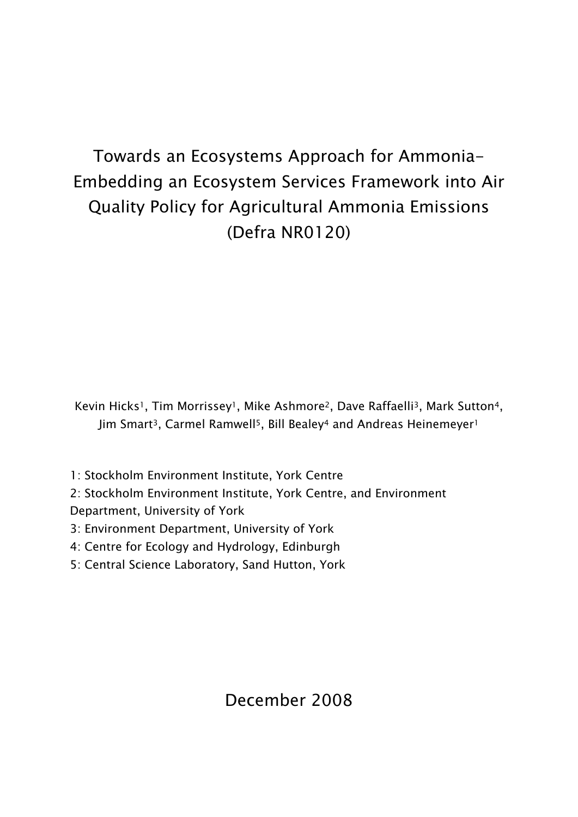# Towards an Ecosystems Approach for Ammonia-Embedding an Ecosystem Services Framework into Air Quality Policy for Agricultural Ammonia Emissions (Defra NR0120)

Kevin Hicks<sup>1</sup>, Tim Morrissey<sup>1</sup>, Mike Ashmore<sup>2</sup>, Dave Raffaelli<sup>3</sup>, Mark Sutton<sup>4</sup>, Jim Smart<sup>3</sup>, Carmel Ramwell<sup>5</sup>, Bill Bealey<sup>4</sup> and Andreas Heinemeyer<sup>1</sup>

1: Stockholm Environment Institute, York Centre

2: Stockholm Environment Institute, York Centre, and Environment Department, University of York

3: Environment Department, University of York

4: Centre for Ecology and Hydrology, Edinburgh

5: Central Science Laboratory, Sand Hutton, York

December 2008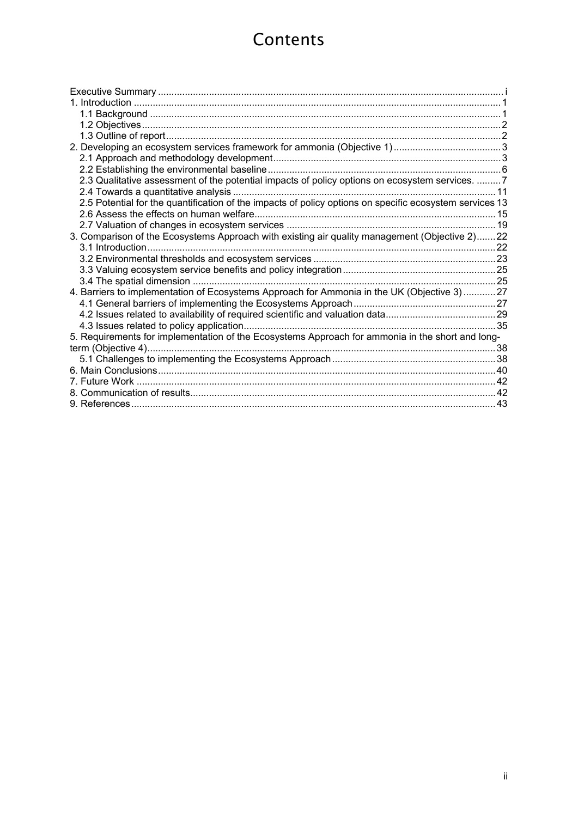# **Contents**

| 2.3 Qualitative assessment of the potential impacts of policy options on ecosystem services.  7         |      |
|---------------------------------------------------------------------------------------------------------|------|
| 2.4 Towards a quantitative analysis.                                                                    | . 11 |
| 2.5 Potential for the quantification of the impacts of policy options on specific ecosystem services 13 |      |
|                                                                                                         |      |
|                                                                                                         |      |
| 3. Comparison of the Ecosystems Approach with existing air quality management (Objective 2) 22          |      |
|                                                                                                         |      |
|                                                                                                         |      |
|                                                                                                         |      |
|                                                                                                         |      |
| 4. Barriers to implementation of Ecosystems Approach for Ammonia in the UK (Objective 3)27              |      |
|                                                                                                         |      |
|                                                                                                         |      |
|                                                                                                         |      |
| 5. Requirements for implementation of the Ecosystems Approach for ammonia in the short and long-        |      |
|                                                                                                         |      |
|                                                                                                         |      |
|                                                                                                         |      |
|                                                                                                         |      |
|                                                                                                         |      |
|                                                                                                         |      |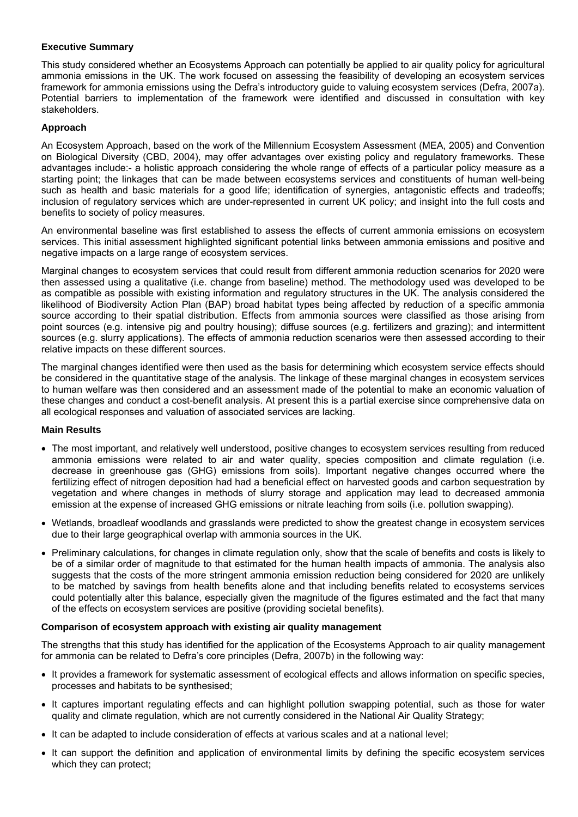#### **Executive Summary**

This study considered whether an Ecosystems Approach can potentially be applied to air quality policy for agricultural ammonia emissions in the UK. The work focused on assessing the feasibility of developing an ecosystem services framework for ammonia emissions using the Defra's introductory guide to valuing ecosystem services (Defra, 2007a). Potential barriers to implementation of the framework were identified and discussed in consultation with key stakeholders.

## **Approach**

An Ecosystem Approach, based on the work of the Millennium Ecosystem Assessment (MEA, 2005) and Convention on Biological Diversity (CBD, 2004), may offer advantages over existing policy and regulatory frameworks. These advantages include:- a holistic approach considering the whole range of effects of a particular policy measure as a starting point; the linkages that can be made between ecosystems services and constituents of human well-being such as health and basic materials for a good life; identification of synergies, antagonistic effects and tradeoffs; inclusion of regulatory services which are under-represented in current UK policy; and insight into the full costs and benefits to society of policy measures.

An environmental baseline was first established to assess the effects of current ammonia emissions on ecosystem services. This initial assessment highlighted significant potential links between ammonia emissions and positive and negative impacts on a large range of ecosystem services.

Marginal changes to ecosystem services that could result from different ammonia reduction scenarios for 2020 were then assessed using a qualitative (i.e. change from baseline) method. The methodology used was developed to be as compatible as possible with existing information and regulatory structures in the UK. The analysis considered the likelihood of Biodiversity Action Plan (BAP) broad habitat types being affected by reduction of a specific ammonia source according to their spatial distribution. Effects from ammonia sources were classified as those arising from point sources (e.g. intensive pig and poultry housing); diffuse sources (e.g. fertilizers and grazing); and intermittent sources (e.g. slurry applications). The effects of ammonia reduction scenarios were then assessed according to their relative impacts on these different sources.

The marginal changes identified were then used as the basis for determining which ecosystem service effects should be considered in the quantitative stage of the analysis. The linkage of these marginal changes in ecosystem services to human welfare was then considered and an assessment made of the potential to make an economic valuation of these changes and conduct a cost-benefit analysis. At present this is a partial exercise since comprehensive data on all ecological responses and valuation of associated services are lacking.

## **Main Results**

- The most important, and relatively well understood, positive changes to ecosystem services resulting from reduced ammonia emissions were related to air and water quality, species composition and climate regulation (i.e. decrease in greenhouse gas (GHG) emissions from soils). Important negative changes occurred where the fertilizing effect of nitrogen deposition had had a beneficial effect on harvested goods and carbon sequestration by vegetation and where changes in methods of slurry storage and application may lead to decreased ammonia emission at the expense of increased GHG emissions or nitrate leaching from soils (i.e. pollution swapping).
- Wetlands, broadleaf woodlands and grasslands were predicted to show the greatest change in ecosystem services due to their large geographical overlap with ammonia sources in the UK.
- Preliminary calculations, for changes in climate regulation only, show that the scale of benefits and costs is likely to be of a similar order of magnitude to that estimated for the human health impacts of ammonia. The analysis also suggests that the costs of the more stringent ammonia emission reduction being considered for 2020 are unlikely to be matched by savings from health benefits alone and that including benefits related to ecosystems services could potentially alter this balance, especially given the magnitude of the figures estimated and the fact that many of the effects on ecosystem services are positive (providing societal benefits).

#### **Comparison of ecosystem approach with existing air quality management**

The strengths that this study has identified for the application of the Ecosystems Approach to air quality management for ammonia can be related to Defra's core principles (Defra, 2007b) in the following way:

- It provides a framework for systematic assessment of ecological effects and allows information on specific species, processes and habitats to be synthesised;
- It captures important regulating effects and can highlight pollution swapping potential, such as those for water quality and climate regulation, which are not currently considered in the National Air Quality Strategy;
- It can be adapted to include consideration of effects at various scales and at a national level;
- It can support the definition and application of environmental limits by defining the specific ecosystem services which they can protect;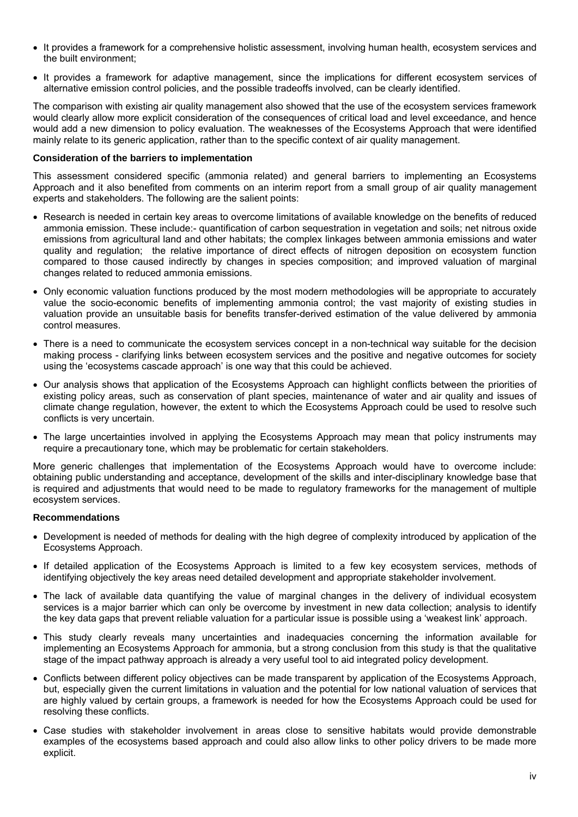- It provides a framework for a comprehensive holistic assessment, involving human health, ecosystem services and the built environment;
- It provides a framework for adaptive management, since the implications for different ecosystem services of alternative emission control policies, and the possible tradeoffs involved, can be clearly identified.

The comparison with existing air quality management also showed that the use of the ecosystem services framework would clearly allow more explicit consideration of the consequences of critical load and level exceedance, and hence would add a new dimension to policy evaluation. The weaknesses of the Ecosystems Approach that were identified mainly relate to its generic application, rather than to the specific context of air quality management.

#### **Consideration of the barriers to implementation**

This assessment considered specific (ammonia related) and general barriers to implementing an Ecosystems Approach and it also benefited from comments on an interim report from a small group of air quality management experts and stakeholders. The following are the salient points:

- Research is needed in certain key areas to overcome limitations of available knowledge on the benefits of reduced ammonia emission. These include:- quantification of carbon sequestration in vegetation and soils; net nitrous oxide emissions from agricultural land and other habitats; the complex linkages between ammonia emissions and water quality and regulation; the relative importance of direct effects of nitrogen deposition on ecosystem function compared to those caused indirectly by changes in species composition; and improved valuation of marginal changes related to reduced ammonia emissions.
- Only economic valuation functions produced by the most modern methodologies will be appropriate to accurately value the socio-economic benefits of implementing ammonia control; the vast majority of existing studies in valuation provide an unsuitable basis for benefits transfer-derived estimation of the value delivered by ammonia control measures.
- There is a need to communicate the ecosystem services concept in a non-technical way suitable for the decision making process - clarifying links between ecosystem services and the positive and negative outcomes for society using the 'ecosystems cascade approach' is one way that this could be achieved.
- Our analysis shows that application of the Ecosystems Approach can highlight conflicts between the priorities of existing policy areas, such as conservation of plant species, maintenance of water and air quality and issues of climate change regulation, however, the extent to which the Ecosystems Approach could be used to resolve such conflicts is very uncertain.
- The large uncertainties involved in applying the Ecosystems Approach may mean that policy instruments may require a precautionary tone, which may be problematic for certain stakeholders.

More generic challenges that implementation of the Ecosystems Approach would have to overcome include: obtaining public understanding and acceptance, development of the skills and inter-disciplinary knowledge base that is required and adjustments that would need to be made to regulatory frameworks for the management of multiple ecosystem services.

#### **Recommendations**

- Development is needed of methods for dealing with the high degree of complexity introduced by application of the Ecosystems Approach.
- If detailed application of the Ecosystems Approach is limited to a few key ecosystem services, methods of identifying objectively the key areas need detailed development and appropriate stakeholder involvement.
- The lack of available data quantifying the value of marginal changes in the delivery of individual ecosystem services is a major barrier which can only be overcome by investment in new data collection; analysis to identify the key data gaps that prevent reliable valuation for a particular issue is possible using a 'weakest link' approach.
- This study clearly reveals many uncertainties and inadequacies concerning the information available for implementing an Ecosystems Approach for ammonia, but a strong conclusion from this study is that the qualitative stage of the impact pathway approach is already a very useful tool to aid integrated policy development.
- Conflicts between different policy objectives can be made transparent by application of the Ecosystems Approach, but, especially given the current limitations in valuation and the potential for low national valuation of services that are highly valued by certain groups, a framework is needed for how the Ecosystems Approach could be used for resolving these conflicts.
- Case studies with stakeholder involvement in areas close to sensitive habitats would provide demonstrable examples of the ecosystems based approach and could also allow links to other policy drivers to be made more explicit.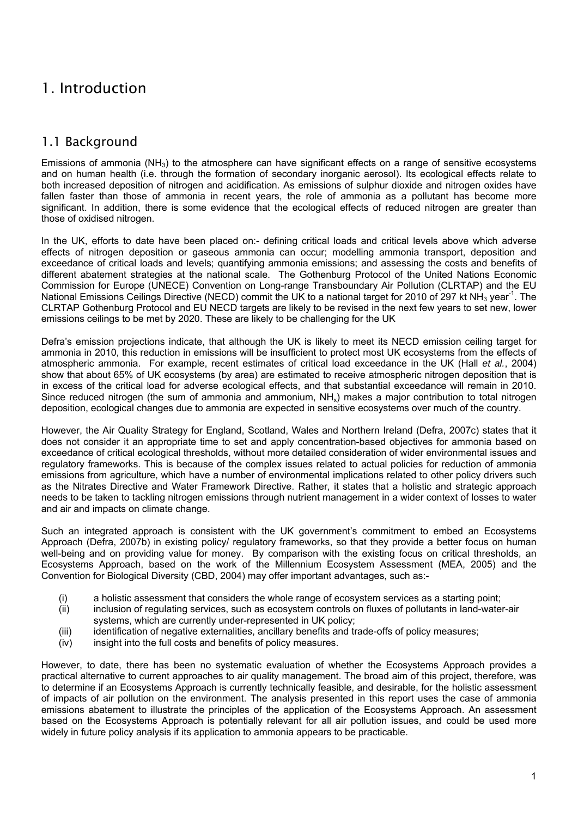## <span id="page-4-0"></span>1. Introduction

## 1.1 Background

Emissions of ammonia  $(NH_3)$  to the atmosphere can have significant effects on a range of sensitive ecosystems and on human health (i.e. through the formation of secondary inorganic aerosol). Its ecological effects relate to both increased deposition of nitrogen and acidification. As emissions of sulphur dioxide and nitrogen oxides have fallen faster than those of ammonia in recent years, the role of ammonia as a pollutant has become more significant. In addition, there is some evidence that the ecological effects of reduced nitrogen are greater than those of oxidised nitrogen.

In the UK, efforts to date have been placed on:- defining critical loads and critical levels above which adverse effects of nitrogen deposition or gaseous ammonia can occur; modelling ammonia transport, deposition and exceedance of critical loads and levels; quantifying ammonia emissions; and assessing the costs and benefits of different abatement strategies at the national scale. The Gothenburg Protocol of the United Nations Economic Commission for Europe (UNECE) Convention on Long-range Transboundary Air Pollution (CLRTAP) and the EU National Emissions Ceilings Directive (NECD) commit the UK to a national target for 2010 of 297 kt NH<sub>3</sub> year<sup>-1</sup>. The CLRTAP Gothenburg Protocol and EU NECD targets are likely to be revised in the next few years to set new, lower emissions ceilings to be met by 2020. These are likely to be challenging for the UK

Defra's emission projections indicate, that although the UK is likely to meet its NECD emission ceiling target for ammonia in 2010, this reduction in emissions will be insufficient to protect most UK ecosystems from the effects of atmospheric ammonia. For example, recent estimates of critical load exceedance in the UK (Hall *et al.*, 2004) show that about 65% of UK ecosystems (by area) are estimated to receive atmospheric nitrogen deposition that is in excess of the critical load for adverse ecological effects, and that substantial exceedance will remain in 2010. Since reduced nitrogen (the sum of ammonia and ammonium,  $NH<sub>x</sub>$ ) makes a major contribution to total nitrogen deposition, ecological changes due to ammonia are expected in sensitive ecosystems over much of the country.

However, the Air Quality Strategy for England, Scotland, Wales and Northern Ireland (Defra, 2007c) states that it does not consider it an appropriate time to set and apply concentration-based objectives for ammonia based on exceedance of critical ecological thresholds, without more detailed consideration of wider environmental issues and regulatory frameworks. This is because of the complex issues related to actual policies for reduction of ammonia emissions from agriculture, which have a number of environmental implications related to other policy drivers such as the Nitrates Directive and Water Framework Directive. Rather, it states that a holistic and strategic approach needs to be taken to tackling nitrogen emissions through nutrient management in a wider context of losses to water and air and impacts on climate change.

Such an integrated approach is consistent with the UK government's commitment to embed an Ecosystems Approach (Defra, 2007b) in existing policy/ regulatory frameworks, so that they provide a better focus on human well-being and on providing value for money. By comparison with the existing focus on critical thresholds, an Ecosystems Approach, based on the work of the Millennium Ecosystem Assessment (MEA, 2005) and the Convention for Biological Diversity (CBD, 2004) may offer important advantages, such as:-

- (i) a holistic assessment that considers the whole range of ecosystem services as a starting point;
- (ii) inclusion of regulating services, such as ecosystem controls on fluxes of pollutants in land-water-air systems, which are currently under-represented in UK policy;
- (iii) identification of negative externalities, ancillary benefits and trade-offs of policy measures;
- (iv) insight into the full costs and benefits of policy measures.

However, to date, there has been no systematic evaluation of whether the Ecosystems Approach provides a practical alternative to current approaches to air quality management. The broad aim of this project, therefore, was to determine if an Ecosystems Approach is currently technically feasible, and desirable, for the holistic assessment of impacts of air pollution on the environment. The analysis presented in this report uses the case of ammonia emissions abatement to illustrate the principles of the application of the Ecosystems Approach. An assessment based on the Ecosystems Approach is potentially relevant for all air pollution issues, and could be used more widely in future policy analysis if its application to ammonia appears to be practicable.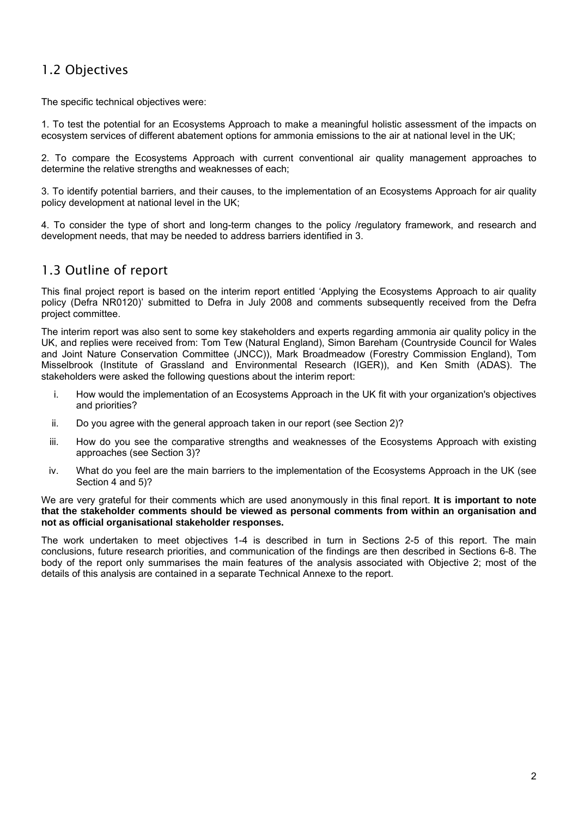## <span id="page-5-0"></span>1.2 Objectives

The specific technical objectives were:

1. To test the potential for an Ecosystems Approach to make a meaningful holistic assessment of the impacts on ecosystem services of different abatement options for ammonia emissions to the air at national level in the UK;

2. To compare the Ecosystems Approach with current conventional air quality management approaches to determine the relative strengths and weaknesses of each;

3. To identify potential barriers, and their causes, to the implementation of an Ecosystems Approach for air quality policy development at national level in the UK;

4. To consider the type of short and long-term changes to the policy /regulatory framework, and research and development needs, that may be needed to address barriers identified in 3.

## 1.3 Outline of report

This final project report is based on the interim report entitled 'Applying the Ecosystems Approach to air quality policy (Defra NR0120)' submitted to Defra in July 2008 and comments subsequently received from the Defra project committee.

The interim report was also sent to some key stakeholders and experts regarding ammonia air quality policy in the UK, and replies were received from: Tom Tew (Natural England), Simon Bareham (Countryside Council for Wales and Joint Nature Conservation Committee (JNCC)), Mark Broadmeadow (Forestry Commission England), Tom Misselbrook (Institute of Grassland and Environmental Research (IGER)), and Ken Smith (ADAS). The stakeholders were asked the following questions about the interim report:

- i. How would the implementation of an Ecosystems Approach in the UK fit with your organization's objectives and priorities?
- ii. Do you agree with the general approach taken in our report (see Section 2)?
- iii. How do you see the comparative strengths and weaknesses of the Ecosystems Approach with existing approaches (see Section 3)?
- iv. What do you feel are the main barriers to the implementation of the Ecosystems Approach in the UK (see Section 4 and 5)?

We are very grateful for their comments which are used anonymously in this final report. **It is important to note that the stakeholder comments should be viewed as personal comments from within an organisation and not as official organisational stakeholder responses.** 

The work undertaken to meet objectives 1-4 is described in turn in Sections 2-5 of this report. The main conclusions, future research priorities, and communication of the findings are then described in Sections 6-8. The body of the report only summarises the main features of the analysis associated with Objective 2; most of the details of this analysis are contained in a separate Technical Annexe to the report.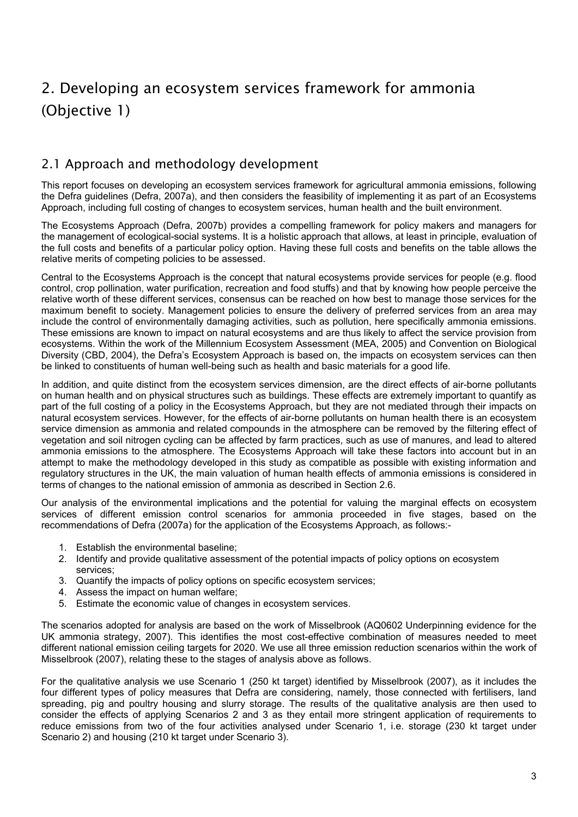# <span id="page-6-0"></span>2. Developing an ecosystem services framework for ammonia (Objective 1)

## 2.1 Approach and methodology development

This report focuses on developing an ecosystem services framework for agricultural ammonia emissions, following the Defra guidelines (Defra, 2007a), and then considers the feasibility of implementing it as part of an Ecosystems Approach, including full costing of changes to ecosystem services, human health and the built environment.

The Ecosystems Approach (Defra, 2007b) provides a compelling framework for policy makers and managers for the management of ecological-social systems. It is a holistic approach that allows, at least in principle, evaluation of the full costs and benefits of a particular policy option. Having these full costs and benefits on the table allows the relative merits of competing policies to be assessed.

Central to the Ecosystems Approach is the concept that natural ecosystems provide services for people (e.g. flood control, crop pollination, water purification, recreation and food stuffs) and that by knowing how people perceive the relative worth of these different services, consensus can be reached on how best to manage those services for the maximum benefit to society. Management policies to ensure the delivery of preferred services from an area may include the control of environmentally damaging activities, such as pollution, here specifically ammonia emissions. These emissions are known to impact on natural ecosystems and are thus likely to affect the service provision from ecosystems. Within the work of the Millennium Ecosystem Assessment (MEA, 2005) and Convention on Biological Diversity (CBD, 2004), the Defra's Ecosystem Approach is based on, the impacts on ecosystem services can then be linked to constituents of human well-being such as health and basic materials for a good life.

In addition, and quite distinct from the ecosystem services dimension, are the direct effects of air-borne pollutants on human health and on physical structures such as buildings. These effects are extremely important to quantify as part of the full costing of a policy in the Ecosystems Approach, but they are not mediated through their impacts on natural ecosystem services. However, for the effects of air-borne pollutants on human health there is an ecosystem service dimension as ammonia and related compounds in the atmosphere can be removed by the filtering effect of vegetation and soil nitrogen cycling can be affected by farm practices, such as use of manures, and lead to altered ammonia emissions to the atmosphere. The Ecosystems Approach will take these factors into account but in an attempt to make the methodology developed in this study as compatible as possible with existing information and regulatory structures in the UK, the main valuation of human health effects of ammonia emissions is considered in terms of changes to the national emission of ammonia as described in Section 2.6.

Our analysis of the environmental implications and the potential for valuing the marginal effects on ecosystem services of different emission control scenarios for ammonia proceeded in five stages, based on the recommendations of Defra (2007a) for the application of the Ecosystems Approach, as follows:-

- 1. Establish the environmental baseline;
- 2. Identify and provide qualitative assessment of the potential impacts of policy options on ecosystem services;
- 3. Quantify the impacts of policy options on specific ecosystem services;
- 4. Assess the impact on human welfare;
- 5. Estimate the economic value of changes in ecosystem services.

The scenarios adopted for analysis are based on the work of Misselbrook (AQ0602 Underpinning evidence for the UK ammonia strategy, 2007). This identifies the most cost-effective combination of measures needed to meet different national emission ceiling targets for 2020. We use all three emission reduction scenarios within the work of Misselbrook (2007), relating these to the stages of analysis above as follows.

For the qualitative analysis we use Scenario 1 (250 kt target) identified by Misselbrook (2007), as it includes the four different types of policy measures that Defra are considering, namely, those connected with fertilisers, land spreading, pig and poultry housing and slurry storage. The results of the qualitative analysis are then used to consider the effects of applying Scenarios 2 and 3 as they entail more stringent application of requirements to reduce emissions from two of the four activities analysed under Scenario 1, i.e. storage (230 kt target under Scenario 2) and housing (210 kt target under Scenario 3).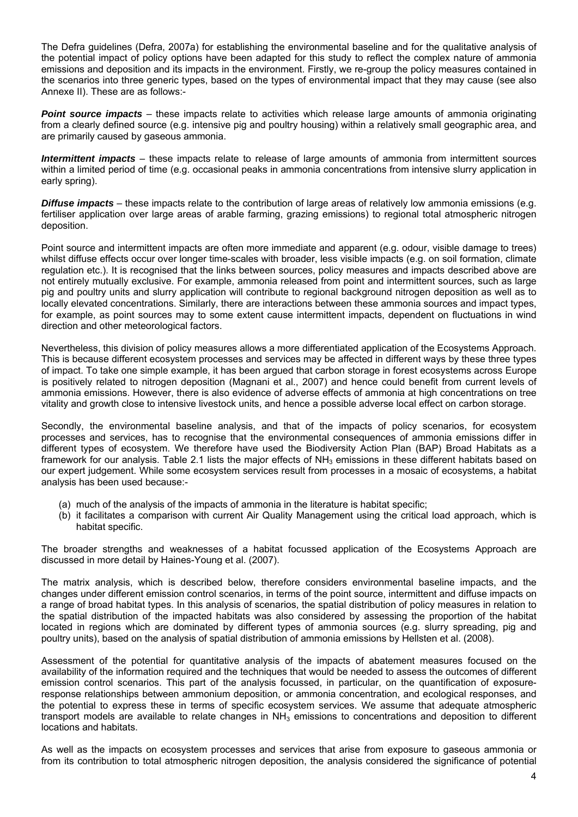The Defra guidelines (Defra, 2007a) for establishing the environmental baseline and for the qualitative analysis of the potential impact of policy options have been adapted for this study to reflect the complex nature of ammonia emissions and deposition and its impacts in the environment. Firstly, we re-group the policy measures contained in the scenarios into three generic types, based on the types of environmental impact that they may cause (see also Annexe II). These are as follows:-

*Point source impacts* – these impacts relate to activities which release large amounts of ammonia originating from a clearly defined source (e.g. intensive pig and poultry housing) within a relatively small geographic area, and are primarily caused by gaseous ammonia.

*Intermittent impacts* – these impacts relate to release of large amounts of ammonia from intermittent sources within a limited period of time (e.g. occasional peaks in ammonia concentrations from intensive slurry application in early spring).

*Diffuse impacts* – these impacts relate to the contribution of large areas of relatively low ammonia emissions (e.g. fertiliser application over large areas of arable farming, grazing emissions) to regional total atmospheric nitrogen deposition.

Point source and intermittent impacts are often more immediate and apparent (e.g. odour, visible damage to trees) whilst diffuse effects occur over longer time-scales with broader, less visible impacts (e.g. on soil formation, climate regulation etc.). It is recognised that the links between sources, policy measures and impacts described above are not entirely mutually exclusive. For example, ammonia released from point and intermittent sources, such as large pig and poultry units and slurry application will contribute to regional background nitrogen deposition as well as to locally elevated concentrations. Similarly, there are interactions between these ammonia sources and impact types, for example, as point sources may to some extent cause intermittent impacts, dependent on fluctuations in wind direction and other meteorological factors.

Nevertheless, this division of policy measures allows a more differentiated application of the Ecosystems Approach. This is because different ecosystem processes and services may be affected in different ways by these three types of impact. To take one simple example, it has been argued that carbon storage in forest ecosystems across Europe is positively related to nitrogen deposition (Magnani et al., 2007) and hence could benefit from current levels of ammonia emissions. However, there is also evidence of adverse effects of ammonia at high concentrations on tree vitality and growth close to intensive livestock units, and hence a possible adverse local effect on carbon storage.

Secondly, the environmental baseline analysis, and that of the impacts of policy scenarios, for ecosystem processes and services, has to recognise that the environmental consequences of ammonia emissions differ in different types of ecosystem. We therefore have used the Biodiversity Action Plan (BAP) Broad Habitats as a framework for our analysis. Table 2.1 lists the major effects of  $NH<sub>3</sub>$  emissions in these different habitats based on our expert judgement. While some ecosystem services result from processes in a mosaic of ecosystems, a habitat analysis has been used because:-

- (a) much of the analysis of the impacts of ammonia in the literature is habitat specific;
- (b) it facilitates a comparison with current Air Quality Management using the critical load approach, which is habitat specific.

The broader strengths and weaknesses of a habitat focussed application of the Ecosystems Approach are discussed in more detail by Haines-Young et al. (2007).

The matrix analysis, which is described below, therefore considers environmental baseline impacts, and the changes under different emission control scenarios, in terms of the point source, intermittent and diffuse impacts on a range of broad habitat types. In this analysis of scenarios, the spatial distribution of policy measures in relation to the spatial distribution of the impacted habitats was also considered by assessing the proportion of the habitat located in regions which are dominated by different types of ammonia sources (e.g. slurry spreading, pig and poultry units), based on the analysis of spatial distribution of ammonia emissions by Hellsten et al. (2008).

Assessment of the potential for quantitative analysis of the impacts of abatement measures focused on the availability of the information required and the techniques that would be needed to assess the outcomes of different emission control scenarios. This part of the analysis focussed, in particular, on the quantification of exposureresponse relationships between ammonium deposition, or ammonia concentration, and ecological responses, and the potential to express these in terms of specific ecosystem services. We assume that adequate atmospheric transport models are available to relate changes in  $NH<sub>3</sub>$  emissions to concentrations and deposition to different locations and habitats.

As well as the impacts on ecosystem processes and services that arise from exposure to gaseous ammonia or from its contribution to total atmospheric nitrogen deposition, the analysis considered the significance of potential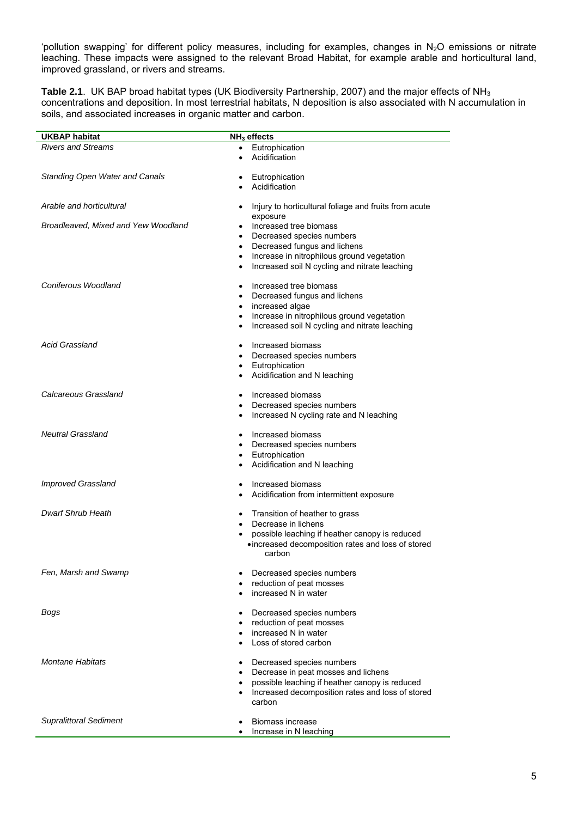'pollution swapping' for different policy measures, including for examples, changes in  $N_2O$  emissions or nitrate leaching. These impacts were assigned to the relevant Broad Habitat, for example arable and horticultural land, improved grassland, or rivers and streams.

Table 2.1. UK BAP broad habitat types (UK Biodiversity Partnership, 2007) and the major effects of NH<sub>3</sub> concentrations and deposition. In most terrestrial habitats, N deposition is also associated with N accumulation in soils, and associated increases in organic matter and carbon.

| <b>UKBAP habitat</b>                  | NH <sub>3</sub> effects                                            |
|---------------------------------------|--------------------------------------------------------------------|
| <b>Rivers and Streams</b>             | Eutrophication<br>$\bullet$                                        |
|                                       | Acidification<br>$\bullet$                                         |
|                                       |                                                                    |
| <b>Standing Open Water and Canals</b> | Eutrophication<br>$\bullet$                                        |
|                                       | Acidification<br>٠                                                 |
| Arable and horticultural              | Injury to horticultural foliage and fruits from acute<br>$\bullet$ |
| Broadleaved, Mixed and Yew Woodland   | exposure<br>Increased tree biomass<br>٠                            |
|                                       | Decreased species numbers<br>$\bullet$                             |
|                                       | Decreased fungus and lichens<br>$\bullet$                          |
|                                       | Increase in nitrophilous ground vegetation<br>٠                    |
|                                       | Increased soil N cycling and nitrate leaching<br>٠                 |
| Coniferous Woodland                   | Increased tree biomass<br>٠                                        |
|                                       | Decreased fungus and lichens<br>٠                                  |
|                                       | increased algae<br>$\bullet$                                       |
|                                       | Increase in nitrophilous ground vegetation<br>٠                    |
|                                       | Increased soil N cycling and nitrate leaching<br>٠                 |
| <b>Acid Grassland</b>                 | Increased biomass<br>$\bullet$                                     |
|                                       | Decreased species numbers<br>٠                                     |
|                                       | • Eutrophication                                                   |
|                                       | • Acidification and N leaching                                     |
| Calcareous Grassland                  | Increased biomass                                                  |
|                                       | Decreased species numbers<br>$\bullet$                             |
|                                       | Increased N cycling rate and N leaching<br>٠                       |
|                                       |                                                                    |
| <b>Neutral Grassland</b>              | Increased biomass                                                  |
|                                       | Decreased species numbers                                          |
|                                       | Eutrophication<br>$\bullet$                                        |
|                                       | Acidification and N leaching                                       |
| Improved Grassland                    | Increased biomass<br>$\bullet$                                     |
|                                       | Acidification from intermittent exposure                           |
| Dwarf Shrub Heath                     | Transition of heather to grass<br>$\bullet$                        |
|                                       | Decrease in lichens<br>٠                                           |
|                                       | possible leaching if heather canopy is reduced                     |
|                                       | • increased decomposition rates and loss of stored<br>carbon       |
| Fen, Marsh and Swamp                  | Decreased species numbers                                          |
|                                       | reduction of peat mosses                                           |
|                                       | increased N in water                                               |
| Bogs                                  | Decreased species numbers<br>$\bullet$                             |
|                                       | reduction of peat mosses<br>٠                                      |
|                                       | increased N in water                                               |
|                                       | Loss of stored carbon                                              |
| <b>Montane Habitats</b>               | Decreased species numbers<br>٠                                     |
|                                       | Decrease in peat mosses and lichens                                |
|                                       | possible leaching if heather canopy is reduced<br>٠                |
|                                       | Increased decomposition rates and loss of stored<br>٠              |
|                                       | carbon                                                             |
| <b>Supralittoral Sediment</b>         | Biomass increase                                                   |
|                                       | Increase in N leaching                                             |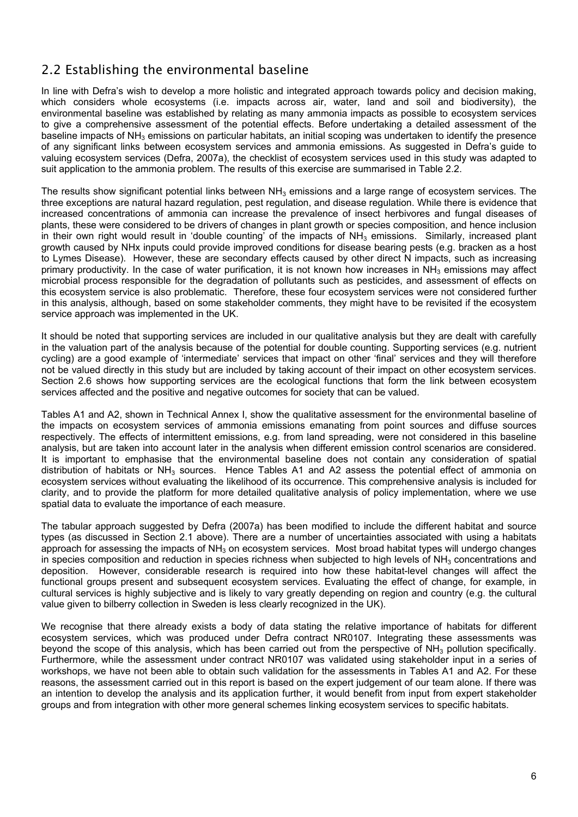## <span id="page-9-0"></span>2.2 Establishing the environmental baseline

In line with Defra's wish to develop a more holistic and integrated approach towards policy and decision making, which considers whole ecosystems (i.e. impacts across air, water, land and soil and biodiversity), the environmental baseline was established by relating as many ammonia impacts as possible to ecosystem services to give a comprehensive assessment of the potential effects. Before undertaking a detailed assessment of the baseline impacts of  $NH_3$  emissions on particular habitats, an initial scoping was undertaken to identify the presence of any significant links between ecosystem services and ammonia emissions. As suggested in Defra's guide to valuing ecosystem services (Defra, 2007a), the checklist of ecosystem services used in this study was adapted to suit application to the ammonia problem. The results of this exercise are summarised in Table 2.2.

The results show significant potential links between  $NH<sub>3</sub>$  emissions and a large range of ecosystem services. The three exceptions are natural hazard regulation, pest regulation, and disease regulation. While there is evidence that increased concentrations of ammonia can increase the prevalence of insect herbivores and fungal diseases of plants, these were considered to be drivers of changes in plant growth or species composition, and hence inclusion in their own right would result in 'double counting' of the impacts of  $NH<sub>3</sub>$  emissions. Similarly, increased plant growth caused by NHx inputs could provide improved conditions for disease bearing pests (e.g. bracken as a host to Lymes Disease). However, these are secondary effects caused by other direct N impacts, such as increasing primary productivity. In the case of water purification, it is not known how increases in  $NH<sub>3</sub>$  emissions may affect microbial process responsible for the degradation of pollutants such as pesticides, and assessment of effects on this ecosystem service is also problematic. Therefore, these four ecosystem services were not considered further in this analysis, although, based on some stakeholder comments, they might have to be revisited if the ecosystem service approach was implemented in the UK.

It should be noted that supporting services are included in our qualitative analysis but they are dealt with carefully in the valuation part of the analysis because of the potential for double counting. Supporting services (e.g. nutrient cycling) are a good example of 'intermediate' services that impact on other 'final' services and they will therefore not be valued directly in this study but are included by taking account of their impact on other ecosystem services. Section 2.6 shows how supporting services are the ecological functions that form the link between ecosystem services affected and the positive and negative outcomes for society that can be valued.

Tables A1 and A2, shown in Technical Annex I, show the qualitative assessment for the environmental baseline of the impacts on ecosystem services of ammonia emissions emanating from point sources and diffuse sources respectively. The effects of intermittent emissions, e.g. from land spreading, were not considered in this baseline analysis, but are taken into account later in the analysis when different emission control scenarios are considered. It is important to emphasise that the environmental baseline does not contain any consideration of spatial distribution of habitats or  $NH<sub>3</sub>$  sources. Hence Tables A1 and A2 assess the potential effect of ammonia on ecosystem services without evaluating the likelihood of its occurrence. This comprehensive analysis is included for clarity, and to provide the platform for more detailed qualitative analysis of policy implementation, where we use spatial data to evaluate the importance of each measure.

The tabular approach suggested by Defra (2007a) has been modified to include the different habitat and source types (as discussed in Section 2.1 above). There are a number of uncertainties associated with using a habitats approach for assessing the impacts of  $NH<sub>3</sub>$  on ecosystem services. Most broad habitat types will undergo changes in species composition and reduction in species richness when subjected to high levels of  $NH<sub>3</sub>$  concentrations and deposition. However, considerable research is required into how these habitat-level changes will affect the functional groups present and subsequent ecosystem services. Evaluating the effect of change, for example, in cultural services is highly subjective and is likely to vary greatly depending on region and country (e.g. the cultural value given to bilberry collection in Sweden is less clearly recognized in the UK).

We recognise that there already exists a body of data stating the relative importance of habitats for different ecosystem services, which was produced under Defra contract NR0107. Integrating these assessments was beyond the scope of this analysis, which has been carried out from the perspective of  $NH<sub>3</sub>$  pollution specifically. Furthermore, while the assessment under contract NR0107 was validated using stakeholder input in a series of workshops, we have not been able to obtain such validation for the assessments in Tables A1 and A2. For these reasons, the assessment carried out in this report is based on the expert judgement of our team alone. If there was an intention to develop the analysis and its application further, it would benefit from input from expert stakeholder groups and from integration with other more general schemes linking ecosystem services to specific habitats.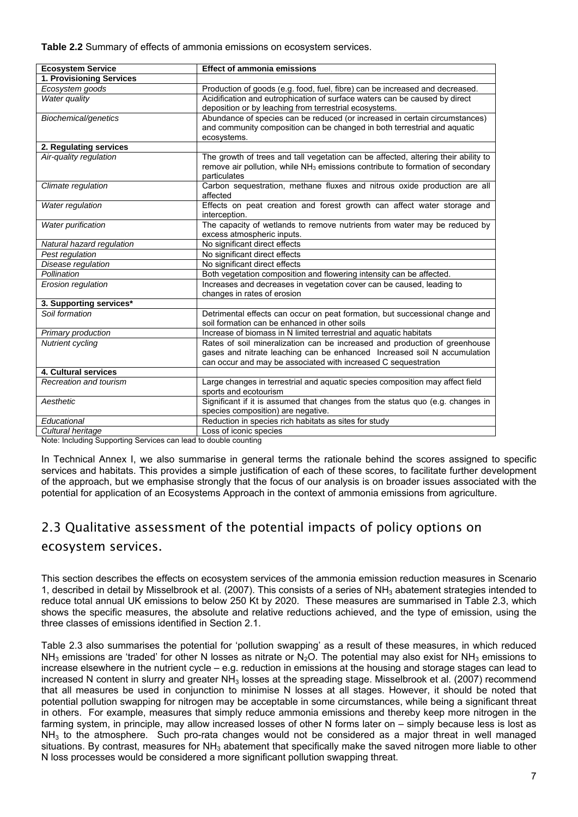<span id="page-10-0"></span>**Table 2.2** Summary of effects of ammonia emissions on ecosystem services.

| <b>Ecosystem Service</b>  | <b>Effect of ammonia emissions</b>                                                         |
|---------------------------|--------------------------------------------------------------------------------------------|
| 1. Provisioning Services  |                                                                                            |
| Ecosystem goods           | Production of goods (e.g. food, fuel, fibre) can be increased and decreased.               |
| <b>Water quality</b>      | Acidification and eutrophication of surface waters can be caused by direct                 |
|                           | deposition or by leaching from terrestrial ecosystems.                                     |
| Biochemical/genetics      | Abundance of species can be reduced (or increased in certain circumstances)                |
|                           | and community composition can be changed in both terrestrial and aquatic                   |
|                           | ecosystems.                                                                                |
| 2. Regulating services    |                                                                                            |
| Air-quality regulation    | The growth of trees and tall vegetation can be affected, altering their ability to         |
|                           | remove air pollution, while NH <sub>3</sub> emissions contribute to formation of secondary |
|                           | particulates                                                                               |
| Climate regulation        | Carbon sequestration, methane fluxes and nitrous oxide production are all                  |
|                           | affected                                                                                   |
| Water regulation          | Effects on peat creation and forest growth can affect water storage and                    |
|                           | interception.                                                                              |
| <b>Water purification</b> | The capacity of wetlands to remove nutrients from water may be reduced by                  |
|                           | excess atmospheric inputs.                                                                 |
| Natural hazard regulation | No significant direct effects                                                              |
| Pest regulation           | No significant direct effects                                                              |
| Disease regulation        | No significant direct effects                                                              |
| Pollination               | Both vegetation composition and flowering intensity can be affected.                       |
| <b>Erosion regulation</b> | Increases and decreases in vegetation cover can be caused, leading to                      |
|                           | changes in rates of erosion                                                                |
| 3. Supporting services*   |                                                                                            |
| Soil formation            | Detrimental effects can occur on peat formation, but successional change and               |
|                           | soil formation can be enhanced in other soils                                              |
| Primary production        | Increase of biomass in N limited terrestrial and aquatic habitats                          |
| <b>Nutrient cycling</b>   | Rates of soil mineralization can be increased and production of greenhouse                 |
|                           | gases and nitrate leaching can be enhanced Increased soil N accumulation                   |
|                           | can occur and may be associated with increased C sequestration                             |
| 4. Cultural services      |                                                                                            |
| Recreation and tourism    | Large changes in terrestrial and aquatic species composition may affect field              |
|                           | sports and ecotourism                                                                      |
| Aesthetic                 | Significant if it is assumed that changes from the status quo (e.g. changes in             |
|                           | species composition) are negative.                                                         |
| Educational               | Reduction in species rich habitats as sites for study                                      |
| Cultural heritage         | Loss of iconic species                                                                     |

Note: Including Supporting Services can lead to double counting

In Technical Annex I, we also summarise in general terms the rationale behind the scores assigned to specific services and habitats. This provides a simple justification of each of these scores, to facilitate further development of the approach, but we emphasise strongly that the focus of our analysis is on broader issues associated with the potential for application of an Ecosystems Approach in the context of ammonia emissions from agriculture.

## 2.3 Qualitative assessment of the potential impacts of policy options on ecosystem services.

This section describes the effects on ecosystem services of the ammonia emission reduction measures in Scenario 1, described in detail by Misselbrook et al. (2007). This consists of a series of  $NH<sub>3</sub>$  abatement strategies intended to reduce total annual UK emissions to below 250 Kt by 2020. These measures are summarised in Table 2.3, which shows the specific measures, the absolute and relative reductions achieved, and the type of emission, using the three classes of emissions identified in Section 2.1.

Table 2.3 also summarises the potential for 'pollution swapping' as a result of these measures, in which reduced  $NH<sub>3</sub>$  emissions are 'traded' for other N losses as nitrate or  $N<sub>2</sub>O$ . The potential may also exist for NH<sub>3</sub> emissions to increase elsewhere in the nutrient cycle – e.g. reduction in emissions at the housing and storage stages can lead to increased N content in slurry and greater  $NH<sub>3</sub>$  losses at the spreading stage. Misselbrook et al. (2007) recommend that all measures be used in conjunction to minimise N losses at all stages. However, it should be noted that potential pollution swapping for nitrogen may be acceptable in some circumstances, while being a significant threat in others. For example, measures that simply reduce ammonia emissions and thereby keep more nitrogen in the farming system, in principle, may allow increased losses of other N forms later on – simply because less is lost as  $NH<sub>3</sub>$  to the atmosphere. Such pro-rata changes would not be considered as a major threat in well managed situations. By contrast, measures for  $NH<sub>3</sub>$  abatement that specifically make the saved nitrogen more liable to other N loss processes would be considered a more significant pollution swapping threat.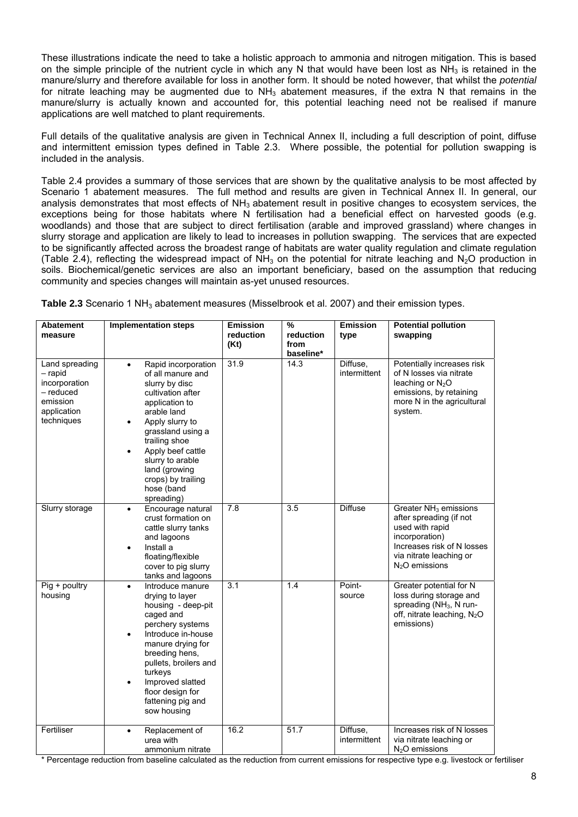These illustrations indicate the need to take a holistic approach to ammonia and nitrogen mitigation. This is based on the simple principle of the nutrient cycle in which any N that would have been lost as  $NH<sub>3</sub>$  is retained in the manure/slurry and therefore available for loss in another form. It should be noted however, that whilst the *potential* for nitrate leaching may be augmented due to  $NH<sub>3</sub>$  abatement measures, if the extra N that remains in the manure/slurry is actually known and accounted for, this potential leaching need not be realised if manure applications are well matched to plant requirements.

Full details of the qualitative analysis are given in Technical Annex II, including a full description of point, diffuse and intermittent emission types defined in Table 2.3. Where possible, the potential for pollution swapping is included in the analysis.

Table 2.4 provides a summary of those services that are shown by the qualitative analysis to be most affected by Scenario 1 abatement measures. The full method and results are given in Technical Annex II. In general, our analysis demonstrates that most effects of NH<sub>3</sub> abatement result in positive changes to ecosystem services, the exceptions being for those habitats where N fertilisation had a beneficial effect on harvested goods (e.g. woodlands) and those that are subject to direct fertilisation (arable and improved grassland) where changes in slurry storage and application are likely to lead to increases in pollution swapping. The services that are expected to be significantly affected across the broadest range of habitats are water quality regulation and climate regulation (Table 2.4), reflecting the widespread impact of  $NH<sub>3</sub>$  on the potential for nitrate leaching and N<sub>2</sub>O production in soils. Biochemical/genetic services are also an important beneficiary, based on the assumption that reducing community and species changes will maintain as-yet unused resources.

**Table 2.3** Scenario 1 NH<sub>3</sub> abatement measures (Misselbrook et al. 2007) and their emission types.

| <b>Abatement</b><br>measure                                                                        | <b>Implementation steps</b>                                                                                                                                                                                                                                                                                                  | <b>Emission</b><br>reduction<br>(Kt) | %<br>reduction<br>from<br>baseline* | <b>Emission</b><br>type  | <b>Potential pollution</b><br>swapping                                                                                                                                                   |
|----------------------------------------------------------------------------------------------------|------------------------------------------------------------------------------------------------------------------------------------------------------------------------------------------------------------------------------------------------------------------------------------------------------------------------------|--------------------------------------|-------------------------------------|--------------------------|------------------------------------------------------------------------------------------------------------------------------------------------------------------------------------------|
| Land spreading<br>$-$ rapid<br>incorporation<br>- reduced<br>emission<br>application<br>techniques | Rapid incorporation<br>$\bullet$<br>of all manure and<br>slurry by disc<br>cultivation after<br>application to<br>arable land<br>Apply slurry to<br>$\bullet$<br>grassland using a<br>trailing shoe<br>Apply beef cattle<br>$\bullet$<br>slurry to arable<br>land (growing<br>crops) by trailing<br>hose (band<br>spreading) | 31.9                                 | 14.3                                | Diffuse,<br>intermittent | Potentially increases risk<br>of N losses via nitrate<br>leaching or $N_2O$<br>emissions, by retaining<br>more N in the agricultural<br>system.                                          |
| Slurry storage                                                                                     | Encourage natural<br>$\bullet$<br>crust formation on<br>cattle slurry tanks<br>and lagoons<br>Install a<br>$\bullet$<br>floating/flexible<br>cover to pig slurry<br>tanks and lagoons                                                                                                                                        | 7.8                                  | 3.5                                 | <b>Diffuse</b>           | Greater NH <sub>3</sub> emissions<br>after spreading (if not<br>used with rapid<br>incorporation)<br>Increases risk of N losses<br>via nitrate leaching or<br>N <sub>2</sub> O emissions |
| Pig + poultry<br>housing                                                                           | Introduce manure<br>$\bullet$<br>drying to layer<br>housing - deep-pit<br>caged and<br>perchery systems<br>Introduce in-house<br>$\bullet$<br>manure drying for<br>breeding hens.<br>pullets, broilers and<br>turkeys<br>Improved slatted<br>٠<br>floor design for<br>fattening pig and<br>sow housing                       | $\overline{3.1}$                     | 1.4                                 | Point-<br>source         | Greater potential for N<br>loss during storage and<br>spreading (NH <sub>3</sub> , N run-<br>off, nitrate leaching, N <sub>2</sub> O<br>emissions)                                       |
| Fertiliser                                                                                         | Replacement of<br>$\bullet$<br>urea with<br>ammonium nitrate                                                                                                                                                                                                                                                                 | 16.2                                 | 51.7                                | Diffuse,<br>intermittent | Increases risk of N losses<br>via nitrate leaching or<br>$N2O$ emissions                                                                                                                 |

\* Percentage reduction from baseline calculated as the reduction from current emissions for respective type e.g. livestock or fertiliser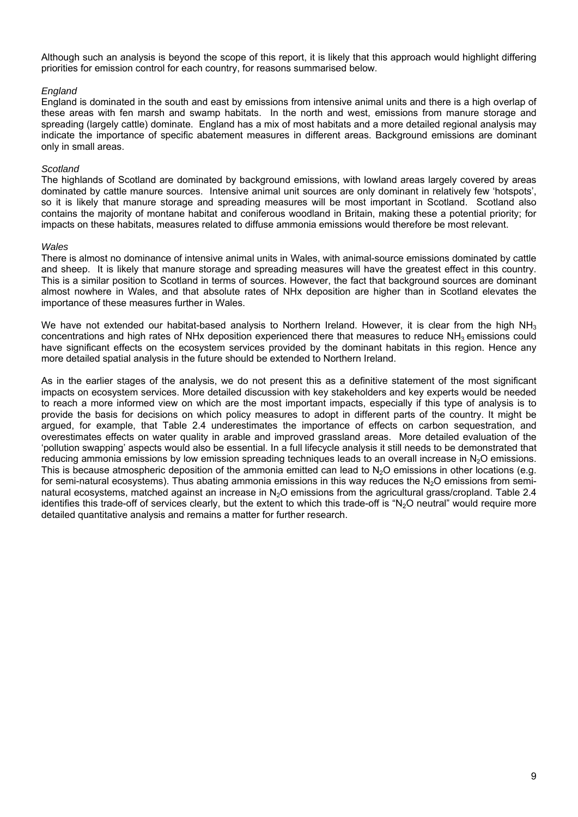Although such an analysis is beyond the scope of this report, it is likely that this approach would highlight differing priorities for emission control for each country, for reasons summarised below.

#### *England*

England is dominated in the south and east by emissions from intensive animal units and there is a high overlap of these areas with fen marsh and swamp habitats. In the north and west, emissions from manure storage and spreading (largely cattle) dominate. England has a mix of most habitats and a more detailed regional analysis may indicate the importance of specific abatement measures in different areas. Background emissions are dominant only in small areas.

#### *Scotland*

The highlands of Scotland are dominated by background emissions, with lowland areas largely covered by areas dominated by cattle manure sources. Intensive animal unit sources are only dominant in relatively few 'hotspots', so it is likely that manure storage and spreading measures will be most important in Scotland. Scotland also contains the majority of montane habitat and coniferous woodland in Britain, making these a potential priority; for impacts on these habitats, measures related to diffuse ammonia emissions would therefore be most relevant.

#### *Wales*

There is almost no dominance of intensive animal units in Wales, with animal-source emissions dominated by cattle and sheep. It is likely that manure storage and spreading measures will have the greatest effect in this country. This is a similar position to Scotland in terms of sources. However, the fact that background sources are dominant almost nowhere in Wales, and that absolute rates of NHx deposition are higher than in Scotland elevates the importance of these measures further in Wales.

We have not extended our habitat-based analysis to Northern Ireland. However, it is clear from the high NH<sub>3</sub> concentrations and high rates of NHx deposition experienced there that measures to reduce NH3 emissions could have significant effects on the ecosystem services provided by the dominant habitats in this region. Hence any more detailed spatial analysis in the future should be extended to Northern Ireland.

As in the earlier stages of the analysis, we do not present this as a definitive statement of the most significant impacts on ecosystem services. More detailed discussion with key stakeholders and key experts would be needed to reach a more informed view on which are the most important impacts, especially if this type of analysis is to provide the basis for decisions on which policy measures to adopt in different parts of the country. It might be argued, for example, that Table 2.4 underestimates the importance of effects on carbon sequestration, and overestimates effects on water quality in arable and improved grassland areas. More detailed evaluation of the 'pollution swapping' aspects would also be essential. In a full lifecycle analysis it still needs to be demonstrated that reducing ammonia emissions by low emission spreading techniques leads to an overall increase in  $N_2O$  emissions. This is because atmospheric deposition of the ammonia emitted can lead to  $N_2O$  emissions in other locations (e.g. for semi-natural ecosystems). Thus abating ammonia emissions in this way reduces the  $N_2O$  emissions from seminatural ecosystems, matched against an increase in N<sub>2</sub>O emissions from the agricultural grass/cropland. Table 2.4 identifies this trade-off of services clearly, but the extent to which this trade-off is "N<sub>2</sub>O neutral" would require more detailed quantitative analysis and remains a matter for further research.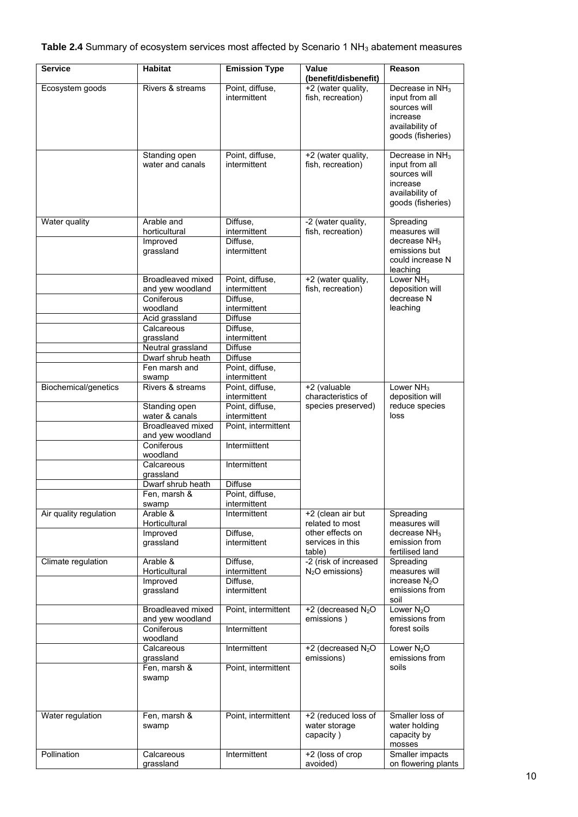| <b>Service</b>         | <b>Habitat</b>                    | <b>Emission Type</b>            | Value                                             | Reason                                                                                                            |
|------------------------|-----------------------------------|---------------------------------|---------------------------------------------------|-------------------------------------------------------------------------------------------------------------------|
|                        |                                   |                                 | (benefit/disbenefit)                              |                                                                                                                   |
| Ecosystem goods        | Rivers & streams                  | Point, diffuse,<br>intermittent | +2 (water quality,<br>fish, recreation)           | Decrease in NH <sub>3</sub><br>input from all<br>sources will<br>increase<br>availability of<br>goods (fisheries) |
|                        | Standing open<br>water and canals | Point, diffuse,<br>intermittent | +2 (water quality,<br>fish, recreation)           | Decrease in NH <sub>3</sub><br>input from all<br>sources will<br>increase<br>availability of<br>goods (fisheries) |
| Water quality          | Arable and                        | Diffuse,                        | -2 (water quality,                                | Spreading                                                                                                         |
|                        | horticultural                     | intermittent                    | fish, recreation)                                 | measures will                                                                                                     |
|                        | Improved<br>grassland             | Diffuse,<br>intermittent        |                                                   | decrease $NH3$<br>emissions but<br>could increase N<br>leaching                                                   |
|                        | Broadleaved mixed                 | Point, diffuse,                 | +2 (water quality,                                | Lower NH <sub>3</sub>                                                                                             |
|                        | and yew woodland                  | intermittent                    | fish, recreation)                                 | deposition will<br>decrease N                                                                                     |
|                        | Coniferous<br>woodland            | Diffuse,<br>intermittent        |                                                   | leaching                                                                                                          |
|                        | Acid grassland                    | <b>Diffuse</b>                  |                                                   |                                                                                                                   |
|                        | Calcareous                        | Diffuse,                        |                                                   |                                                                                                                   |
|                        | grassland                         | intermittent                    |                                                   |                                                                                                                   |
|                        | Neutral grassland                 | <b>Diffuse</b>                  |                                                   |                                                                                                                   |
|                        | Dwarf shrub heath                 | <b>Diffuse</b>                  |                                                   |                                                                                                                   |
|                        | Fen marsh and                     | Point, diffuse,                 |                                                   |                                                                                                                   |
| Biochemical/genetics   | swamp<br>Rivers & streams         | intermittent<br>Point, diffuse, | +2 (valuable                                      | Lower $NH3$                                                                                                       |
|                        |                                   | intermittent                    | characteristics of                                | deposition will                                                                                                   |
|                        | Standing open                     | Point, diffuse,                 | species preserved)                                | reduce species                                                                                                    |
|                        | water & canals                    | intermittent                    |                                                   | loss                                                                                                              |
|                        | Broadleaved mixed                 | Point, intermittent             |                                                   |                                                                                                                   |
|                        | and yew woodland<br>Coniferous    | Intermiittent                   |                                                   |                                                                                                                   |
|                        | woodland                          |                                 |                                                   |                                                                                                                   |
|                        | Calcareous                        | Intermittent                    |                                                   |                                                                                                                   |
|                        | grassland                         |                                 |                                                   |                                                                                                                   |
|                        | Dwarf shrub heath                 | Diffuse                         |                                                   |                                                                                                                   |
|                        | Fen, marsh &                      | Point, diffuse,                 |                                                   |                                                                                                                   |
|                        | swamp                             | intermittent                    |                                                   |                                                                                                                   |
| Air quality regulation | Arable &<br>Horticultural         | Intermittent                    | +2 (clean air but<br>related to most              | Spreading<br>measures will                                                                                        |
|                        | Improved                          | Diffuse,                        | other effects on                                  | decrease $NH3$                                                                                                    |
|                        | grassland                         | intermittent                    | services in this                                  | emission from                                                                                                     |
|                        |                                   |                                 | table)                                            | fertilised land                                                                                                   |
| Climate regulation     | Arable &                          | Diffuse.                        | -2 (risk of increased                             | Spreading                                                                                                         |
|                        | Horticultural<br>Improved         | intermittent<br>Diffuse,        | $N2O$ emissions}                                  | measures will<br>increase N <sub>2</sub> O                                                                        |
|                        | grassland                         | intermittent                    |                                                   | emissions from                                                                                                    |
|                        |                                   |                                 |                                                   | soil                                                                                                              |
|                        | Broadleaved mixed                 | Point, intermittent             | +2 (decreased $N_2O$                              | Lower $N_2O$                                                                                                      |
|                        | and yew woodland                  |                                 | emissions)                                        | emissions from                                                                                                    |
|                        | Coniferous<br>woodland            | Intermittent                    |                                                   | forest soils                                                                                                      |
|                        | Calcareous                        | Intermittent                    | +2 (decreased N <sub>2</sub> O                    | Lower $N_2O$                                                                                                      |
|                        | grassland                         |                                 | emissions)                                        | emissions from                                                                                                    |
|                        | Fen, marsh &<br>swamp             | Point, intermittent             |                                                   | soils                                                                                                             |
|                        |                                   |                                 |                                                   |                                                                                                                   |
| Water regulation       | Fen, marsh &<br>swamp             | Point, intermittent             | +2 (reduced loss of<br>water storage<br>capacity) | Smaller loss of<br>water holding<br>capacity by<br>mosses                                                         |
| Pollination            | Calcareous<br>grassland           | Intermittent                    | +2 (loss of crop<br>avoided)                      | Smaller impacts<br>on flowering plants                                                                            |
|                        |                                   |                                 |                                                   |                                                                                                                   |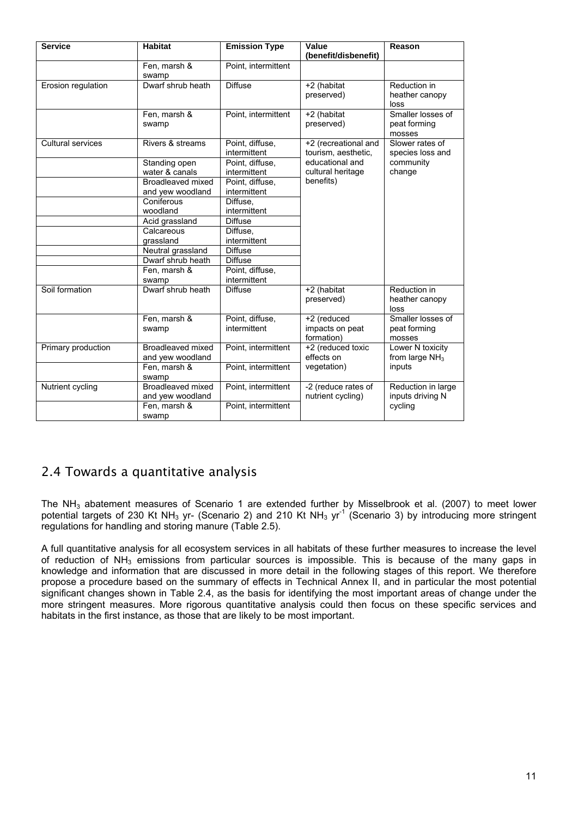<span id="page-14-0"></span>

| <b>Service</b>           | <b>Habitat</b>                        | <b>Emission Type</b>            | Value<br>(benefit/disbenefit)                | Reason                                      |
|--------------------------|---------------------------------------|---------------------------------|----------------------------------------------|---------------------------------------------|
|                          | Fen, marsh &<br>swamp                 | Point, intermittent             |                                              |                                             |
| Erosion regulation       | Dwarf shrub heath                     | <b>Diffuse</b>                  | +2 (habitat<br>preserved)                    | Reduction in<br>heather canopy<br>loss      |
|                          | Fen, marsh &<br>swamp                 | Point, intermittent             | +2 (habitat<br>preserved)                    | Smaller losses of<br>peat forming<br>mosses |
| <b>Cultural services</b> | Rivers & streams                      | Point, diffuse,<br>intermittent | +2 (recreational and<br>tourism, aesthetic,  | Slower rates of<br>species loss and         |
|                          | Standing open<br>water & canals       | Point, diffuse,<br>intermittent | educational and<br>cultural heritage         | community<br>change                         |
|                          | Broadleaved mixed<br>and yew woodland | Point, diffuse,<br>intermittent | benefits)                                    |                                             |
|                          | Coniferous<br>woodland                | Diffuse,<br>intermittent        |                                              |                                             |
|                          | Acid grassland                        | <b>Diffuse</b>                  |                                              |                                             |
|                          | Calcareous<br>grassland               | Diffuse.<br>intermittent        |                                              |                                             |
|                          | Neutral grassland                     | <b>Diffuse</b>                  |                                              |                                             |
|                          | Dwarf shrub heath                     | <b>Diffuse</b>                  |                                              |                                             |
|                          | Fen, marsh &<br>swamp                 | Point, diffuse,<br>intermittent |                                              |                                             |
| Soil formation           | Dwarf shrub heath                     | <b>Diffuse</b>                  | +2 (habitat<br>preserved)                    | Reduction in<br>heather canopy<br>loss      |
|                          | Fen, marsh &<br>swamp                 | Point, diffuse,<br>intermittent | +2 (reduced<br>impacts on peat<br>formation) | Smaller losses of<br>peat forming<br>mosses |
| Primary production       | Broadleaved mixed<br>and yew woodland | Point, intermittent             | +2 (reduced toxic<br>effects on              | Lower N toxicity<br>from large $NH3$        |
|                          | Fen. marsh &<br>swamp                 | Point, intermittent             | vegetation)                                  | inputs                                      |
| Nutrient cycling         | Broadleaved mixed<br>and yew woodland | Point, intermittent             | -2 (reduce rates of<br>nutrient cycling)     | Reduction in large<br>inputs driving N      |
|                          | Fen, marsh &<br>swamp                 | Point, intermittent             |                                              | cycling                                     |

## 2.4 Towards a quantitative analysis

The NH<sub>3</sub> abatement measures of Scenario 1 are extended further by Misselbrook et al. (2007) to meet lower potential targets of 230 Kt NH<sub>3</sub> yr- (Scenario 2) and 210 Kt NH<sub>3</sub> yr<sup>-1</sup> (Scenario 3) by introducing more stringent regulations for handling and storing manure (Table 2.5).

A full quantitative analysis for all ecosystem services in all habitats of these further measures to increase the level of reduction of NH<sub>3</sub> emissions from particular sources is impossible. This is because of the many gaps in knowledge and information that are discussed in more detail in the following stages of this report. We therefore propose a procedure based on the summary of effects in Technical Annex II, and in particular the most potential significant changes shown in Table 2.4, as the basis for identifying the most important areas of change under the more stringent measures. More rigorous quantitative analysis could then focus on these specific services and habitats in the first instance, as those that are likely to be most important.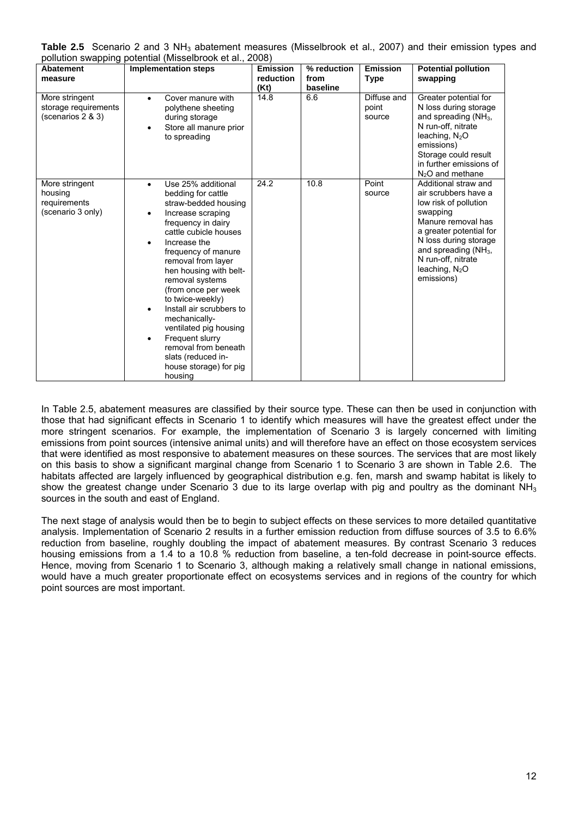|  | Table 2.5 Scenario 2 and 3 $NH3$ abatement measures (Misselbrook et al., 2007) and their emission types and |  |  |  |  |  |
|--|-------------------------------------------------------------------------------------------------------------|--|--|--|--|--|
|  | pollution swapping potential (Misselbrook et al., 2008)                                                     |  |  |  |  |  |

| Abatement<br>measure                                           | <b>Implementation steps</b>                                                                                                                                                                                                                                                                                                                                                                                                                                                                                     | <b>Emission</b><br>reduction<br>(Kt) | % reduction<br>from<br>baseline | <b>Emission</b><br><b>Type</b> | <b>Potential pollution</b><br>swapping                                                                                                                                                                                                         |
|----------------------------------------------------------------|-----------------------------------------------------------------------------------------------------------------------------------------------------------------------------------------------------------------------------------------------------------------------------------------------------------------------------------------------------------------------------------------------------------------------------------------------------------------------------------------------------------------|--------------------------------------|---------------------------------|--------------------------------|------------------------------------------------------------------------------------------------------------------------------------------------------------------------------------------------------------------------------------------------|
| More stringent<br>storage requirements<br>(scenarios 2 & 3)    | Cover manure with<br>$\bullet$<br>polythene sheeting<br>during storage<br>Store all manure prior<br>٠<br>to spreading                                                                                                                                                                                                                                                                                                                                                                                           | 14.8                                 | 6.6                             | Diffuse and<br>point<br>source | Greater potential for<br>N loss during storage<br>and spreading $(NH_3)$ ,<br>N run-off, nitrate<br>leaching, $N_2O$<br>emissions)<br>Storage could result<br>in further emissions of<br>$N2O$ and methane                                     |
| More stringent<br>housing<br>requirements<br>(scenario 3 only) | Use 25% additional<br>$\bullet$<br>bedding for cattle<br>straw-bedded housing<br>Increase scraping<br>$\bullet$<br>frequency in dairy<br>cattle cubicle houses<br>Increase the<br>٠<br>frequency of manure<br>removal from layer<br>hen housing with belt-<br>removal systems<br>(from once per week<br>to twice-weekly)<br>Install air scrubbers to<br>٠<br>mechanically-<br>ventilated pig housing<br>Frequent slurry<br>٠<br>removal from beneath<br>slats (reduced in-<br>house storage) for pig<br>housing | 24.2                                 | 10.8                            | Point<br>source                | Additional straw and<br>air scrubbers have a<br>low risk of pollution<br>swapping<br>Manure removal has<br>a greater potential for<br>N loss during storage<br>and spreading $(NH_3)$ ,<br>N run-off, nitrate<br>leaching, $N2O$<br>emissions) |

In Table 2.5, abatement measures are classified by their source type. These can then be used in conjunction with those that had significant effects in Scenario 1 to identify which measures will have the greatest effect under the more stringent scenarios. For example, the implementation of Scenario 3 is largely concerned with limiting emissions from point sources (intensive animal units) and will therefore have an effect on those ecosystem services that were identified as most responsive to abatement measures on these sources. The services that are most likely on this basis to show a significant marginal change from Scenario 1 to Scenario 3 are shown in Table 2.6. The habitats affected are largely influenced by geographical distribution e.g. fen, marsh and swamp habitat is likely to show the greatest change under Scenario 3 due to its large overlap with pig and poultry as the dominant NH<sub>3</sub> sources in the south and east of England.

The next stage of analysis would then be to begin to subject effects on these services to more detailed quantitative analysis. Implementation of Scenario 2 results in a further emission reduction from diffuse sources of 3.5 to 6.6% reduction from baseline, roughly doubling the impact of abatement measures. By contrast Scenario 3 reduces housing emissions from a 1.4 to a 10.8 % reduction from baseline, a ten-fold decrease in point-source effects. Hence, moving from Scenario 1 to Scenario 3, although making a relatively small change in national emissions, would have a much greater proportionate effect on ecosystems services and in regions of the country for which point sources are most important.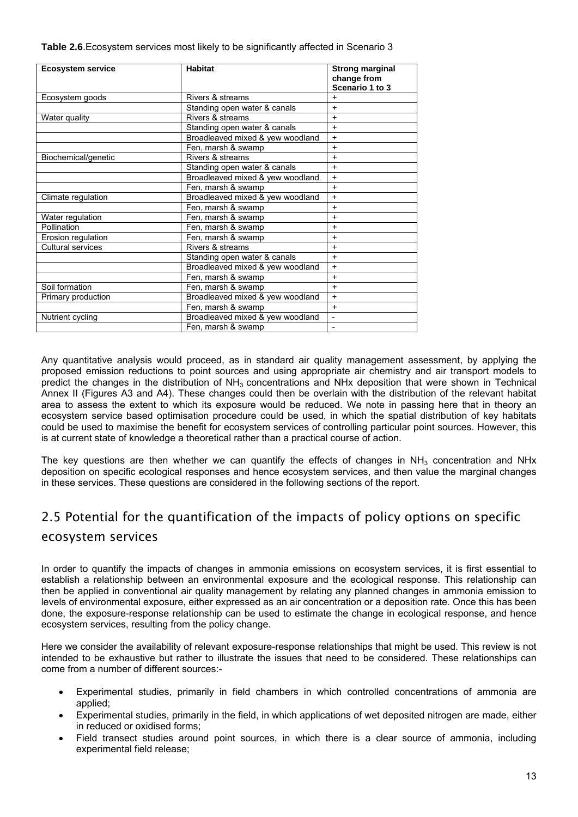<span id="page-16-0"></span>

| Table 2.6. Ecosystem services most likely to be significantly affected in Scenario 3 |  |  |
|--------------------------------------------------------------------------------------|--|--|
|--------------------------------------------------------------------------------------|--|--|

| <b>Ecosystem service</b> | <b>Habitat</b>                   | <b>Strong marginal</b><br>change from<br>Scenario 1 to 3 |
|--------------------------|----------------------------------|----------------------------------------------------------|
| Ecosystem goods          | Rivers & streams                 | $\ddot{}$                                                |
|                          | Standing open water & canals     | $+$                                                      |
| Water quality            | Rivers & streams                 | $+$                                                      |
|                          | Standing open water & canals     | $+$                                                      |
|                          | Broadleaved mixed & yew woodland | $+$                                                      |
|                          | Fen, marsh & swamp               | $+$                                                      |
| Biochemical/genetic      | Rivers & streams                 | $+$                                                      |
|                          | Standing open water & canals     | $\ddot{}$                                                |
|                          | Broadleaved mixed & yew woodland | $+$                                                      |
|                          | Fen, marsh & swamp               | $\ddot{}$                                                |
| Climate regulation       | Broadleaved mixed & yew woodland | $+$                                                      |
|                          | Fen, marsh & swamp               | $\ddot{}$                                                |
| Water regulation         | Fen, marsh & swamp               | $+$                                                      |
| Pollination              | Fen, marsh & swamp               | $+$                                                      |
| Erosion regulation       | Fen, marsh & swamp               | $\ddot{}$                                                |
| <b>Cultural services</b> | Rivers & streams                 | $+$                                                      |
|                          | Standing open water & canals     | $+$                                                      |
|                          | Broadleaved mixed & yew woodland | $+$                                                      |
|                          | Fen, marsh & swamp               | $+$                                                      |
| Soil formation           | Fen, marsh & swamp               | $+$                                                      |
| Primary production       | Broadleaved mixed & yew woodland | $\ddot{}$                                                |
|                          | Fen, marsh & swamp               | $+$                                                      |
| Nutrient cycling         | Broadleaved mixed & yew woodland | $\overline{a}$                                           |
|                          | Fen, marsh & swamp               |                                                          |

Any quantitative analysis would proceed, as in standard air quality management assessment, by applying the proposed emission reductions to point sources and using appropriate air chemistry and air transport models to predict the changes in the distribution of NH3 concentrations and NHx deposition that were shown in Technical Annex II (Figures A3 and A4). These changes could then be overlain with the distribution of the relevant habitat area to assess the extent to which its exposure would be reduced. We note in passing here that in theory an ecosystem service based optimisation procedure could be used, in which the spatial distribution of key habitats could be used to maximise the benefit for ecosystem services of controlling particular point sources. However, this is at current state of knowledge a theoretical rather than a practical course of action.

The key questions are then whether we can quantify the effects of changes in  $NH<sub>3</sub>$  concentration and NHx deposition on specific ecological responses and hence ecosystem services, and then value the marginal changes in these services. These questions are considered in the following sections of the report.

## 2.5 Potential for the quantification of the impacts of policy options on specific ecosystem services

In order to quantify the impacts of changes in ammonia emissions on ecosystem services, it is first essential to establish a relationship between an environmental exposure and the ecological response. This relationship can then be applied in conventional air quality management by relating any planned changes in ammonia emission to levels of environmental exposure, either expressed as an air concentration or a deposition rate. Once this has been done, the exposure-response relationship can be used to estimate the change in ecological response, and hence ecosystem services, resulting from the policy change.

Here we consider the availability of relevant exposure-response relationships that might be used. This review is not intended to be exhaustive but rather to illustrate the issues that need to be considered. These relationships can come from a number of different sources:-

- Experimental studies, primarily in field chambers in which controlled concentrations of ammonia are applied;
- Experimental studies, primarily in the field, in which applications of wet deposited nitrogen are made, either in reduced or oxidised forms;
- Field transect studies around point sources, in which there is a clear source of ammonia, including experimental field release;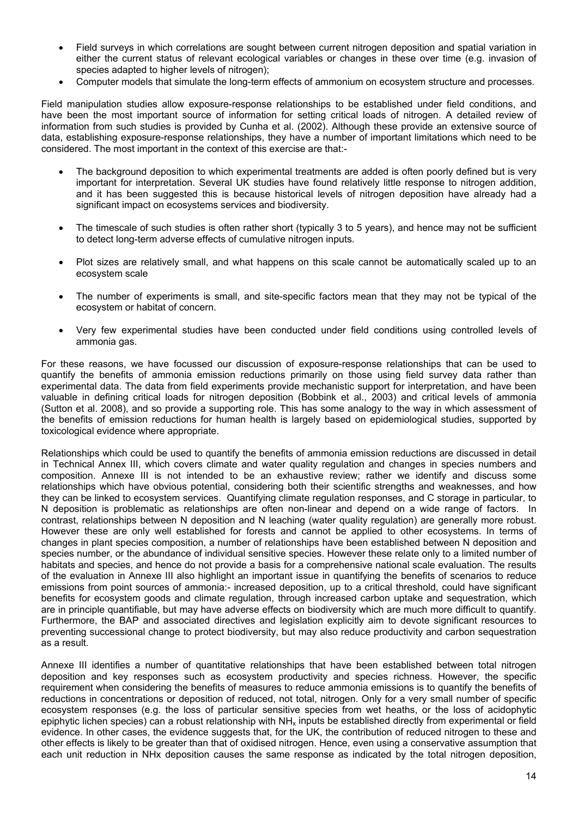- Field surveys in which correlations are sought between current nitrogen deposition and spatial variation in either the current status of relevant ecological variables or changes in these over time (e.g. invasion of species adapted to higher levels of nitrogen);
- Computer models that simulate the long-term effects of ammonium on ecosystem structure and processes.

Field manipulation studies allow exposure-response relationships to be established under field conditions, and have been the most important source of information for setting critical loads of nitrogen. A detailed review of information from such studies is provided by Cunha et al. (2002). Although these provide an extensive source of data, establishing exposure-response relationships, they have a number of important limitations which need to be considered. The most important in the context of this exercise are that:-

- The background deposition to which experimental treatments are added is often poorly defined but is very important for interpretation. Several UK studies have found relatively little response to nitrogen addition, and it has been suggested this is because historical levels of nitrogen deposition have already had a significant impact on ecosystems services and biodiversity.
- The timescale of such studies is often rather short (typically 3 to 5 years), and hence may not be sufficient to detect long-term adverse effects of cumulative nitrogen inputs.
- Plot sizes are relatively small, and what happens on this scale cannot be automatically scaled up to an ecosystem scale
- The number of experiments is small, and site-specific factors mean that they may not be typical of the ecosystem or habitat of concern.
- Very few experimental studies have been conducted under field conditions using controlled levels of ammonia gas.

For these reasons, we have focussed our discussion of exposure-response relationships that can be used to quantify the benefits of ammonia emission reductions primarily on those using field survey data rather than experimental data. The data from field experiments provide mechanistic support for interpretation, and have been valuable in defining critical loads for nitrogen deposition (Bobbink et al., 2003) and critical levels of ammonia (Sutton et al. 2008), and so provide a supporting role. This has some analogy to the way in which assessment of the benefits of emission reductions for human health is largely based on epidemiological studies, supported by toxicological evidence where appropriate.

Relationships which could be used to quantify the benefits of ammonia emission reductions are discussed in detail in Technical Annex III, which covers climate and water quality regulation and changes in species numbers and composition. Annexe III is not intended to be an exhaustive review; rather we identify and discuss some relationships which have obvious potential, considering both their scientific strengths and weaknesses, and how they can be linked to ecosystem services. Quantifying climate regulation responses, and C storage in particular, to N deposition is problematic as relationships are often non-linear and depend on a wide range of factors. In contrast, relationships between N deposition and N leaching (water quality regulation) are generally more robust. However these are only well established for forests and cannot be applied to other ecosystems. In terms of changes in plant species composition, a number of relationships have been established between N deposition and species number, or the abundance of individual sensitive species. However these relate only to a limited number of habitats and species, and hence do not provide a basis for a comprehensive national scale evaluation. The results of the evaluation in Annexe III also highlight an important issue in quantifying the benefits of scenarios to reduce emissions from point sources of ammonia:- increased deposition, up to a critical threshold, could have significant benefits for ecosystem goods and climate regulation, through increased carbon uptake and sequestration, which are in principle quantifiable, but may have adverse effects on biodiversity which are much more difficult to quantify. Furthermore, the BAP and associated directives and legislation explicitly aim to devote significant resources to preventing successional change to protect biodiversity, but may also reduce productivity and carbon sequestration as a result.

Annexe III identifies a number of quantitative relationships that have been established between total nitrogen deposition and key responses such as ecosystem productivity and species richness. However, the specific requirement when considering the benefits of measures to reduce ammonia emissions is to quantify the benefits of reductions in concentrations or deposition of reduced, not total, nitrogen. Only for a very small number of specific ecosystem responses (e.g. the loss of particular sensitive species from wet heaths, or the loss of acidophytic epiphytic lichen species) can a robust relationship with  $NH<sub>x</sub>$  inputs be established directly from experimental or field evidence. In other cases, the evidence suggests that, for the UK, the contribution of reduced nitrogen to these and other effects is likely to be greater than that of oxidised nitrogen. Hence, even using a conservative assumption that each unit reduction in NHx deposition causes the same response as indicated by the total nitrogen deposition,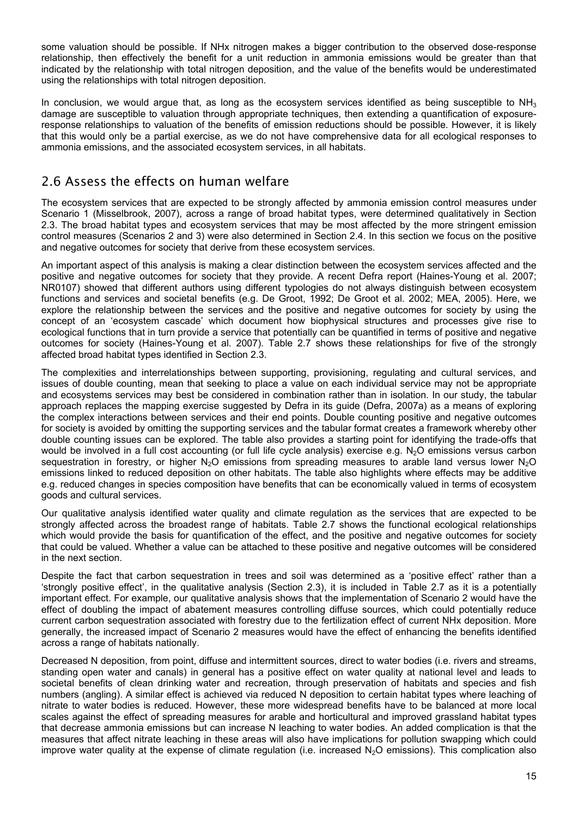<span id="page-18-0"></span>some valuation should be possible. If NHx nitrogen makes a bigger contribution to the observed dose-response relationship, then effectively the benefit for a unit reduction in ammonia emissions would be greater than that indicated by the relationship with total nitrogen deposition, and the value of the benefits would be underestimated using the relationships with total nitrogen deposition.

In conclusion, we would argue that, as long as the ecosystem services identified as being susceptible to  $NH<sub>3</sub>$ damage are susceptible to valuation through appropriate techniques, then extending a quantification of exposureresponse relationships to valuation of the benefits of emission reductions should be possible. However, it is likely that this would only be a partial exercise, as we do not have comprehensive data for all ecological responses to ammonia emissions, and the associated ecosystem services, in all habitats.

## 2.6 Assess the effects on human welfare

The ecosystem services that are expected to be strongly affected by ammonia emission control measures under Scenario 1 (Misselbrook, 2007), across a range of broad habitat types, were determined qualitatively in Section 2.3. The broad habitat types and ecosystem services that may be most affected by the more stringent emission control measures (Scenarios 2 and 3) were also determined in Section 2.4. In this section we focus on the positive and negative outcomes for society that derive from these ecosystem services.

An important aspect of this analysis is making a clear distinction between the ecosystem services affected and the positive and negative outcomes for society that they provide. A recent Defra report (Haines-Young et al. 2007; NR0107) showed that different authors using different typologies do not always distinguish between ecosystem functions and services and societal benefits (e.g. De Groot, 1992; De Groot et al. 2002; MEA, 2005). Here, we explore the relationship between the services and the positive and negative outcomes for society by using the concept of an 'ecosystem cascade' which document how biophysical structures and processes give rise to ecological functions that in turn provide a service that potentially can be quantified in terms of positive and negative outcomes for society (Haines-Young et al. 2007). Table 2.7 shows these relationships for five of the strongly affected broad habitat types identified in Section 2.3.

The complexities and interrelationships between supporting, provisioning, regulating and cultural services, and issues of double counting, mean that seeking to place a value on each individual service may not be appropriate and ecosystems services may best be considered in combination rather than in isolation. In our study, the tabular approach replaces the mapping exercise suggested by Defra in its guide (Defra, 2007a) as a means of exploring the complex interactions between services and their end points. Double counting positive and negative outcomes for society is avoided by omitting the supporting services and the tabular format creates a framework whereby other double counting issues can be explored. The table also provides a starting point for identifying the trade-offs that would be involved in a full cost accounting (or full life cycle analysis) exercise e.g.  $N_2O$  emissions versus carbon sequestration in forestry, or higher N<sub>2</sub>O emissions from spreading measures to arable land versus lower N<sub>2</sub>O emissions linked to reduced deposition on other habitats. The table also highlights where effects may be additive e.g. reduced changes in species composition have benefits that can be economically valued in terms of ecosystem goods and cultural services.

Our qualitative analysis identified water quality and climate regulation as the services that are expected to be strongly affected across the broadest range of habitats. Table 2.7 shows the functional ecological relationships which would provide the basis for quantification of the effect, and the positive and negative outcomes for society that could be valued. Whether a value can be attached to these positive and negative outcomes will be considered in the next section.

Despite the fact that carbon sequestration in trees and soil was determined as a 'positive effect' rather than a 'strongly positive effect', in the qualitative analysis (Section 2.3), it is included in Table 2.7 as it is a potentially important effect. For example, our qualitative analysis shows that the implementation of Scenario 2 would have the effect of doubling the impact of abatement measures controlling diffuse sources, which could potentially reduce current carbon sequestration associated with forestry due to the fertilization effect of current NHx deposition. More generally, the increased impact of Scenario 2 measures would have the effect of enhancing the benefits identified across a range of habitats nationally.

Decreased N deposition, from point, diffuse and intermittent sources, direct to water bodies (i.e. rivers and streams, standing open water and canals) in general has a positive effect on water quality at national level and leads to societal benefits of clean drinking water and recreation, through preservation of habitats and species and fish numbers (angling). A similar effect is achieved via reduced N deposition to certain habitat types where leaching of nitrate to water bodies is reduced. However, these more widespread benefits have to be balanced at more local scales against the effect of spreading measures for arable and horticultural and improved grassland habitat types that decrease ammonia emissions but can increase N leaching to water bodies. An added complication is that the measures that affect nitrate leaching in these areas will also have implications for pollution swapping which could improve water quality at the expense of climate regulation (i.e. increased N<sub>2</sub>O emissions). This complication also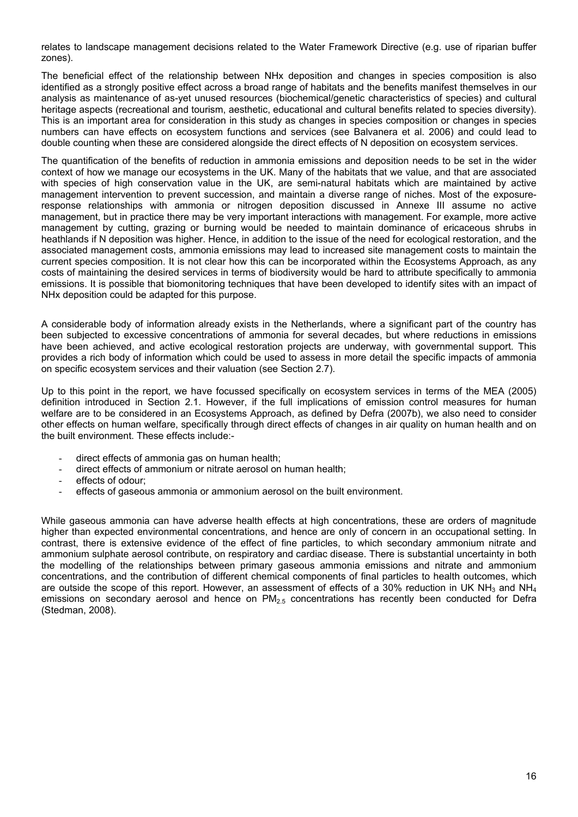relates to landscape management decisions related to the Water Framework Directive (e.g. use of riparian buffer zones).

The beneficial effect of the relationship between NHx deposition and changes in species composition is also identified as a strongly positive effect across a broad range of habitats and the benefits manifest themselves in our analysis as maintenance of as-yet unused resources (biochemical/genetic characteristics of species) and cultural heritage aspects (recreational and tourism, aesthetic, educational and cultural benefits related to species diversity). This is an important area for consideration in this study as changes in species composition or changes in species numbers can have effects on ecosystem functions and services (see Balvanera et al. 2006) and could lead to double counting when these are considered alongside the direct effects of N deposition on ecosystem services.

The quantification of the benefits of reduction in ammonia emissions and deposition needs to be set in the wider context of how we manage our ecosystems in the UK. Many of the habitats that we value, and that are associated with species of high conservation value in the UK, are semi-natural habitats which are maintained by active management intervention to prevent succession, and maintain a diverse range of niches. Most of the exposureresponse relationships with ammonia or nitrogen deposition discussed in Annexe III assume no active management, but in practice there may be very important interactions with management. For example, more active management by cutting, grazing or burning would be needed to maintain dominance of ericaceous shrubs in heathlands if N deposition was higher. Hence, in addition to the issue of the need for ecological restoration, and the associated management costs, ammonia emissions may lead to increased site management costs to maintain the current species composition. It is not clear how this can be incorporated within the Ecosystems Approach, as any costs of maintaining the desired services in terms of biodiversity would be hard to attribute specifically to ammonia emissions. It is possible that biomonitoring techniques that have been developed to identify sites with an impact of NHx deposition could be adapted for this purpose.

A considerable body of information already exists in the Netherlands, where a significant part of the country has been subjected to excessive concentrations of ammonia for several decades, but where reductions in emissions have been achieved, and active ecological restoration projects are underway, with governmental support. This provides a rich body of information which could be used to assess in more detail the specific impacts of ammonia on specific ecosystem services and their valuation (see Section 2.7).

Up to this point in the report, we have focussed specifically on ecosystem services in terms of the MEA (2005) definition introduced in Section 2.1. However, if the full implications of emission control measures for human welfare are to be considered in an Ecosystems Approach, as defined by Defra (2007b), we also need to consider other effects on human welfare, specifically through direct effects of changes in air quality on human health and on the built environment. These effects include:-

- direct effects of ammonia gas on human health;
- direct effects of ammonium or nitrate aerosol on human health;
- effects of odour;
- effects of gaseous ammonia or ammonium aerosol on the built environment.

While gaseous ammonia can have adverse health effects at high concentrations, these are orders of magnitude higher than expected environmental concentrations, and hence are only of concern in an occupational setting. In contrast, there is extensive evidence of the effect of fine particles, to which secondary ammonium nitrate and ammonium sulphate aerosol contribute, on respiratory and cardiac disease. There is substantial uncertainty in both the modelling of the relationships between primary gaseous ammonia emissions and nitrate and ammonium concentrations, and the contribution of different chemical components of final particles to health outcomes, which are outside the scope of this report. However, an assessment of effects of a 30% reduction in UK NH<sub>3</sub> and NH<sub>4</sub> emissions on secondary aerosol and hence on  $PM<sub>2.5</sub>$  concentrations has recently been conducted for Defra (Stedman, 2008).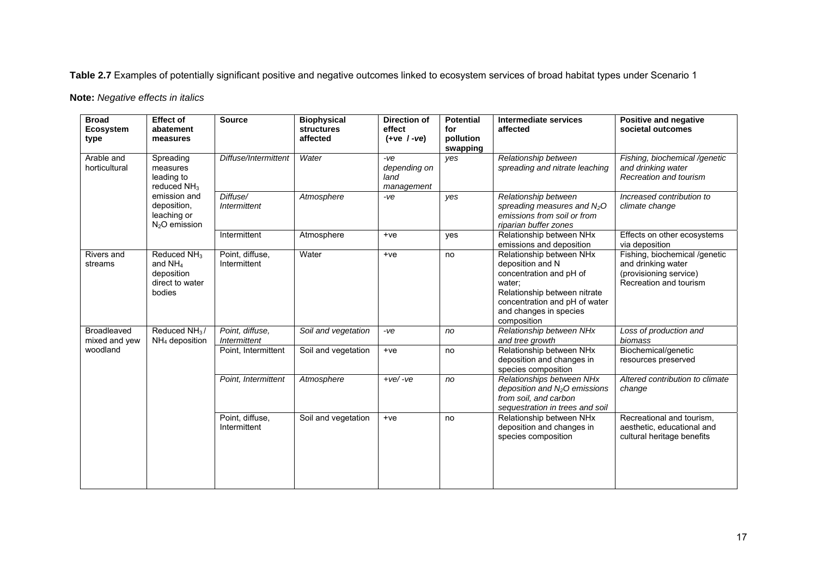**Table 2.7** Examples of potentially significant positive and negative outcomes linked to ecosystem services of broad habitat types under Scenario 1

**Note:** *Negative effects in italics* 

| <b>Broad</b><br><b>Ecosystem</b><br>type | <b>Effect of</b><br>abatement<br>measures                                       | <b>Source</b>                   | <b>Biophysical</b><br><b>structures</b><br>affected | <b>Direction of</b><br>effect<br>$(+ve / -ve)$ | <b>Potential</b><br>for<br>pollution<br>swapping | Intermediate services<br>affected                                                                                                                                                           | <b>Positive and negative</b><br>societal outcomes                                                       |
|------------------------------------------|---------------------------------------------------------------------------------|---------------------------------|-----------------------------------------------------|------------------------------------------------|--------------------------------------------------|---------------------------------------------------------------------------------------------------------------------------------------------------------------------------------------------|---------------------------------------------------------------------------------------------------------|
| Arable and<br>horticultural              | Spreading<br>measures<br>leading to<br>reduced $NH3$                            | Diffuse/Intermittent            | Water                                               | $-ve$<br>depending on<br>land<br>management    | yes                                              | Relationship between<br>spreading and nitrate leaching                                                                                                                                      | Fishing, biochemical /genetic<br>and drinking water<br>Recreation and tourism                           |
|                                          | emission and<br>deposition,<br>leaching or<br>$N2O$ emission                    | Diffuse/<br><b>Intermittent</b> | Atmosphere                                          | $-ve$                                          | yes                                              | Relationship between<br>spreading measures and $N2O$<br>emissions from soil or from<br>riparian buffer zones                                                                                | Increased contribution to<br>climate change                                                             |
|                                          |                                                                                 | Intermittent                    | Atmosphere                                          | $+ve$                                          | yes                                              | Relationship between NHx<br>emissions and deposition                                                                                                                                        | Effects on other ecosystems<br>via deposition                                                           |
| Rivers and<br>streams                    | Reduced NH <sub>3</sub><br>and $NH4$<br>deposition<br>direct to water<br>bodies | Point, diffuse,<br>Intermittent | Water                                               | $+ve$                                          | no                                               | Relationship between NHx<br>deposition and N<br>concentration and pH of<br>water:<br>Relationship between nitrate<br>concentration and pH of water<br>and changes in species<br>composition | Fishing, biochemical /genetic<br>and drinking water<br>(provisioning service)<br>Recreation and tourism |
| <b>Broadleaved</b><br>mixed and yew      | Reduced NH <sub>3</sub> /<br>$NH4$ deposition                                   | Point, diffuse,<br>Intermittent | Soil and vegetation                                 | $-ve$                                          | no                                               | Relationship between NHx<br>and tree growth                                                                                                                                                 | Loss of production and<br>biomass                                                                       |
| woodland                                 |                                                                                 | Point, Intermittent             | Soil and vegetation                                 | $+ve$                                          | no                                               | Relationship between NHx<br>deposition and changes in<br>species composition                                                                                                                | Biochemical/genetic<br>resources preserved                                                              |
|                                          |                                                                                 | Point, Intermittent             | Atmosphere                                          | $+ve/$ -ve                                     | no                                               | Relationships between NHx<br>deposition and $N_2O$ emissions<br>from soil, and carbon<br>sequestration in trees and soil                                                                    | Altered contribution to climate<br>change                                                               |
|                                          |                                                                                 | Point, diffuse,<br>Intermittent | Soil and vegetation                                 | $+ve$                                          | no                                               | Relationship between NHx<br>deposition and changes in<br>species composition                                                                                                                | Recreational and tourism,<br>aesthetic, educational and<br>cultural heritage benefits                   |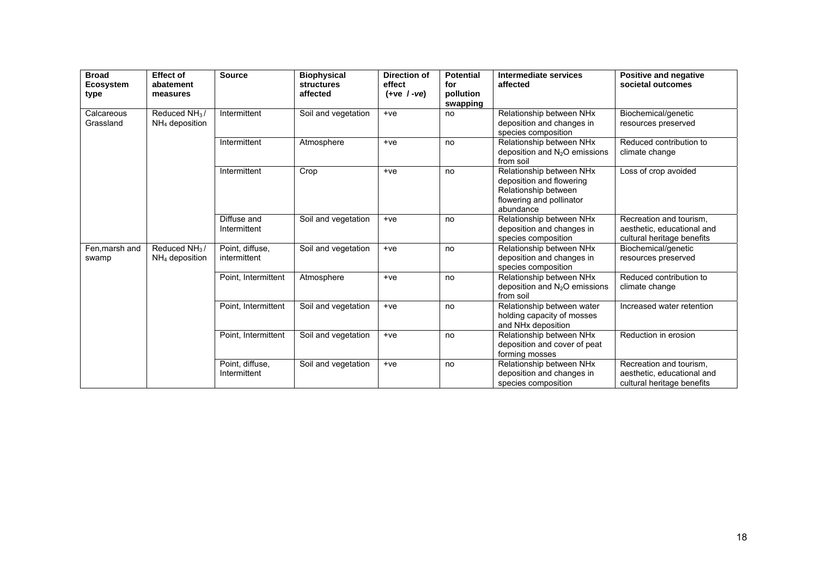| <b>Broad</b><br><b>Ecosystem</b><br>type | <b>Effect of</b><br>abatement<br>measures     | <b>Source</b>                   | <b>Biophysical</b><br><b>structures</b><br>affected | <b>Direction of</b><br>effect<br>$(+ve / -ve)$ | <b>Potential</b><br>for<br>pollution<br>swapping | Intermediate services<br>affected                                                                                     | Positive and negative<br>societal outcomes                                          |
|------------------------------------------|-----------------------------------------------|---------------------------------|-----------------------------------------------------|------------------------------------------------|--------------------------------------------------|-----------------------------------------------------------------------------------------------------------------------|-------------------------------------------------------------------------------------|
| Calcareous<br>Grassland                  | Reduced NH <sub>3</sub> /<br>$NH4$ deposition | Intermittent                    | Soil and vegetation                                 | $+ve$                                          | no                                               | Relationship between NHx<br>deposition and changes in<br>species composition                                          | Biochemical/genetic<br>resources preserved                                          |
|                                          |                                               | Intermittent                    | Atmosphere                                          | $+ve$                                          | no                                               | Relationship between NHx<br>deposition and N <sub>2</sub> O emissions<br>from soil                                    | Reduced contribution to<br>climate change                                           |
|                                          |                                               | Intermittent                    | Crop                                                | $+ve$                                          | no                                               | Relationship between NHx<br>deposition and flowering<br>Relationship between<br>flowering and pollinator<br>abundance | Loss of crop avoided                                                                |
|                                          |                                               | Diffuse and<br>Intermittent     | Soil and vegetation                                 | $+ve$                                          | no                                               | Relationship between NHx<br>deposition and changes in<br>species composition                                          | Recreation and tourism.<br>aesthetic, educational and<br>cultural heritage benefits |
| Fen, marsh and<br>swamp                  | Reduced $NH3$ /<br>$NH4$ deposition           | Point, diffuse,<br>intermittent | Soil and vegetation                                 | $+ve$                                          | no                                               | Relationship between NHx<br>deposition and changes in<br>species composition                                          | Biochemical/genetic<br>resources preserved                                          |
|                                          |                                               | Point, Intermittent             | Atmosphere                                          | $+ve$                                          | no                                               | Relationship between NHx<br>deposition and $N_2O$ emissions<br>from soil                                              | Reduced contribution to<br>climate change                                           |
|                                          |                                               | Point, Intermittent             | Soil and vegetation                                 | $+ve$                                          | no                                               | Relationship between water<br>holding capacity of mosses<br>and NHx deposition                                        | Increased water retention                                                           |
|                                          |                                               | Point, Intermittent             | Soil and vegetation                                 | $+ve$                                          | no                                               | Relationship between NHx<br>deposition and cover of peat<br>forming mosses                                            | Reduction in erosion                                                                |
|                                          |                                               | Point, diffuse,<br>Intermittent | Soil and vegetation                                 | $+ve$                                          | no                                               | Relationship between NHx<br>deposition and changes in<br>species composition                                          | Recreation and tourism.<br>aesthetic, educational and<br>cultural heritage benefits |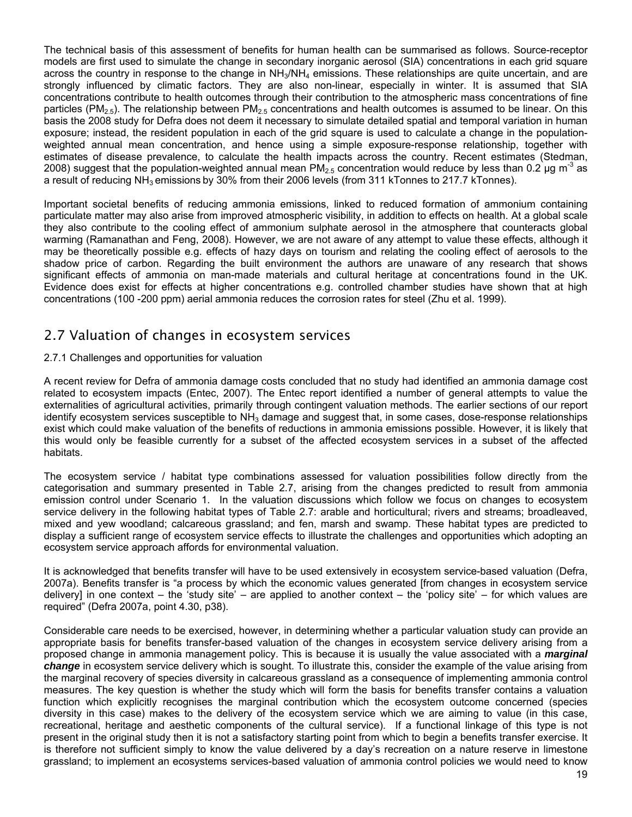<span id="page-22-0"></span>The technical basis of this assessment of benefits for human health can be summarised as follows. Source-receptor models are first used to simulate the change in secondary inorganic aerosol (SIA) concentrations in each grid square across the country in response to the change in  $NH<sub>3</sub>/NH<sub>4</sub>$  emissions. These relationships are quite uncertain, and are strongly influenced by climatic factors. They are also non-linear, especially in winter. It is assumed that SIA concentrations contribute to health outcomes through their contribution to the atmospheric mass concentrations of fine particles (PM<sub>2.5</sub>). The relationship between PM<sub>2.5</sub> concentrations and health outcomes is assumed to be linear. On this basis the 2008 study for Defra does not deem it necessary to simulate detailed spatial and temporal variation in human exposure; instead, the resident population in each of the grid square is used to calculate a change in the populationweighted annual mean concentration, and hence using a simple exposure-response relationship, together with estimates of disease prevalence, to calculate the health impacts across the country. Recent estimates (Stedman, 2008) suggest that the population-weighted annual mean PM<sub>2.5</sub> concentration would reduce by less than 0.2 µg m<sup>-3</sup> as a result of reducing NH<sub>3</sub> emissions by 30% from their 2006 levels (from 311 kTonnes to 217.7 kTonnes).

Important societal benefits of reducing ammonia emissions, linked to reduced formation of ammonium containing particulate matter may also arise from improved atmospheric visibility, in addition to effects on health. At a global scale they also contribute to the cooling effect of ammonium sulphate aerosol in the atmosphere that counteracts global warming (Ramanathan and Feng, 2008). However, we are not aware of any attempt to value these effects, although it may be theoretically possible e.g. effects of hazy days on tourism and relating the cooling effect of aerosols to the shadow price of carbon. Regarding the built environment the authors are unaware of any research that shows significant effects of ammonia on man-made materials and cultural heritage at concentrations found in the UK. Evidence does exist for effects at higher concentrations e.g. controlled chamber studies have shown that at high concentrations (100 -200 ppm) aerial ammonia reduces the corrosion rates for steel (Zhu et al. 1999).

## 2.7 Valuation of changes in ecosystem services

## 2.7.1 Challenges and opportunities for valuation

A recent review for Defra of ammonia damage costs concluded that no study had identified an ammonia damage cost related to ecosystem impacts (Entec, 2007). The Entec report identified a number of general attempts to value the externalities of agricultural activities, primarily through contingent valuation methods. The earlier sections of our report identify ecosystem services susceptible to  $NH<sub>3</sub>$  damage and suggest that, in some cases, dose-response relationships exist which could make valuation of the benefits of reductions in ammonia emissions possible. However, it is likely that this would only be feasible currently for a subset of the affected ecosystem services in a subset of the affected habitats.

The ecosystem service / habitat type combinations assessed for valuation possibilities follow directly from the categorisation and summary presented in Table 2.7, arising from the changes predicted to result from ammonia emission control under Scenario 1. In the valuation discussions which follow we focus on changes to ecosystem service delivery in the following habitat types of Table 2.7: arable and horticultural; rivers and streams; broadleaved, mixed and yew woodland; calcareous grassland; and fen, marsh and swamp. These habitat types are predicted to display a sufficient range of ecosystem service effects to illustrate the challenges and opportunities which adopting an ecosystem service approach affords for environmental valuation.

It is acknowledged that benefits transfer will have to be used extensively in ecosystem service-based valuation (Defra, 2007a). Benefits transfer is "a process by which the economic values generated [from changes in ecosystem service delivery] in one context – the 'study site' – are applied to another context – the 'policy site' – for which values are required" (Defra 2007a, point 4.30, p38).

Considerable care needs to be exercised, however, in determining whether a particular valuation study can provide an appropriate basis for benefits transfer-based valuation of the changes in ecosystem service delivery arising from a proposed change in ammonia management policy. This is because it is usually the value associated with a *marginal change* in ecosystem service delivery which is sought. To illustrate this, consider the example of the value arising from the marginal recovery of species diversity in calcareous grassland as a consequence of implementing ammonia control measures. The key question is whether the study which will form the basis for benefits transfer contains a valuation function which explicitly recognises the marginal contribution which the ecosystem outcome concerned (species diversity in this case) makes to the delivery of the ecosystem service which we are aiming to value (in this case, recreational, heritage and aesthetic components of the cultural service). If a functional linkage of this type is not present in the original study then it is not a satisfactory starting point from which to begin a benefits transfer exercise. It is therefore not sufficient simply to know the value delivered by a day's recreation on a nature reserve in limestone grassland; to implement an ecosystems services-based valuation of ammonia control policies we would need to know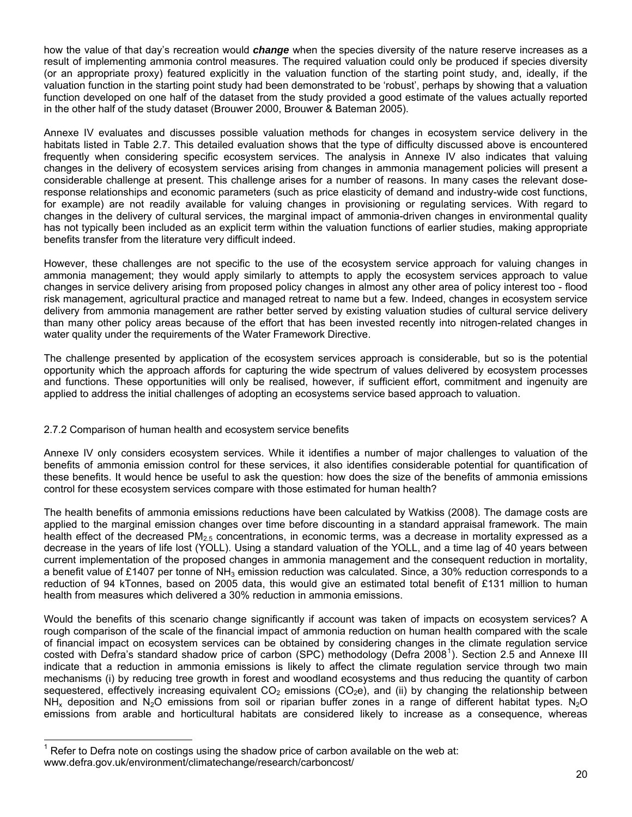<span id="page-23-0"></span>how the value of that day's recreation would *change* when the species diversity of the nature reserve increases as a result of implementing ammonia control measures. The required valuation could only be produced if species diversity (or an appropriate proxy) featured explicitly in the valuation function of the starting point study, and, ideally, if the valuation function in the starting point study had been demonstrated to be 'robust', perhaps by showing that a valuation function developed on one half of the dataset from the study provided a good estimate of the values actually reported in the other half of the study dataset (Brouwer 2000, Brouwer & Bateman 2005).

Annexe IV evaluates and discusses possible valuation methods for changes in ecosystem service delivery in the habitats listed in Table 2.7. This detailed evaluation shows that the type of difficulty discussed above is encountered frequently when considering specific ecosystem services. The analysis in Annexe IV also indicates that valuing changes in the delivery of ecosystem services arising from changes in ammonia management policies will present a considerable challenge at present. This challenge arises for a number of reasons. In many cases the relevant doseresponse relationships and economic parameters (such as price elasticity of demand and industry-wide cost functions, for example) are not readily available for valuing changes in provisioning or regulating services. With regard to changes in the delivery of cultural services, the marginal impact of ammonia-driven changes in environmental quality has not typically been included as an explicit term within the valuation functions of earlier studies, making appropriate benefits transfer from the literature very difficult indeed.

However, these challenges are not specific to the use of the ecosystem service approach for valuing changes in ammonia management; they would apply similarly to attempts to apply the ecosystem services approach to value changes in service delivery arising from proposed policy changes in almost any other area of policy interest too - flood risk management, agricultural practice and managed retreat to name but a few. Indeed, changes in ecosystem service delivery from ammonia management are rather better served by existing valuation studies of cultural service delivery than many other policy areas because of the effort that has been invested recently into nitrogen-related changes in water quality under the requirements of the Water Framework Directive.

The challenge presented by application of the ecosystem services approach is considerable, but so is the potential opportunity which the approach affords for capturing the wide spectrum of values delivered by ecosystem processes and functions. These opportunities will only be realised, however, if sufficient effort, commitment and ingenuity are applied to address the initial challenges of adopting an ecosystems service based approach to valuation.

## 2.7.2 Comparison of human health and ecosystem service benefits

Annexe IV only considers ecosystem services. While it identifies a number of major challenges to valuation of the benefits of ammonia emission control for these services, it also identifies considerable potential for quantification of these benefits. It would hence be useful to ask the question: how does the size of the benefits of ammonia emissions control for these ecosystem services compare with those estimated for human health?

The health benefits of ammonia emissions reductions have been calculated by Watkiss (2008). The damage costs are applied to the marginal emission changes over time before discounting in a standard appraisal framework. The main health effect of the decreased  $PM<sub>2.5</sub>$  concentrations, in economic terms, was a decrease in mortality expressed as a decrease in the years of life lost (YOLL). Using a standard valuation of the YOLL, and a time lag of 40 years between current implementation of the proposed changes in ammonia management and the consequent reduction in mortality, a benefit value of £1407 per tonne of  $NH<sub>3</sub>$  emission reduction was calculated. Since, a 30% reduction corresponds to a reduction of 94 kTonnes, based on 2005 data, this would give an estimated total benefit of £131 million to human health from measures which delivered a 30% reduction in ammonia emissions.

Would the benefits of this scenario change significantly if account was taken of impacts on ecosystem services? A rough comparison of the scale of the financial impact of ammonia reduction on human health compared with the scale of financial impact on ecosystem services can be obtained by considering changes in the climate regulation service costed with Defra's standard shadow price of carbon (SPC) methodology (Defra 2008<sup>[1](#page-23-0)</sup>). Section 2.5 and Annexe III indicate that a reduction in ammonia emissions is likely to affect the climate regulation service through two main mechanisms (i) by reducing tree growth in forest and woodland ecosystems and thus reducing the quantity of carbon sequestered, effectively increasing equivalent  $CO<sub>2</sub>$  emissions ( $CO<sub>2</sub>e$ ), and (ii) by changing the relationship between NH<sub>x</sub> deposition and N<sub>2</sub>O emissions from soil or riparian buffer zones in a range of different habitat types. N<sub>2</sub>O emissions from arable and horticultural habitats are considered likely to increase as a consequence, whereas

l

<sup>1</sup> Refer to Defra note on costings using the shadow price of carbon available on the web at: www.defra.gov.uk/environment/climatechange/research/carboncost/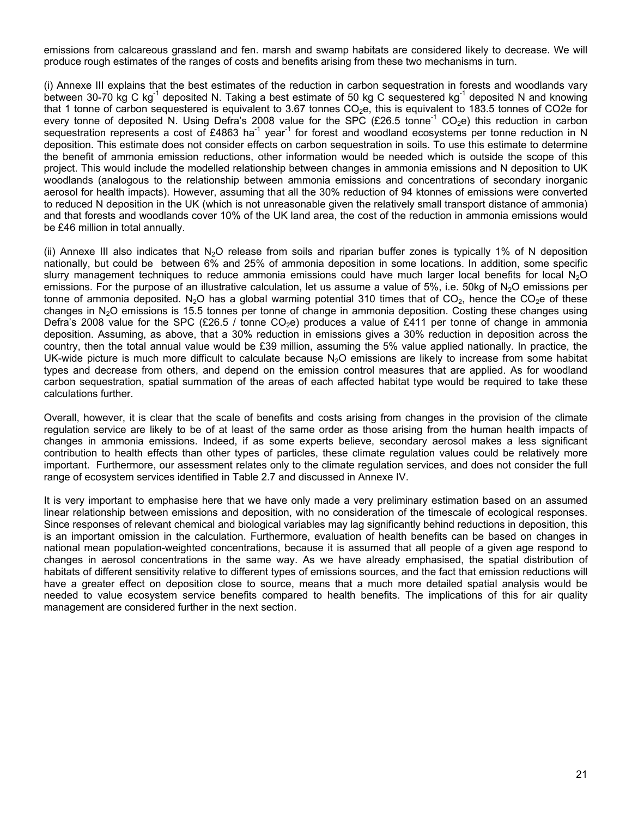emissions from calcareous grassland and fen. marsh and swamp habitats are considered likely to decrease. We will produce rough estimates of the ranges of costs and benefits arising from these two mechanisms in turn.

(i) Annexe III explains that the best estimates of the reduction in carbon sequestration in forests and woodlands vary between 30-70 kg C kg<sup>-1</sup> deposited N. Taking a best estimate of 50 kg C sequestered kg<sup>-1</sup> deposited N and knowing that 1 tonne of carbon sequestered is equivalent to 3.67 tonnes CO<sub>2</sub>e, this is equivalent to 183.5 tonnes of CO2e for every tonne of deposited N. Using Defra's 2008 value for the SPC (£26.5 tonne<sup>-1</sup> CO<sub>2</sub>e) this reduction in carbon sequestration represents a cost of £4863 ha<sup>-1</sup> year<sup>-1</sup> for forest and woodland ecosystems per tonne reduction in N deposition. This estimate does not consider effects on carbon sequestration in soils. To use this estimate to determine the benefit of ammonia emission reductions, other information would be needed which is outside the scope of this project. This would include the modelled relationship between changes in ammonia emissions and N deposition to UK woodlands (analogous to the relationship between ammonia emissions and concentrations of secondary inorganic aerosol for health impacts). However, assuming that all the 30% reduction of 94 ktonnes of emissions were converted to reduced N deposition in the UK (which is not unreasonable given the relatively small transport distance of ammonia) and that forests and woodlands cover 10% of the UK land area, the cost of the reduction in ammonia emissions would be £46 million in total annually.

(ii) Annexe III also indicates that  $N_2O$  release from soils and riparian buffer zones is typically 1% of N deposition nationally, but could be between 6% and 25% of ammonia deposition in some locations. In addition, some specific slurry management techniques to reduce ammonia emissions could have much larger local benefits for local  $N_2O$ emissions. For the purpose of an illustrative calculation, let us assume a value of 5%, i.e. 50kg of  $N<sub>2</sub>O$  emissions per tonne of ammonia deposited. N<sub>2</sub>O has a global warming potential 310 times that of CO<sub>2</sub>, hence the CO<sub>2</sub>e of these changes in N<sub>2</sub>O emissions is 15.5 tonnes per tonne of change in ammonia deposition. Costing these changes using Defra's 2008 value for the SPC (£26.5 / tonne CO<sub>2</sub>e) produces a value of £411 per tonne of change in ammonia deposition. Assuming, as above, that a 30% reduction in emissions gives a 30% reduction in deposition across the country, then the total annual value would be £39 million, assuming the 5% value applied nationally. In practice, the UK-wide picture is much more difficult to calculate because  $N<sub>2</sub>O$  emissions are likely to increase from some habitat types and decrease from others, and depend on the emission control measures that are applied. As for woodland carbon sequestration, spatial summation of the areas of each affected habitat type would be required to take these calculations further.

Overall, however, it is clear that the scale of benefits and costs arising from changes in the provision of the climate regulation service are likely to be of at least of the same order as those arising from the human health impacts of changes in ammonia emissions. Indeed, if as some experts believe, secondary aerosol makes a less significant contribution to health effects than other types of particles, these climate regulation values could be relatively more important. Furthermore, our assessment relates only to the climate regulation services, and does not consider the full range of ecosystem services identified in Table 2.7 and discussed in Annexe IV.

It is very important to emphasise here that we have only made a very preliminary estimation based on an assumed linear relationship between emissions and deposition, with no consideration of the timescale of ecological responses. Since responses of relevant chemical and biological variables may lag significantly behind reductions in deposition, this is an important omission in the calculation. Furthermore, evaluation of health benefits can be based on changes in national mean population-weighted concentrations, because it is assumed that all people of a given age respond to changes in aerosol concentrations in the same way. As we have already emphasised, the spatial distribution of habitats of different sensitivity relative to different types of emissions sources, and the fact that emission reductions will have a greater effect on deposition close to source, means that a much more detailed spatial analysis would be needed to value ecosystem service benefits compared to health benefits. The implications of this for air quality management are considered further in the next section.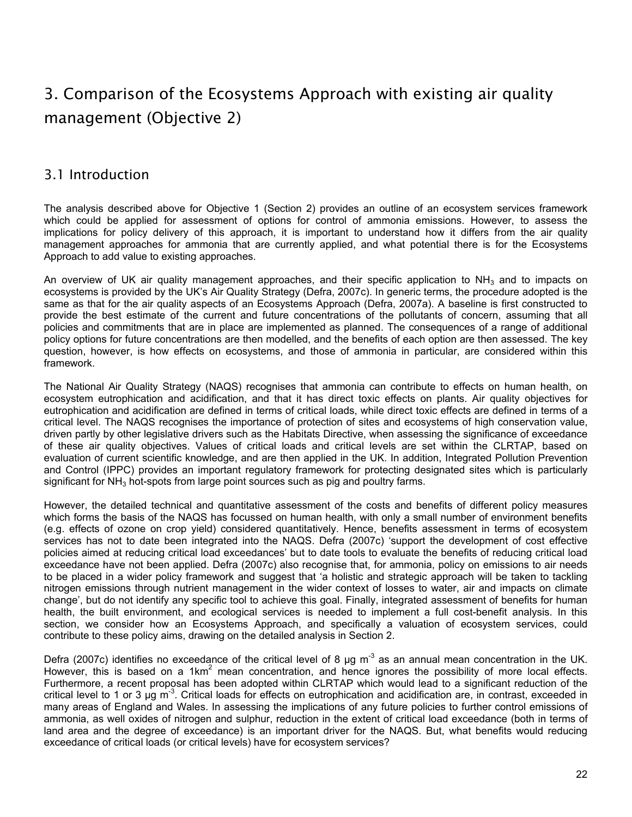# <span id="page-25-0"></span>3. Comparison of the Ecosystems Approach with existing air quality management (Objective 2)

## 3.1 Introduction

The analysis described above for Objective 1 (Section 2) provides an outline of an ecosystem services framework which could be applied for assessment of options for control of ammonia emissions. However, to assess the implications for policy delivery of this approach, it is important to understand how it differs from the air quality management approaches for ammonia that are currently applied, and what potential there is for the Ecosystems Approach to add value to existing approaches.

An overview of UK air quality management approaches, and their specific application to  $NH<sub>3</sub>$  and to impacts on ecosystems is provided by the UK's Air Quality Strategy (Defra, 2007c). In generic terms, the procedure adopted is the same as that for the air quality aspects of an Ecosystems Approach (Defra, 2007a). A baseline is first constructed to provide the best estimate of the current and future concentrations of the pollutants of concern, assuming that all policies and commitments that are in place are implemented as planned. The consequences of a range of additional policy options for future concentrations are then modelled, and the benefits of each option are then assessed. The key question, however, is how effects on ecosystems, and those of ammonia in particular, are considered within this framework.

The National Air Quality Strategy (NAQS) recognises that ammonia can contribute to effects on human health, on ecosystem eutrophication and acidification, and that it has direct toxic effects on plants. Air quality objectives for eutrophication and acidification are defined in terms of critical loads, while direct toxic effects are defined in terms of a critical level. The NAQS recognises the importance of protection of sites and ecosystems of high conservation value, driven partly by other legislative drivers such as the Habitats Directive, when assessing the significance of exceedance of these air quality objectives. Values of critical loads and critical levels are set within the CLRTAP, based on evaluation of current scientific knowledge, and are then applied in the UK. In addition, Integrated Pollution Prevention and Control (IPPC) provides an important regulatory framework for protecting designated sites which is particularly significant for  $NH<sub>3</sub>$  hot-spots from large point sources such as pig and poultry farms.

However, the detailed technical and quantitative assessment of the costs and benefits of different policy measures which forms the basis of the NAQS has focussed on human health, with only a small number of environment benefits (e.g. effects of ozone on crop yield) considered quantitatively. Hence, benefits assessment in terms of ecosystem services has not to date been integrated into the NAQS. Defra (2007c) 'support the development of cost effective policies aimed at reducing critical load exceedances' but to date tools to evaluate the benefits of reducing critical load exceedance have not been applied. Defra (2007c) also recognise that, for ammonia, policy on emissions to air needs to be placed in a wider policy framework and suggest that 'a holistic and strategic approach will be taken to tackling nitrogen emissions through nutrient management in the wider context of losses to water, air and impacts on climate change', but do not identify any specific tool to achieve this goal. Finally, integrated assessment of benefits for human health, the built environment, and ecological services is needed to implement a full cost-benefit analysis. In this section, we consider how an Ecosystems Approach, and specifically a valuation of ecosystem services, could contribute to these policy aims, drawing on the detailed analysis in Section 2.

Defra (2007c) identifies no exceedance of the critical level of 8  $\mu$ g m<sup>-3</sup> as an annual mean concentration in the UK. However, this is based on a 1 $km^2$  mean concentration, and hence ignores the possibility of more local effects. Furthermore, a recent proposal has been adopted within CLRTAP which would lead to a significant reduction of the critical level to 1 or 3 µg  $m<sup>3</sup>$ . Critical loads for effects on eutrophication and acidification are, in contrast, exceeded in many areas of England and Wales. In assessing the implications of any future policies to further control emissions of ammonia, as well oxides of nitrogen and sulphur, reduction in the extent of critical load exceedance (both in terms of land area and the degree of exceedance) is an important driver for the NAQS. But, what benefits would reducing exceedance of critical loads (or critical levels) have for ecosystem services?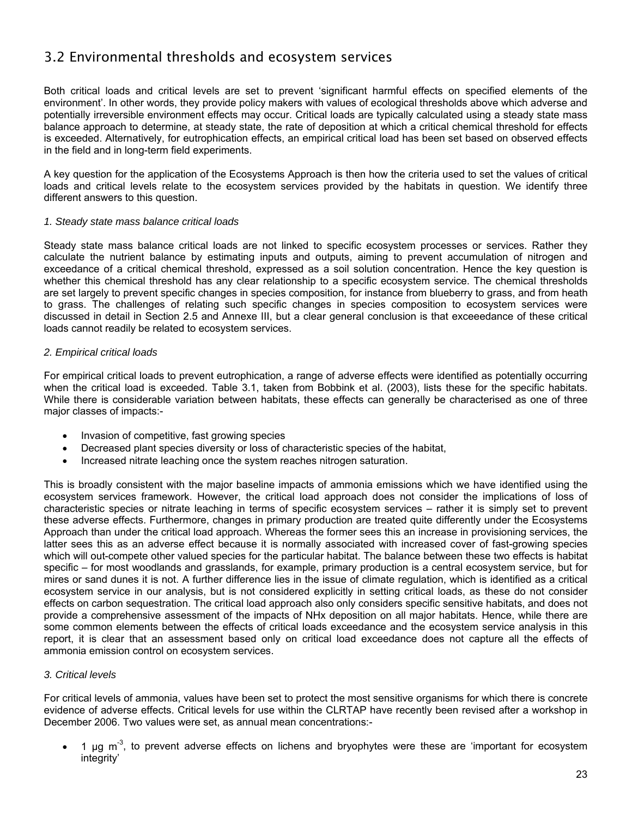## <span id="page-26-0"></span>3.2 Environmental thresholds and ecosystem services

Both critical loads and critical levels are set to prevent 'significant harmful effects on specified elements of the environment'. In other words, they provide policy makers with values of ecological thresholds above which adverse and potentially irreversible environment effects may occur. Critical loads are typically calculated using a steady state mass balance approach to determine, at steady state, the rate of deposition at which a critical chemical threshold for effects is exceeded. Alternatively, for eutrophication effects, an empirical critical load has been set based on observed effects in the field and in long-term field experiments.

A key question for the application of the Ecosystems Approach is then how the criteria used to set the values of critical loads and critical levels relate to the ecosystem services provided by the habitats in question. We identify three different answers to this question.

#### *1. Steady state mass balance critical loads*

Steady state mass balance critical loads are not linked to specific ecosystem processes or services. Rather they calculate the nutrient balance by estimating inputs and outputs, aiming to prevent accumulation of nitrogen and exceedance of a critical chemical threshold, expressed as a soil solution concentration. Hence the key question is whether this chemical threshold has any clear relationship to a specific ecosystem service. The chemical thresholds are set largely to prevent specific changes in species composition, for instance from blueberry to grass, and from heath to grass. The challenges of relating such specific changes in species composition to ecosystem services were discussed in detail in Section 2.5 and Annexe III, but a clear general conclusion is that exceeedance of these critical loads cannot readily be related to ecosystem services.

#### *2. Empirical critical loads*

For empirical critical loads to prevent eutrophication, a range of adverse effects were identified as potentially occurring when the critical load is exceeded. Table 3.1, taken from Bobbink et al. (2003), lists these for the specific habitats. While there is considerable variation between habitats, these effects can generally be characterised as one of three major classes of impacts:-

- Invasion of competitive, fast growing species
- Decreased plant species diversity or loss of characteristic species of the habitat,
- Increased nitrate leaching once the system reaches nitrogen saturation.

This is broadly consistent with the major baseline impacts of ammonia emissions which we have identified using the ecosystem services framework. However, the critical load approach does not consider the implications of loss of characteristic species or nitrate leaching in terms of specific ecosystem services – rather it is simply set to prevent these adverse effects. Furthermore, changes in primary production are treated quite differently under the Ecosystems Approach than under the critical load approach. Whereas the former sees this an increase in provisioning services, the latter sees this as an adverse effect because it is normally associated with increased cover of fast-growing species which will out-compete other valued species for the particular habitat. The balance between these two effects is habitat specific – for most woodlands and grasslands, for example, primary production is a central ecosystem service, but for mires or sand dunes it is not. A further difference lies in the issue of climate regulation, which is identified as a critical ecosystem service in our analysis, but is not considered explicitly in setting critical loads, as these do not consider effects on carbon sequestration. The critical load approach also only considers specific sensitive habitats, and does not provide a comprehensive assessment of the impacts of NHx deposition on all major habitats. Hence, while there are some common elements between the effects of critical loads exceedance and the ecosystem service analysis in this report, it is clear that an assessment based only on critical load exceedance does not capture all the effects of ammonia emission control on ecosystem services.

## *3. Critical levels*

For critical levels of ammonia, values have been set to protect the most sensitive organisms for which there is concrete evidence of adverse effects. Critical levels for use within the CLRTAP have recently been revised after a workshop in December 2006. Two values were set, as annual mean concentrations:-

 $\bullet$  1 ua m<sup>-3</sup>, to prevent adverse effects on lichens and bryophytes were these are 'important for ecosystem integrity'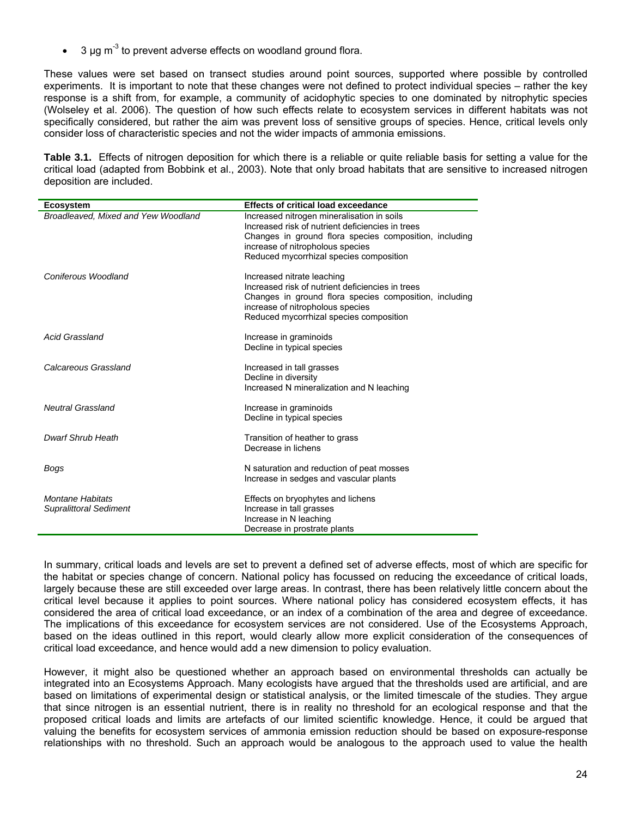3  $\mu$ g m<sup>-3</sup> to prevent adverse effects on woodland ground flora.

These values were set based on transect studies around point sources, supported where possible by controlled experiments. It is important to note that these changes were not defined to protect individual species – rather the key response is a shift from, for example, a community of acidophytic species to one dominated by nitrophytic species (Wolseley et al. 2006). The question of how such effects relate to ecosystem services in different habitats was not specifically considered, but rather the aim was prevent loss of sensitive groups of species. Hence, critical levels only consider loss of characteristic species and not the wider impacts of ammonia emissions.

**Table 3.1.** Effects of nitrogen deposition for which there is a reliable or quite reliable basis for setting a value for the critical load (adapted from Bobbink et al., 2003). Note that only broad habitats that are sensitive to increased nitrogen deposition are included.

| <b>Ecosystem</b>                                         | <b>Effects of critical load exceedance</b>                                                                                                                                                                                              |
|----------------------------------------------------------|-----------------------------------------------------------------------------------------------------------------------------------------------------------------------------------------------------------------------------------------|
| Broadleaved. Mixed and Yew Woodland                      | Increased nitrogen mineralisation in soils<br>Increased risk of nutrient deficiencies in trees<br>Changes in ground flora species composition, including<br>increase of nitropholous species<br>Reduced mycorrhizal species composition |
| Coniferous Woodland                                      | Increased nitrate leaching<br>Increased risk of nutrient deficiencies in trees<br>Changes in ground flora species composition, including<br>increase of nitropholous species<br>Reduced mycorrhizal species composition                 |
| <b>Acid Grassland</b>                                    | Increase in graminoids<br>Decline in typical species                                                                                                                                                                                    |
| Calcareous Grassland                                     | Increased in tall grasses<br>Decline in diversity<br>Increased N mineralization and N leaching                                                                                                                                          |
| <b>Neutral Grassland</b>                                 | Increase in graminoids<br>Decline in typical species                                                                                                                                                                                    |
| Dwarf Shrub Heath                                        | Transition of heather to grass<br>Decrease in lichens                                                                                                                                                                                   |
| Bogs                                                     | N saturation and reduction of peat mosses<br>Increase in sedges and vascular plants                                                                                                                                                     |
| <b>Montane Habitats</b><br><b>Supralittoral Sediment</b> | Effects on bryophytes and lichens<br>Increase in tall grasses<br>Increase in N leaching<br>Decrease in prostrate plants                                                                                                                 |

In summary, critical loads and levels are set to prevent a defined set of adverse effects, most of which are specific for the habitat or species change of concern. National policy has focussed on reducing the exceedance of critical loads, largely because these are still exceeded over large areas. In contrast, there has been relatively little concern about the critical level because it applies to point sources. Where national policy has considered ecosystem effects, it has considered the area of critical load exceedance, or an index of a combination of the area and degree of exceedance. The implications of this exceedance for ecosystem services are not considered. Use of the Ecosystems Approach, based on the ideas outlined in this report, would clearly allow more explicit consideration of the consequences of critical load exceedance, and hence would add a new dimension to policy evaluation.

However, it might also be questioned whether an approach based on environmental thresholds can actually be integrated into an Ecosystems Approach. Many ecologists have argued that the thresholds used are artificial, and are based on limitations of experimental design or statistical analysis, or the limited timescale of the studies. They argue that since nitrogen is an essential nutrient, there is in reality no threshold for an ecological response and that the proposed critical loads and limits are artefacts of our limited scientific knowledge. Hence, it could be argued that valuing the benefits for ecosystem services of ammonia emission reduction should be based on exposure-response relationships with no threshold. Such an approach would be analogous to the approach used to value the health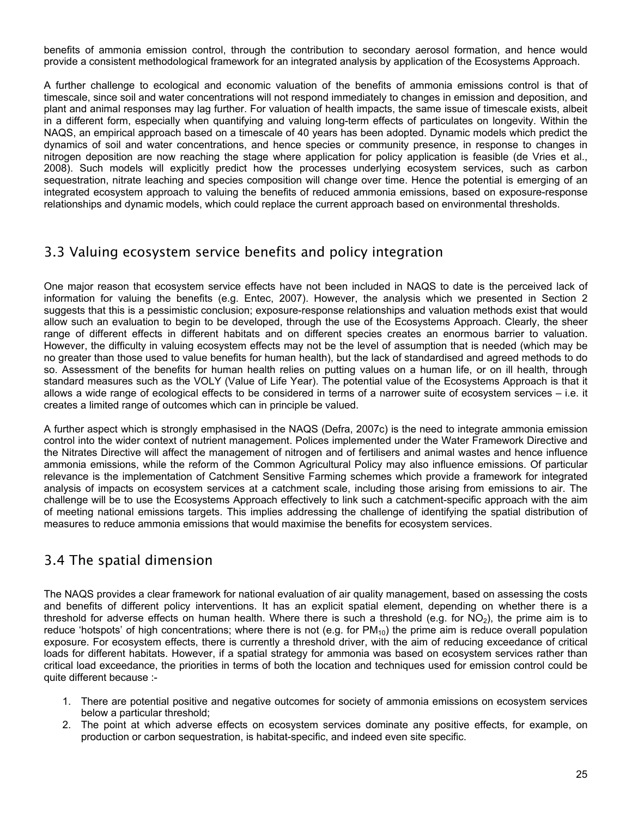<span id="page-28-0"></span>benefits of ammonia emission control, through the contribution to secondary aerosol formation, and hence would provide a consistent methodological framework for an integrated analysis by application of the Ecosystems Approach.

A further challenge to ecological and economic valuation of the benefits of ammonia emissions control is that of timescale, since soil and water concentrations will not respond immediately to changes in emission and deposition, and plant and animal responses may lag further. For valuation of health impacts, the same issue of timescale exists, albeit in a different form, especially when quantifying and valuing long-term effects of particulates on longevity. Within the NAQS, an empirical approach based on a timescale of 40 years has been adopted. Dynamic models which predict the dynamics of soil and water concentrations, and hence species or community presence, in response to changes in nitrogen deposition are now reaching the stage where application for policy application is feasible (de Vries et al., 2008). Such models will explicitly predict how the processes underlying ecosystem services, such as carbon sequestration, nitrate leaching and species composition will change over time. Hence the potential is emerging of an integrated ecosystem approach to valuing the benefits of reduced ammonia emissions, based on exposure-response relationships and dynamic models, which could replace the current approach based on environmental thresholds.

## 3.3 Valuing ecosystem service benefits and policy integration

One major reason that ecosystem service effects have not been included in NAQS to date is the perceived lack of information for valuing the benefits (e.g. Entec, 2007). However, the analysis which we presented in Section 2 suggests that this is a pessimistic conclusion; exposure-response relationships and valuation methods exist that would allow such an evaluation to begin to be developed, through the use of the Ecosystems Approach. Clearly, the sheer range of different effects in different habitats and on different species creates an enormous barrier to valuation. However, the difficulty in valuing ecosystem effects may not be the level of assumption that is needed (which may be no greater than those used to value benefits for human health), but the lack of standardised and agreed methods to do so. Assessment of the benefits for human health relies on putting values on a human life, or on ill health, through standard measures such as the VOLY (Value of Life Year). The potential value of the Ecosystems Approach is that it allows a wide range of ecological effects to be considered in terms of a narrower suite of ecosystem services – i.e. it creates a limited range of outcomes which can in principle be valued.

A further aspect which is strongly emphasised in the NAQS (Defra, 2007c) is the need to integrate ammonia emission control into the wider context of nutrient management. Polices implemented under the Water Framework Directive and the Nitrates Directive will affect the management of nitrogen and of fertilisers and animal wastes and hence influence ammonia emissions, while the reform of the Common Agricultural Policy may also influence emissions. Of particular relevance is the implementation of Catchment Sensitive Farming schemes which provide a framework for integrated analysis of impacts on ecosystem services at a catchment scale, including those arising from emissions to air. The challenge will be to use the Ecosystems Approach effectively to link such a catchment-specific approach with the aim of meeting national emissions targets. This implies addressing the challenge of identifying the spatial distribution of measures to reduce ammonia emissions that would maximise the benefits for ecosystem services.

## 3.4 The spatial dimension

The NAQS provides a clear framework for national evaluation of air quality management, based on assessing the costs and benefits of different policy interventions. It has an explicit spatial element, depending on whether there is a threshold for adverse effects on human health. Where there is such a threshold (e.g. for  $NO<sub>2</sub>$ ), the prime aim is to reduce 'hotspots' of high concentrations; where there is not (e.g. for  $PM_{10}$ ) the prime aim is reduce overall population exposure. For ecosystem effects, there is currently a threshold driver, with the aim of reducing exceedance of critical loads for different habitats. However, if a spatial strategy for ammonia was based on ecosystem services rather than critical load exceedance, the priorities in terms of both the location and techniques used for emission control could be quite different because :-

- 1. There are potential positive and negative outcomes for society of ammonia emissions on ecosystem services below a particular threshold;
- 2. The point at which adverse effects on ecosystem services dominate any positive effects, for example, on production or carbon sequestration, is habitat-specific, and indeed even site specific.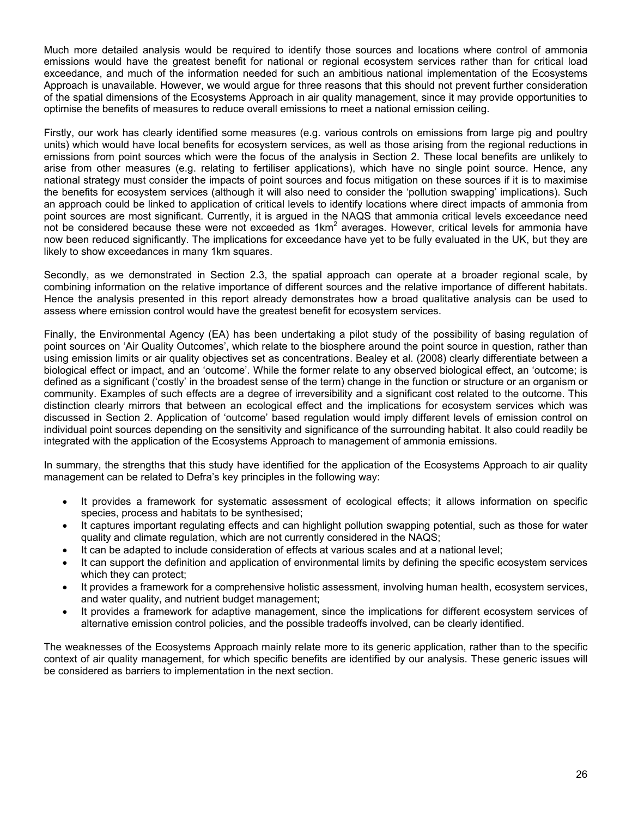Much more detailed analysis would be required to identify those sources and locations where control of ammonia emissions would have the greatest benefit for national or regional ecosystem services rather than for critical load exceedance, and much of the information needed for such an ambitious national implementation of the Ecosystems Approach is unavailable. However, we would argue for three reasons that this should not prevent further consideration of the spatial dimensions of the Ecosystems Approach in air quality management, since it may provide opportunities to optimise the benefits of measures to reduce overall emissions to meet a national emission ceiling.

Firstly, our work has clearly identified some measures (e.g. various controls on emissions from large pig and poultry units) which would have local benefits for ecosystem services, as well as those arising from the regional reductions in emissions from point sources which were the focus of the analysis in Section 2. These local benefits are unlikely to arise from other measures (e.g. relating to fertiliser applications), which have no single point source. Hence, any national strategy must consider the impacts of point sources and focus mitigation on these sources if it is to maximise the benefits for ecosystem services (although it will also need to consider the 'pollution swapping' implications). Such an approach could be linked to application of critical levels to identify locations where direct impacts of ammonia from point sources are most significant. Currently, it is argued in the NAQS that ammonia critical levels exceedance need not be considered because these were not exceeded as 1km<sup>2</sup> averages. However, critical levels for ammonia have now been reduced significantly. The implications for exceedance have yet to be fully evaluated in the UK, but they are likely to show exceedances in many 1km squares.

Secondly, as we demonstrated in Section 2.3, the spatial approach can operate at a broader regional scale, by combining information on the relative importance of different sources and the relative importance of different habitats. Hence the analysis presented in this report already demonstrates how a broad qualitative analysis can be used to assess where emission control would have the greatest benefit for ecosystem services.

Finally, the Environmental Agency (EA) has been undertaking a pilot study of the possibility of basing regulation of point sources on 'Air Quality Outcomes', which relate to the biosphere around the point source in question, rather than using emission limits or air quality objectives set as concentrations. Bealey et al. (2008) clearly differentiate between a biological effect or impact, and an 'outcome'. While the former relate to any observed biological effect, an 'outcome; is defined as a significant ('costly' in the broadest sense of the term) change in the function or structure or an organism or community. Examples of such effects are a degree of irreversibility and a significant cost related to the outcome. This distinction clearly mirrors that between an ecological effect and the implications for ecosystem services which was discussed in Section 2. Application of 'outcome' based regulation would imply different levels of emission control on individual point sources depending on the sensitivity and significance of the surrounding habitat. It also could readily be integrated with the application of the Ecosystems Approach to management of ammonia emissions.

In summary, the strengths that this study have identified for the application of the Ecosystems Approach to air quality management can be related to Defra's key principles in the following way:

- It provides a framework for systematic assessment of ecological effects; it allows information on specific species, process and habitats to be synthesised;
- It captures important regulating effects and can highlight pollution swapping potential, such as those for water quality and climate regulation, which are not currently considered in the NAQS;
- It can be adapted to include consideration of effects at various scales and at a national level;
- It can support the definition and application of environmental limits by defining the specific ecosystem services which they can protect;
- It provides a framework for a comprehensive holistic assessment, involving human health, ecosystem services, and water quality, and nutrient budget management;
- It provides a framework for adaptive management, since the implications for different ecosystem services of alternative emission control policies, and the possible tradeoffs involved, can be clearly identified.

The weaknesses of the Ecosystems Approach mainly relate more to its generic application, rather than to the specific context of air quality management, for which specific benefits are identified by our analysis. These generic issues will be considered as barriers to implementation in the next section.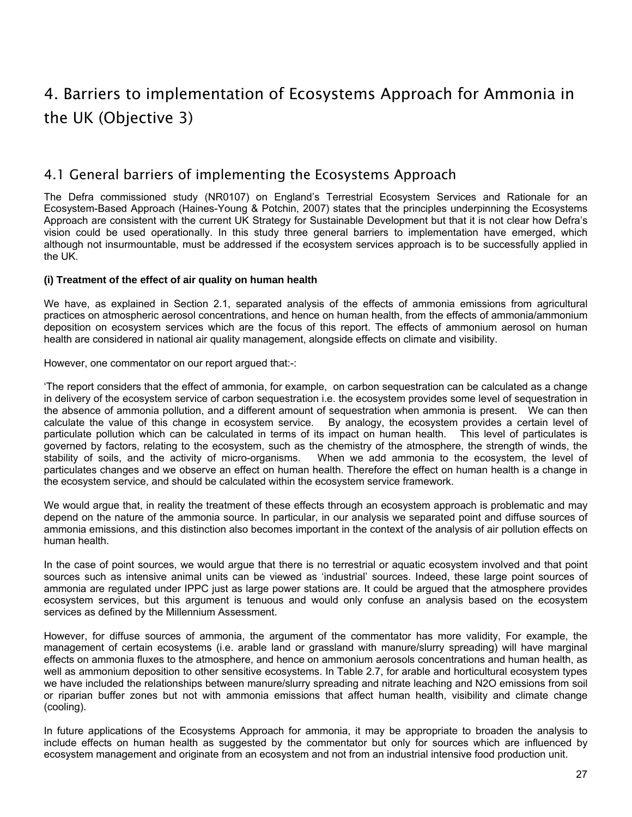# <span id="page-30-0"></span>4. Barriers to implementation of Ecosystems Approach for Ammonia in the UK (Objective 3)

## 4.1 General barriers of implementing the Ecosystems Approach

The Defra commissioned study (NR0107) on England's Terrestrial Ecosystem Services and Rationale for an Ecosystem-Based Approach (Haines-Young & Potchin, 2007) states that the principles underpinning the Ecosystems Approach are consistent with the current UK Strategy for Sustainable Development but that it is not clear how Defra's vision could be used operationally. In this study three general barriers to implementation have emerged, which although not insurmountable, must be addressed if the ecosystem services approach is to be successfully applied in the UK.

## **(i) Treatment of the effect of air quality on human health**

We have, as explained in Section 2.1, separated analysis of the effects of ammonia emissions from agricultural practices on atmospheric aerosol concentrations, and hence on human health, from the effects of ammonia/ammonium deposition on ecosystem services which are the focus of this report. The effects of ammonium aerosol on human health are considered in national air quality management, alongside effects on climate and visibility.

However, one commentator on our report argued that:-:

'The report considers that the effect of ammonia, for example, on carbon sequestration can be calculated as a change in delivery of the ecosystem service of carbon sequestration i.e. the ecosystem provides some level of sequestration in the absence of ammonia pollution, and a different amount of sequestration when ammonia is present. We can then calculate the value of this change in ecosystem service. By analogy, the ecosystem provides a certain level of particulate pollution which can be calculated in terms of its impact on human health. This level of particulates is governed by factors, relating to the ecosystem, such as the chemistry of the atmosphere, the strength of winds, the stability of soils, and the activity of micro-organisms. When we add ammonia to the ecosystem, the level of particulates changes and we observe an effect on human health. Therefore the effect on human health is a change in the ecosystem service, and should be calculated within the ecosystem service framework.

We would argue that, in reality the treatment of these effects through an ecosystem approach is problematic and may depend on the nature of the ammonia source. In particular, in our analysis we separated point and diffuse sources of ammonia emissions, and this distinction also becomes important in the context of the analysis of air pollution effects on human health.

In the case of point sources, we would argue that there is no terrestrial or aquatic ecosystem involved and that point sources such as intensive animal units can be viewed as 'industrial' sources. Indeed, these large point sources of ammonia are regulated under IPPC just as large power stations are. It could be argued that the atmosphere provides ecosystem services, but this argument is tenuous and would only confuse an analysis based on the ecosystem services as defined by the Millennium Assessment.

However, for diffuse sources of ammonia, the argument of the commentator has more validity, For example, the management of certain ecosystems (i.e. arable land or grassland with manure/slurry spreading) will have marginal effects on ammonia fluxes to the atmosphere, and hence on ammonium aerosols concentrations and human health, as well as ammonium deposition to other sensitive ecosystems. In Table 2.7, for arable and horticultural ecosystem types we have included the relationships between manure/slurry spreading and nitrate leaching and N2O emissions from soil or riparian buffer zones but not with ammonia emissions that affect human health, visibility and climate change (cooling).

In future applications of the Ecosystems Approach for ammonia, it may be appropriate to broaden the analysis to include effects on human health as suggested by the commentator but only for sources which are influenced by ecosystem management and originate from an ecosystem and not from an industrial intensive food production unit.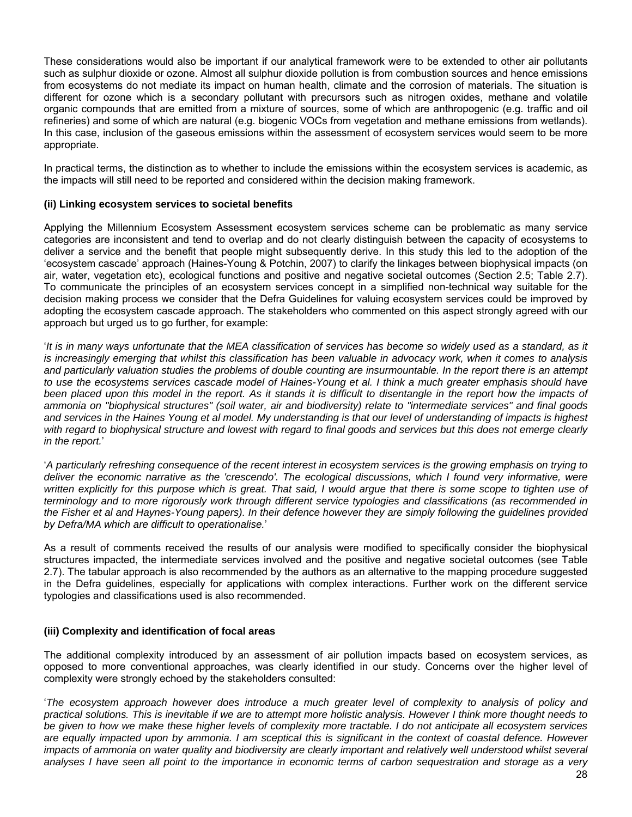These considerations would also be important if our analytical framework were to be extended to other air pollutants such as sulphur dioxide or ozone. Almost all sulphur dioxide pollution is from combustion sources and hence emissions from ecosystems do not mediate its impact on human health, climate and the corrosion of materials. The situation is different for ozone which is a secondary pollutant with precursors such as nitrogen oxides, methane and volatile organic compounds that are emitted from a mixture of sources, some of which are anthropogenic (e.g. traffic and oil refineries) and some of which are natural (e.g. biogenic VOCs from vegetation and methane emissions from wetlands). In this case, inclusion of the gaseous emissions within the assessment of ecosystem services would seem to be more appropriate.

In practical terms, the distinction as to whether to include the emissions within the ecosystem services is academic, as the impacts will still need to be reported and considered within the decision making framework.

## **(ii) Linking ecosystem services to societal benefits**

Applying the Millennium Ecosystem Assessment ecosystem services scheme can be problematic as many service categories are inconsistent and tend to overlap and do not clearly distinguish between the capacity of ecosystems to deliver a service and the benefit that people might subsequently derive. In this study this led to the adoption of the 'ecosystem cascade' approach (Haines-Young & Potchin, 2007) to clarify the linkages between biophysical impacts (on air, water, vegetation etc), ecological functions and positive and negative societal outcomes (Section 2.5; Table 2.7). To communicate the principles of an ecosystem services concept in a simplified non-technical way suitable for the decision making process we consider that the Defra Guidelines for valuing ecosystem services could be improved by adopting the ecosystem cascade approach. The stakeholders who commented on this aspect strongly agreed with our approach but urged us to go further, for example:

'*It is in many ways unfortunate that the MEA classification of services has become so widely used as a standard, as it is increasingly emerging that whilst this classification has been valuable in advocacy work, when it comes to analysis and particularly valuation studies the problems of double counting are insurmountable. In the report there is an attempt*  to use the ecosystems services cascade model of Haines-Young et al. I think a much greater emphasis should have been placed upon this model in the report. As it stands it is difficult to disentangle in the report how the impacts of *ammonia on "biophysical structures" (soil water, air and biodiversity) relate to "intermediate services" and final goods*  and services in the Haines Young et al model. My understanding is that our level of understanding of impacts is highest *with regard to biophysical structure and lowest with regard to final goods and services but this does not emerge clearly in the report.*'

'*A particularly refreshing consequence of the recent interest in ecosystem services is the growing emphasis on trying to*  deliver the economic narrative as the 'crescendo'. The ecological discussions, which I found very informative, were written explicitly for this purpose which is great. That said, I would argue that there is some scope to tighten use of *terminology and to more rigorously work through different service typologies and classifications (as recommended in the Fisher et al and Haynes-Young papers). In their defence however they are simply following the guidelines provided by Defra/MA which are difficult to operationalise.*'

As a result of comments received the results of our analysis were modified to specifically consider the biophysical structures impacted, the intermediate services involved and the positive and negative societal outcomes (see Table 2.7). The tabular approach is also recommended by the authors as an alternative to the mapping procedure suggested in the Defra guidelines, especially for applications with complex interactions. Further work on the different service typologies and classifications used is also recommended.

#### **(iii) Complexity and identification of focal areas**

The additional complexity introduced by an assessment of air pollution impacts based on ecosystem services, as opposed to more conventional approaches, was clearly identified in our study. Concerns over the higher level of complexity were strongly echoed by the stakeholders consulted:

'*The ecosystem approach however does introduce a much greater level of complexity to analysis of policy and practical solutions. This is inevitable if we are to attempt more holistic analysis. However I think more thought needs to be given to how we make these higher levels of complexity more tractable. I do not anticipate all ecosystem services are equally impacted upon by ammonia. I am sceptical this is significant in the context of coastal defence. However impacts of ammonia on water quality and biodiversity are clearly important and relatively well understood whilst several analyses I have seen all point to the importance in economic terms of carbon sequestration and storage as a very*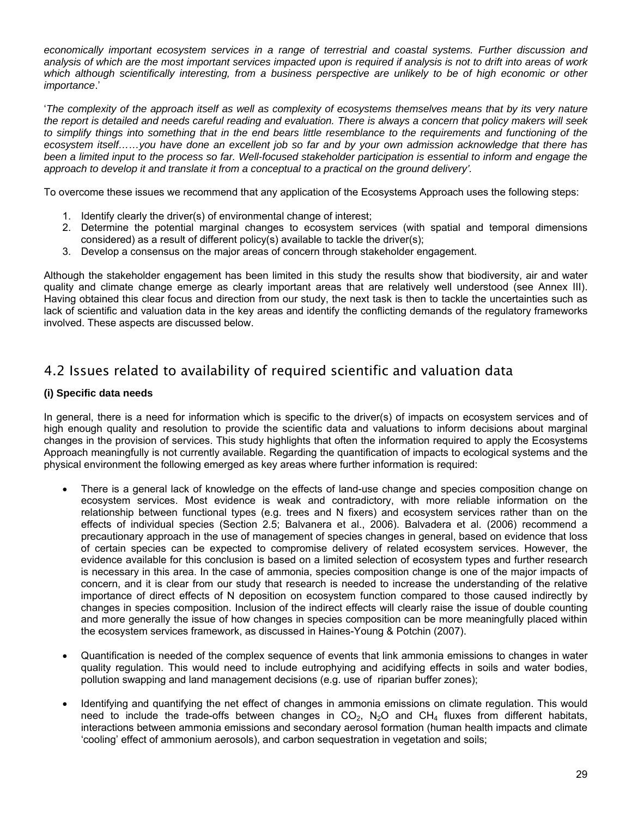<span id="page-32-0"></span>*economically important ecosystem services in a range of terrestrial and coastal systems. Further discussion and analysis of which are the most important services impacted upon is required if analysis is not to drift into areas of work*  which although scientifically interesting, from a business perspective are unlikely to be of high economic or other *importance*.'

'*The complexity of the approach itself as well as complexity of ecosystems themselves means that by its very nature the report is detailed and needs careful reading and evaluation. There is always a concern that policy makers will seek to simplify things into something that in the end bears little resemblance to the requirements and functioning of the ecosystem itself……you have done an excellent job so far and by your own admission acknowledge that there has been a limited input to the process so far. Well-focused stakeholder participation is essential to inform and engage the*  approach to develop it and translate it from a conceptual to a practical on the ground delivery'.

To overcome these issues we recommend that any application of the Ecosystems Approach uses the following steps:

- 1. Identify clearly the driver(s) of environmental change of interest;
- 2. Determine the potential marginal changes to ecosystem services (with spatial and temporal dimensions considered) as a result of different policy(s) available to tackle the driver(s);
- 3. Develop a consensus on the major areas of concern through stakeholder engagement.

Although the stakeholder engagement has been limited in this study the results show that biodiversity, air and water quality and climate change emerge as clearly important areas that are relatively well understood (see Annex III). Having obtained this clear focus and direction from our study, the next task is then to tackle the uncertainties such as lack of scientific and valuation data in the key areas and identify the conflicting demands of the regulatory frameworks involved. These aspects are discussed below.

## 4.2 Issues related to availability of required scientific and valuation data

## **(i) Specific data needs**

In general, there is a need for information which is specific to the driver(s) of impacts on ecosystem services and of high enough quality and resolution to provide the scientific data and valuations to inform decisions about marginal changes in the provision of services. This study highlights that often the information required to apply the Ecosystems Approach meaningfully is not currently available. Regarding the quantification of impacts to ecological systems and the physical environment the following emerged as key areas where further information is required:

- There is a general lack of knowledge on the effects of land-use change and species composition change on ecosystem services. Most evidence is weak and contradictory, with more reliable information on the relationship between functional types (e.g. trees and N fixers) and ecosystem services rather than on the effects of individual species (Section 2.5; Balvanera et al., 2006). Balvadera et al. (2006) recommend a precautionary approach in the use of management of species changes in general, based on evidence that loss of certain species can be expected to compromise delivery of related ecosystem services. However, the evidence available for this conclusion is based on a limited selection of ecosystem types and further research is necessary in this area. In the case of ammonia, species composition change is one of the major impacts of concern, and it is clear from our study that research is needed to increase the understanding of the relative importance of direct effects of N deposition on ecosystem function compared to those caused indirectly by changes in species composition. Inclusion of the indirect effects will clearly raise the issue of double counting and more generally the issue of how changes in species composition can be more meaningfully placed within the ecosystem services framework, as discussed in Haines-Young & Potchin (2007).
- Quantification is needed of the complex sequence of events that link ammonia emissions to changes in water quality regulation. This would need to include eutrophying and acidifying effects in soils and water bodies, pollution swapping and land management decisions (e.g. use of riparian buffer zones);
- Identifying and quantifying the net effect of changes in ammonia emissions on climate regulation. This would need to include the trade-offs between changes in  $CO<sub>2</sub>$ , N<sub>2</sub>O and CH<sub>4</sub> fluxes from different habitats, interactions between ammonia emissions and secondary aerosol formation (human health impacts and climate 'cooling' effect of ammonium aerosols), and carbon sequestration in vegetation and soils;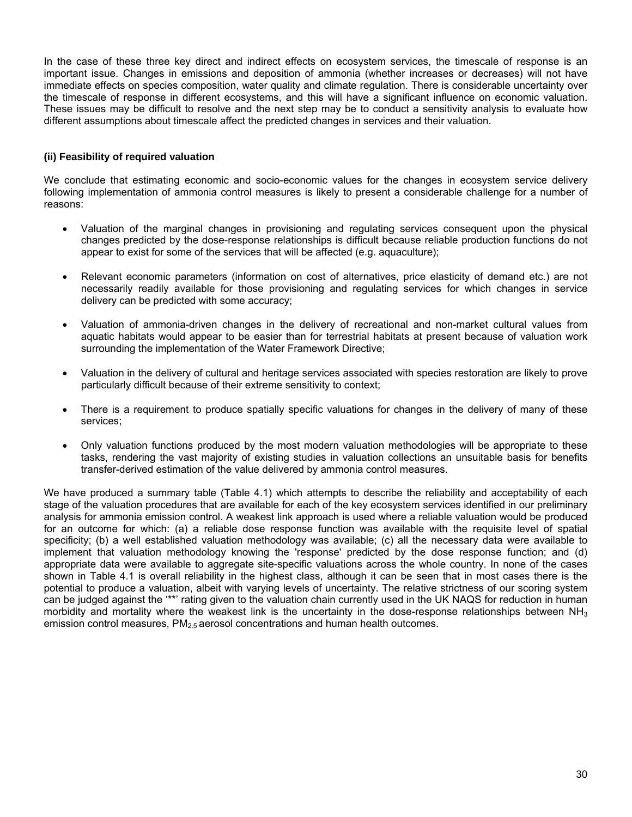In the case of these three key direct and indirect effects on ecosystem services, the timescale of response is an important issue. Changes in emissions and deposition of ammonia (whether increases or decreases) will not have immediate effects on species composition, water quality and climate regulation. There is considerable uncertainty over the timescale of response in different ecosystems, and this will have a significant influence on economic valuation. These issues may be difficult to resolve and the next step may be to conduct a sensitivity analysis to evaluate how different assumptions about timescale affect the predicted changes in services and their valuation.

## **(ii) Feasibility of required valuation**

We conclude that estimating economic and socio-economic values for the changes in ecosystem service delivery following implementation of ammonia control measures is likely to present a considerable challenge for a number of reasons:

- Valuation of the marginal changes in provisioning and regulating services consequent upon the physical changes predicted by the dose-response relationships is difficult because reliable production functions do not appear to exist for some of the services that will be affected (e.g. aquaculture);
- Relevant economic parameters (information on cost of alternatives, price elasticity of demand etc.) are not necessarily readily available for those provisioning and regulating services for which changes in service delivery can be predicted with some accuracy;
- Valuation of ammonia-driven changes in the delivery of recreational and non-market cultural values from aquatic habitats would appear to be easier than for terrestrial habitats at present because of valuation work surrounding the implementation of the Water Framework Directive;
- Valuation in the delivery of cultural and heritage services associated with species restoration are likely to prove particularly difficult because of their extreme sensitivity to context;
- There is a requirement to produce spatially specific valuations for changes in the delivery of many of these services;
- Only valuation functions produced by the most modern valuation methodologies will be appropriate to these tasks, rendering the vast majority of existing studies in valuation collections an unsuitable basis for benefits transfer-derived estimation of the value delivered by ammonia control measures.

We have produced a summary table (Table 4.1) which attempts to describe the reliability and acceptability of each stage of the valuation procedures that are available for each of the key ecosystem services identified in our preliminary analysis for ammonia emission control. A weakest link approach is used where a reliable valuation would be produced for an outcome for which: (a) a reliable dose response function was available with the requisite level of spatial specificity; (b) a well established valuation methodology was available; (c) all the necessary data were available to implement that valuation methodology knowing the 'response' predicted by the dose response function; and (d) appropriate data were available to aggregate site-specific valuations across the whole country. In none of the cases shown in Table 4.1 is overall reliability in the highest class, although it can be seen that in most cases there is the potential to produce a valuation, albeit with varying levels of uncertainty. The relative strictness of our scoring system can be judged against the "\*" rating given to the valuation chain currently used in the UK NAQS for reduction in human morbidity and mortality where the weakest link is the uncertainty in the dose-response relationships between  $NH<sub>3</sub>$ emission control measures, PM<sub>2.5</sub> aerosol concentrations and human health outcomes.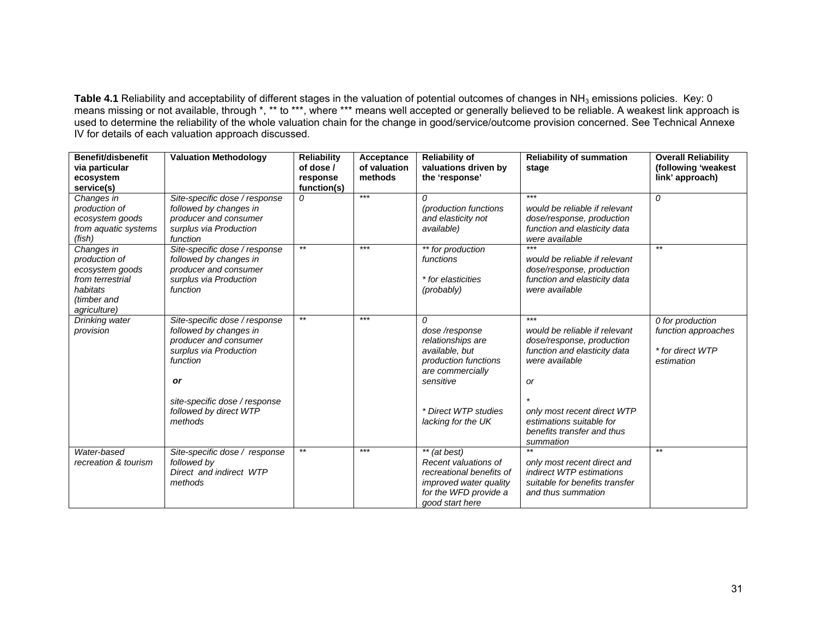**Table 4.1** Reliability and acceptability of different stages in the valuation of potential outcomes of changes in NH3 emissions policies. Key: 0 means missing or not available, through \*, \*\* to \*\*\*, where \*\*\* means well accepted or generally believed to be reliable. A weakest link approach is used to determine the reliability of the whole valuation chain for the change in good/service/outcome provision concerned. See Technical Annexe IV for details of each valuation approach discussed.

| Benefit/disbenefit<br>via particular<br>ecosystem<br>service(s)                                               | <b>Valuation Methodology</b>                                                                                                                                                                              | <b>Reliability</b><br>of dose /<br>response<br>function(s) | Acceptance<br>of valuation<br>methods | <b>Reliability of</b><br>valuations driven by<br>the 'response'                                                                                                  | <b>Reliability of summation</b><br>stage                                                                                                                                                                                                 | <b>Overall Reliability</b><br>(following 'weakest<br>link' approach)      |
|---------------------------------------------------------------------------------------------------------------|-----------------------------------------------------------------------------------------------------------------------------------------------------------------------------------------------------------|------------------------------------------------------------|---------------------------------------|------------------------------------------------------------------------------------------------------------------------------------------------------------------|------------------------------------------------------------------------------------------------------------------------------------------------------------------------------------------------------------------------------------------|---------------------------------------------------------------------------|
| Changes in<br>production of<br>ecosystem goods<br>from aquatic systems<br>(fish)                              | Site-specific dose / response<br>followed by changes in<br>producer and consumer<br>surplus via Production<br>function                                                                                    | 0                                                          | $***$                                 | 0<br>(production functions<br>and elasticity not<br>available)                                                                                                   | $***$<br>would be reliable if relevant<br>dose/response, production<br>function and elasticity data<br>were available                                                                                                                    | 0                                                                         |
| Changes in<br>production of<br>ecosystem goods<br>from terrestrial<br>habitats<br>(timber and<br>agriculture) | Site-specific dose / response<br>followed by changes in<br>producer and consumer<br>surplus via Production<br>function                                                                                    | $***$                                                      | $***$                                 | ** for production<br>functions<br>* for elasticities<br>(probably)                                                                                               | $***$<br>would be reliable if relevant<br>dose/response, production<br>function and elasticity data<br>were available                                                                                                                    | $***$                                                                     |
| Drinking water<br>provision                                                                                   | Site-specific dose / response<br>followed by changes in<br>producer and consumer<br>surplus via Production<br>function<br><b>or</b><br>site-specific dose / response<br>followed by direct WTP<br>methods | $***$                                                      | $***$                                 | 0<br>dose/response<br>relationships are<br>available, but<br>production functions<br>are commercially<br>sensitive<br>* Direct WTP studies<br>lacking for the UK | $***$<br>would be reliable if relevant<br>dose/response, production<br>function and elasticity data<br>were available<br><b>or</b><br>only most recent direct WTP<br>estimations suitable for<br>benefits transfer and thus<br>summation | 0 for production<br>function approaches<br>* for direct WTP<br>estimation |
| Water-based<br>recreation & tourism                                                                           | Site-specific dose / response<br>followed by<br>Direct and indirect WTP<br>methods                                                                                                                        | $***$                                                      | $***$                                 | ** (at best)<br>Recent valuations of<br>recreational benefits of<br>improved water quality<br>for the WFD provide a<br>good start here                           | only most recent direct and<br>indirect WTP estimations<br>suitable for benefits transfer<br>and thus summation                                                                                                                          | $***$                                                                     |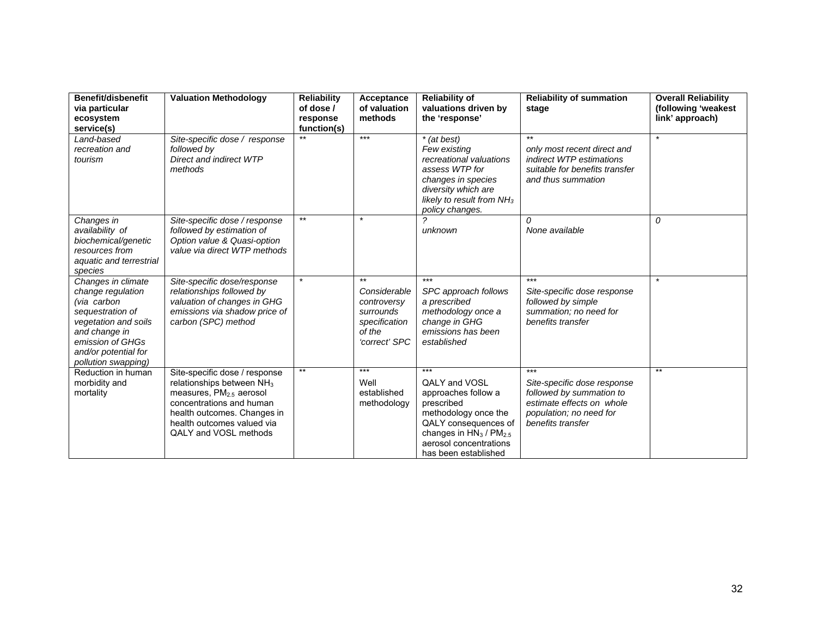| Benefit/disbenefit<br>via particular<br>ecosystem<br>service(s)                                                                                                                        | <b>Valuation Methodology</b>                                                                                                                                                                                          | <b>Reliability</b><br>of dose /<br>response<br>function(s) | Acceptance<br>of valuation<br>methods                                                         | <b>Reliability of</b><br>valuations driven by<br>the 'response'                                                                                                                                    | <b>Reliability of summation</b><br>stage                                                                                                      | <b>Overall Reliability</b><br>(following 'weakest<br>link' approach) |
|----------------------------------------------------------------------------------------------------------------------------------------------------------------------------------------|-----------------------------------------------------------------------------------------------------------------------------------------------------------------------------------------------------------------------|------------------------------------------------------------|-----------------------------------------------------------------------------------------------|----------------------------------------------------------------------------------------------------------------------------------------------------------------------------------------------------|-----------------------------------------------------------------------------------------------------------------------------------------------|----------------------------------------------------------------------|
| Land-based<br>recreation and<br>tourism                                                                                                                                                | Site-specific dose / response<br>followed by<br>Direct and indirect WTP<br>methods                                                                                                                                    |                                                            | $***$                                                                                         | * (at best)<br>Few existing<br>recreational valuations<br>assess WTP for<br>changes in species<br>diversity which are<br>likely to result from $NH3$<br>policy changes.                            | $***$<br>only most recent direct and<br>indirect WTP estimations<br>suitable for benefits transfer<br>and thus summation                      | $\star$                                                              |
| Changes in<br>availability of<br>biochemical/genetic<br>resources from<br>aquatic and terrestrial<br>species                                                                           | Site-specific dose / response<br>followed by estimation of<br>Option value & Quasi-option<br>value via direct WTP methods                                                                                             | $**$                                                       | $\star$                                                                                       | unknown                                                                                                                                                                                            | $\Omega$<br>None available                                                                                                                    | 0                                                                    |
| Changes in climate<br>change regulation<br>(via carbon<br>sequestration of<br>vegetation and soils<br>and change in<br>emission of GHGs<br>and/or potential for<br>pollution swapping) | Site-specific dose/response<br>relationships followed by<br>valuation of changes in GHG<br>emissions via shadow price of<br>carbon (SPC) method                                                                       | $\star$                                                    | $***$<br>Considerable<br>controversy<br>surrounds<br>specification<br>of the<br>'correct' SPC | $***$<br>SPC approach follows<br>a prescribed<br>methodology once a<br>change in GHG<br>emissions has been<br>established                                                                          | $***$<br>Site-specific dose response<br>followed by simple<br>summation; no need for<br>benefits transfer                                     | $\star$                                                              |
| Reduction in human<br>morbidity and<br>mortality                                                                                                                                       | Site-specific dose / response<br>relationships between NH <sub>3</sub><br>measures, $PM2.5$ aerosol<br>concentrations and human<br>health outcomes. Changes in<br>health outcomes valued via<br>QALY and VOSL methods | $***$                                                      | $***$<br>Well<br>established<br>methodology                                                   | $***$<br><b>QALY and VOSL</b><br>approaches follow a<br>prescribed<br>methodology once the<br>QALY consequences of<br>changes in $HN3$ / $PM2.5$<br>aerosol concentrations<br>has been established | $***$<br>Site-specific dose response<br>followed by summation to<br>estimate effects on whole<br>population; no need for<br>benefits transfer | $***$                                                                |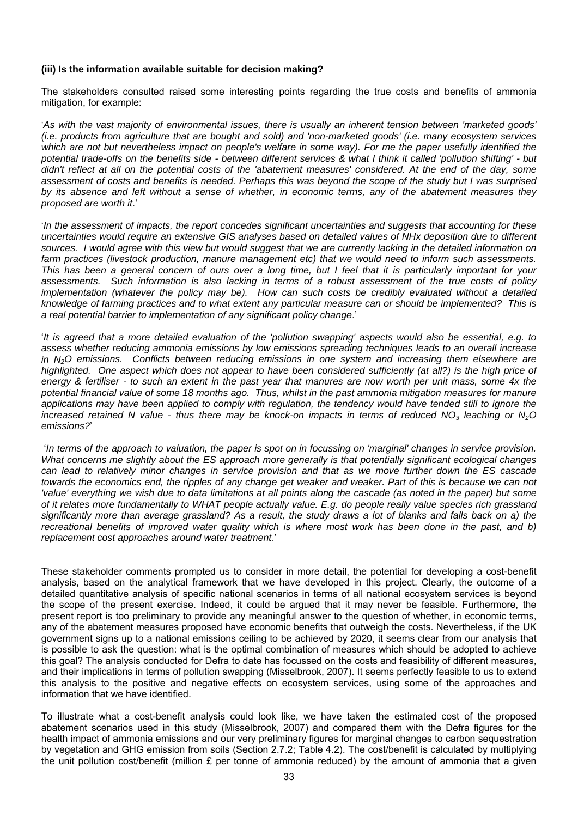#### **(iii) Is the information available suitable for decision making?**

The stakeholders consulted raised some interesting points regarding the true costs and benefits of ammonia mitigation, for example:

'*As with the vast majority of environmental issues, there is usually an inherent tension between 'marketed goods' (i.e. products from agriculture that are bought and sold) and 'non-marketed goods' (i.e. many ecosystem services*  which are not but nevertheless impact on people's welfare in some way). For me the paper usefully identified the *potential trade-offs on the benefits side - between different services & what I think it called 'pollution shifting' - but didn't reflect at all on the potential costs of the 'abatement measures' considered. At the end of the day, some assessment of costs and benefits is needed. Perhaps this was beyond the scope of the study but I was surprised by its absence and left without a sense of whether, in economic terms, any of the abatement measures they proposed are worth it*.'

'*In the assessment of impacts, the report concedes significant uncertainties and suggests that accounting for these uncertainties would require an extensive GIS analyses based on detailed values of NHx deposition due to different sources. I would agree with this view but would suggest that we are currently lacking in the detailed information on farm practices (livestock production, manure management etc) that we would need to inform such assessments. This has been a general concern of ours over a long time, but I feel that it is particularly important for your assessments. Such information is also lacking in terms of a robust assessment of the true costs of policy implementation (whatever the policy may be). How can such costs be credibly evaluated without a detailed knowledge of farming practices and to what extent any particular measure can or should be implemented? This is a real potential barrier to implementation of any significant policy change*.'

'*It is agreed that a more detailed evaluation of the 'pollution swapping' aspects would also be essential, e.g. to assess whether reducing ammonia emissions by low emissions spreading techniques leads to an overall increase in N2O emissions. Conflicts between reducing emissions in one system and increasing them elsewhere are*  highlighted. One aspect which does not appear to have been considered sufficiently (at all?) is the high price of *energy & fertiliser - to such an extent in the past year that manures are now worth per unit mass, some 4x the potential financial value of some 18 months ago. Thus, whilst in the past ammonia mitigation measures for manure*  applications may have been applied to comply with regulation, the tendency would have tended still to ignore the *increased retained N value - thus there may be knock-on impacts in terms of reduced NO3 leaching or N2O emissions?*'

 '*In terms of the approach to valuation, the paper is spot on in focussing on 'marginal' changes in service provision. What concerns me slightly about the ES approach more generally is that potentially significant ecological changes can lead to relatively minor changes in service provision and that as we move further down the ES cascade towards the economics end, the ripples of any change get weaker and weaker. Part of this is because we can not 'value' everything we wish due to data limitations at all points along the cascade (as noted in the paper) but some of it relates more fundamentally to WHAT people actually value. E.g. do people really value species rich grassland significantly more than average grassland? As a result, the study draws a lot of blanks and falls back on a) the recreational benefits of improved water quality which is where most work has been done in the past, and b) replacement cost approaches around water treatment.*'

These stakeholder comments prompted us to consider in more detail, the potential for developing a cost-benefit analysis, based on the analytical framework that we have developed in this project. Clearly, the outcome of a detailed quantitative analysis of specific national scenarios in terms of all national ecosystem services is beyond the scope of the present exercise. Indeed, it could be argued that it may never be feasible. Furthermore, the present report is too preliminary to provide any meaningful answer to the question of whether, in economic terms, any of the abatement measures proposed have economic benefits that outweigh the costs. Nevertheless, if the UK government signs up to a national emissions ceiling to be achieved by 2020, it seems clear from our analysis that is possible to ask the question: what is the optimal combination of measures which should be adopted to achieve this goal? The analysis conducted for Defra to date has focussed on the costs and feasibility of different measures, and their implications in terms of pollution swapping (Misselbrook, 2007). It seems perfectly feasible to us to extend this analysis to the positive and negative effects on ecosystem services, using some of the approaches and information that we have identified.

To illustrate what a cost-benefit analysis could look like, we have taken the estimated cost of the proposed abatement scenarios used in this study (Misselbrook, 2007) and compared them with the Defra figures for the health impact of ammonia emissions and our very preliminary figures for marginal changes to carbon sequestration by vegetation and GHG emission from soils (Section 2.7.2; Table 4.2). The cost/benefit is calculated by multiplying the unit pollution cost/benefit (million £ per tonne of ammonia reduced) by the amount of ammonia that a given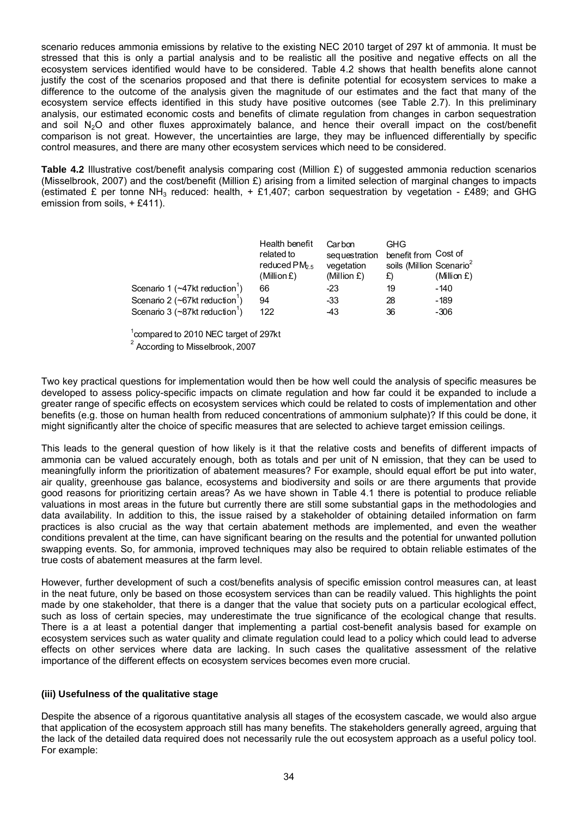scenario reduces ammonia emissions by relative to the existing NEC 2010 target of 297 kt of ammonia. It must be stressed that this is only a partial analysis and to be realistic all the positive and negative effects on all the ecosystem services identified would have to be considered. Table 4.2 shows that health benefits alone cannot justify the cost of the scenarios proposed and that there is definite potential for ecosystem services to make a difference to the outcome of the analysis given the magnitude of our estimates and the fact that many of the ecosystem service effects identified in this study have positive outcomes (see Table 2.7). In this preliminary analysis, our estimated economic costs and benefits of climate regulation from changes in carbon sequestration and soil N<sub>2</sub>O and other fluxes approximately balance, and hence their overall impact on the cost/benefit comparison is not great. However, the uncertainties are large, they may be influenced differentially by specific control measures, and there are many other ecosystem services which need to be considered.

**Table 4.2** Illustrative cost/benefit analysis comparing cost (Million £) of suggested ammonia reduction scenarios (Misselbrook, 2007) and the cost/benefit (Million £) arising from a limited selection of marginal changes to impacts (estimated £ per tonne NH<sub>3</sub> reduced: health,  $+$  £1,407; carbon sequestration by vegetation - £489; and GHG emission from soils, + £411).

|                                                   | Health benefit<br>related to<br>reduced $PM_{5}$<br>(Million £) | Carbon<br>sequestration<br>vegetation<br>(Million $E$ ) | GHG<br>benefit from Cost of<br>soils (Million Scenario <sup>2</sup><br>£) | (Million $E$ ) |
|---------------------------------------------------|-----------------------------------------------------------------|---------------------------------------------------------|---------------------------------------------------------------------------|----------------|
| Scenario 1 ( $\sim$ 47kt reduction <sup>1</sup> ) | 66                                                              | -23                                                     | 19                                                                        | -140           |
| Scenario 2 ( $\sim$ 67kt reduction <sup>1</sup> ) | 94                                                              | -33                                                     | 28                                                                        | $-189$         |
| Scenario 3 ( $\sim$ 87kt reduction <sup>1</sup> ) | 122                                                             | -43                                                     | 36                                                                        | $-306$         |

<sup>1</sup> compared to 2010 NEC target of 297kt <sup>2</sup> According to Misselbrook, 2007

Two key practical questions for implementation would then be how well could the analysis of specific measures be developed to assess policy-specific impacts on climate regulation and how far could it be expanded to include a greater range of specific effects on ecosystem services which could be related to costs of implementation and other benefits (e.g. those on human health from reduced concentrations of ammonium sulphate)? If this could be done, it might significantly alter the choice of specific measures that are selected to achieve target emission ceilings.

This leads to the general question of how likely is it that the relative costs and benefits of different impacts of ammonia can be valued accurately enough, both as totals and per unit of N emission, that they can be used to meaningfully inform the prioritization of abatement measures? For example, should equal effort be put into water, air quality, greenhouse gas balance, ecosystems and biodiversity and soils or are there arguments that provide good reasons for prioritizing certain areas? As we have shown in Table 4.1 there is potential to produce reliable valuations in most areas in the future but currently there are still some substantial gaps in the methodologies and data availability. In addition to this, the issue raised by a stakeholder of obtaining detailed information on farm practices is also crucial as the way that certain abatement methods are implemented, and even the weather conditions prevalent at the time, can have significant bearing on the results and the potential for unwanted pollution swapping events. So, for ammonia, improved techniques may also be required to obtain reliable estimates of the true costs of abatement measures at the farm level.

However, further development of such a cost/benefits analysis of specific emission control measures can, at least in the neat future, only be based on those ecosystem services than can be readily valued. This highlights the point made by one stakeholder, that there is a danger that the value that society puts on a particular ecological effect, such as loss of certain species, may underestimate the true significance of the ecological change that results. There is a at least a potential danger that implementing a partial cost-benefit analysis based for example on ecosystem services such as water quality and climate regulation could lead to a policy which could lead to adverse effects on other services where data are lacking. In such cases the qualitative assessment of the relative importance of the different effects on ecosystem services becomes even more crucial.

## **(iii) Usefulness of the qualitative stage**

Despite the absence of a rigorous quantitative analysis all stages of the ecosystem cascade, we would also argue that application of the ecosystem approach still has many benefits. The stakeholders generally agreed, arguing that the lack of the detailed data required does not necessarily rule the out ecosystem approach as a useful policy tool. For example: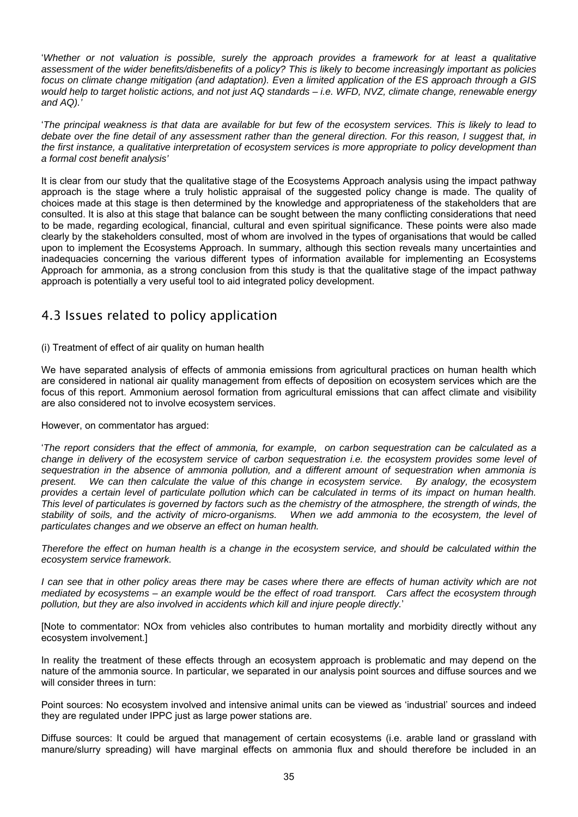<span id="page-38-0"></span>'*Whether or not valuation is possible, surely the approach provides a framework for at least a qualitative assessment of the wider benefits/disbenefits of a policy? This is likely to become increasingly important as policies focus on climate change mitigation (and adaptation). Even a limited application of the ES approach through a GIS would help to target holistic actions, and not just AQ standards – i.e. WFD, NVZ, climate change, renewable energy and AQ).'* 

'*The principal weakness is that data are available for but few of the ecosystem services. This is likely to lead to debate over the fine detail of any assessment rather than the general direction. For this reason, I suggest that, in the first instance, a qualitative interpretation of ecosystem services is more appropriate to policy development than a formal cost benefit analysis'* 

It is clear from our study that the qualitative stage of the Ecosystems Approach analysis using the impact pathway approach is the stage where a truly holistic appraisal of the suggested policy change is made. The quality of choices made at this stage is then determined by the knowledge and appropriateness of the stakeholders that are consulted. It is also at this stage that balance can be sought between the many conflicting considerations that need to be made, regarding ecological, financial, cultural and even spiritual significance. These points were also made clearly by the stakeholders consulted, most of whom are involved in the types of organisations that would be called upon to implement the Ecosystems Approach. In summary, although this section reveals many uncertainties and inadequacies concerning the various different types of information available for implementing an Ecosystems Approach for ammonia, as a strong conclusion from this study is that the qualitative stage of the impact pathway approach is potentially a very useful tool to aid integrated policy development.

## 4.3 Issues related to policy application

(i) Treatment of effect of air quality on human health

We have separated analysis of effects of ammonia emissions from agricultural practices on human health which are considered in national air quality management from effects of deposition on ecosystem services which are the focus of this report. Ammonium aerosol formation from agricultural emissions that can affect climate and visibility are also considered not to involve ecosystem services.

However, on commentator has argued:

'*The report considers that the effect of ammonia, for example, on carbon sequestration can be calculated as a change in delivery of the ecosystem service of carbon sequestration i.e. the ecosystem provides some level of sequestration in the absence of ammonia pollution, and a different amount of sequestration when ammonia is present. We can then calculate the value of this change in ecosystem service. By analogy, the ecosystem provides a certain level of particulate pollution which can be calculated in terms of its impact on human health. This level of particulates is governed by factors such as the chemistry of the atmosphere, the strength of winds, the stability of soils, and the activity of micro-organisms. When we add ammonia to the ecosystem, the level of particulates changes and we observe an effect on human health.* 

*Therefore the effect on human health is a change in the ecosystem service, and should be calculated within the ecosystem service framework.* 

*I* can see that in other policy areas there may be cases where there are effects of human activity which are not *mediated by ecosystems – an example would be the effect of road transport. Cars affect the ecosystem through pollution, but they are also involved in accidents which kill and injure people directly.*'

[Note to commentator: NOx from vehicles also contributes to human mortality and morbidity directly without any ecosystem involvement.]

In reality the treatment of these effects through an ecosystem approach is problematic and may depend on the nature of the ammonia source. In particular, we separated in our analysis point sources and diffuse sources and we will consider threes in turn:

Point sources: No ecosystem involved and intensive animal units can be viewed as 'industrial' sources and indeed they are regulated under IPPC just as large power stations are.

Diffuse sources: It could be argued that management of certain ecosystems (i.e. arable land or grassland with manure/slurry spreading) will have marginal effects on ammonia flux and should therefore be included in an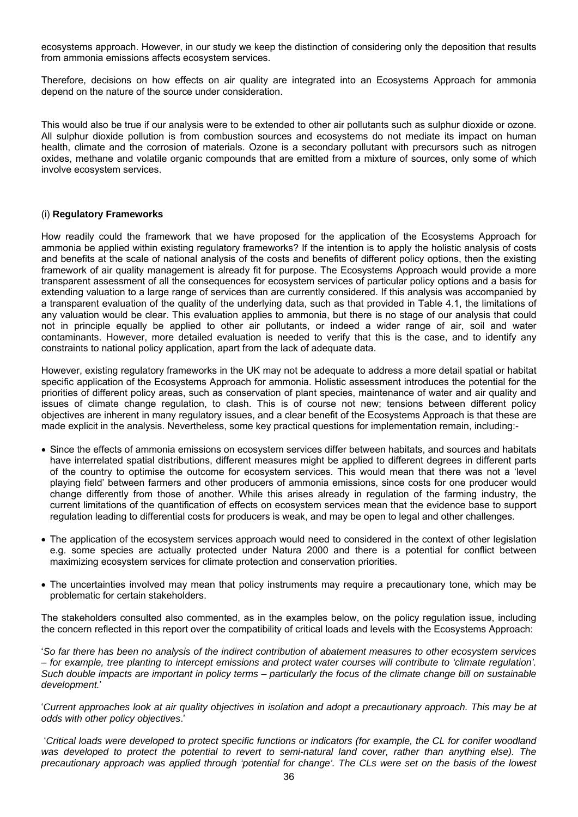ecosystems approach. However, in our study we keep the distinction of considering only the deposition that results from ammonia emissions affects ecosystem services.

Therefore, decisions on how effects on air quality are integrated into an Ecosystems Approach for ammonia depend on the nature of the source under consideration.

This would also be true if our analysis were to be extended to other air pollutants such as sulphur dioxide or ozone. All sulphur dioxide pollution is from combustion sources and ecosystems do not mediate its impact on human health, climate and the corrosion of materials. Ozone is a secondary pollutant with precursors such as nitrogen oxides, methane and volatile organic compounds that are emitted from a mixture of sources, only some of which involve ecosystem services.

#### (i) **Regulatory Frameworks**

How readily could the framework that we have proposed for the application of the Ecosystems Approach for ammonia be applied within existing regulatory frameworks? If the intention is to apply the holistic analysis of costs and benefits at the scale of national analysis of the costs and benefits of different policy options, then the existing framework of air quality management is already fit for purpose. The Ecosystems Approach would provide a more transparent assessment of all the consequences for ecosystem services of particular policy options and a basis for extending valuation to a large range of services than are currently considered. If this analysis was accompanied by a transparent evaluation of the quality of the underlying data, such as that provided in Table 4.1, the limitations of any valuation would be clear. This evaluation applies to ammonia, but there is no stage of our analysis that could not in principle equally be applied to other air pollutants, or indeed a wider range of air, soil and water contaminants. However, more detailed evaluation is needed to verify that this is the case, and to identify any constraints to national policy application, apart from the lack of adequate data.

However, existing regulatory frameworks in the UK may not be adequate to address a more detail spatial or habitat specific application of the Ecosystems Approach for ammonia. Holistic assessment introduces the potential for the priorities of different policy areas, such as conservation of plant species, maintenance of water and air quality and issues of climate change regulation, to clash. This is of course not new; tensions between different policy objectives are inherent in many regulatory issues, and a clear benefit of the Ecosystems Approach is that these are made explicit in the analysis. Nevertheless, some key practical questions for implementation remain, including:-

- Since the effects of ammonia emissions on ecosystem services differ between habitats, and sources and habitats have interrelated spatial distributions, different measures might be applied to different degrees in different parts of the country to optimise the outcome for ecosystem services. This would mean that there was not a 'level playing field' between farmers and other producers of ammonia emissions, since costs for one producer would change differently from those of another. While this arises already in regulation of the farming industry, the current limitations of the quantification of effects on ecosystem services mean that the evidence base to support regulation leading to differential costs for producers is weak, and may be open to legal and other challenges.
- The application of the ecosystem services approach would need to considered in the context of other legislation e.g. some species are actually protected under Natura 2000 and there is a potential for conflict between maximizing ecosystem services for climate protection and conservation priorities.
- The uncertainties involved may mean that policy instruments may require a precautionary tone, which may be problematic for certain stakeholders.

The stakeholders consulted also commented, as in the examples below, on the policy regulation issue, including the concern reflected in this report over the compatibility of critical loads and levels with the Ecosystems Approach:

'*So far there has been no analysis of the indirect contribution of abatement measures to other ecosystem services – for example, tree planting to intercept emissions and protect water courses will contribute to 'climate regulation'. Such double impacts are important in policy terms – particularly the focus of the climate change bill on sustainable development.*'

'*Current approaches look at air quality objectives in isolation and adopt a precautionary approach. This may be at odds with other policy objectives*.'

 '*Critical loads were developed to protect specific functions or indicators (for example, the CL for conifer woodland*  was developed to protect the potential to revert to semi-natural land cover, rather than anything else). The *precautionary approach was applied through 'potential for change'. The CLs were set on the basis of the lowest*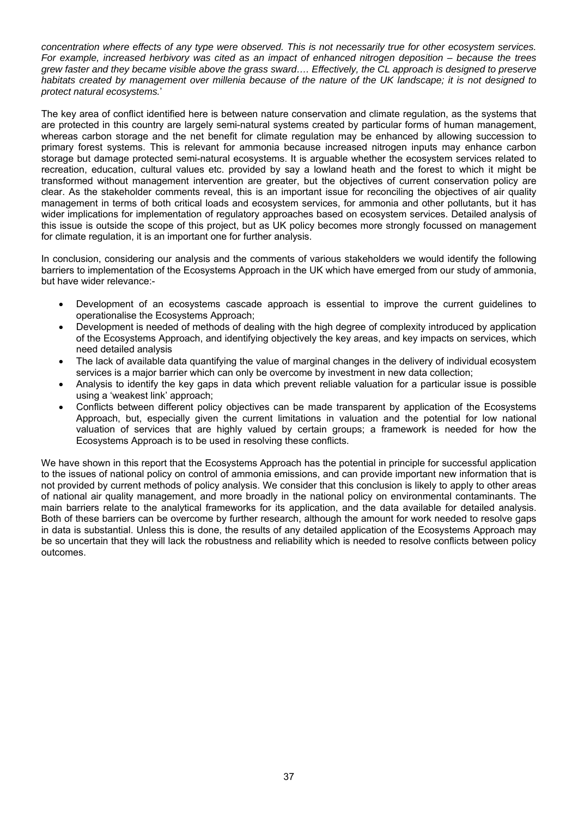*concentration where effects of any type were observed. This is not necessarily true for other ecosystem services. For example, increased herbivory was cited as an impact of enhanced nitrogen deposition – because the trees grew faster and they became visible above the grass sward…. Effectively, the CL approach is designed to preserve habitats created by management over millenia because of the nature of the UK landscape; it is not designed to protect natural ecosystems.*'

The key area of conflict identified here is between nature conservation and climate regulation, as the systems that are protected in this country are largely semi-natural systems created by particular forms of human management, whereas carbon storage and the net benefit for climate regulation may be enhanced by allowing succession to primary forest systems. This is relevant for ammonia because increased nitrogen inputs may enhance carbon storage but damage protected semi-natural ecosystems. It is arguable whether the ecosystem services related to recreation, education, cultural values etc. provided by say a lowland heath and the forest to which it might be transformed without management intervention are greater, but the objectives of current conservation policy are clear. As the stakeholder comments reveal, this is an important issue for reconciling the objectives of air quality management in terms of both critical loads and ecosystem services, for ammonia and other pollutants, but it has wider implications for implementation of regulatory approaches based on ecosystem services. Detailed analysis of this issue is outside the scope of this project, but as UK policy becomes more strongly focussed on management for climate regulation, it is an important one for further analysis.

In conclusion, considering our analysis and the comments of various stakeholders we would identify the following barriers to implementation of the Ecosystems Approach in the UK which have emerged from our study of ammonia, but have wider relevance:-

- Development of an ecosystems cascade approach is essential to improve the current guidelines to operationalise the Ecosystems Approach;
- Development is needed of methods of dealing with the high degree of complexity introduced by application of the Ecosystems Approach, and identifying objectively the key areas, and key impacts on services, which need detailed analysis
- The lack of available data quantifying the value of marginal changes in the delivery of individual ecosystem services is a major barrier which can only be overcome by investment in new data collection;
- Analysis to identify the key gaps in data which prevent reliable valuation for a particular issue is possible using a 'weakest link' approach;
- Conflicts between different policy objectives can be made transparent by application of the Ecosystems Approach, but, especially given the current limitations in valuation and the potential for low national valuation of services that are highly valued by certain groups; a framework is needed for how the Ecosystems Approach is to be used in resolving these conflicts.

We have shown in this report that the Ecosystems Approach has the potential in principle for successful application to the issues of national policy on control of ammonia emissions, and can provide important new information that is not provided by current methods of policy analysis. We consider that this conclusion is likely to apply to other areas of national air quality management, and more broadly in the national policy on environmental contaminants. The main barriers relate to the analytical frameworks for its application, and the data available for detailed analysis. Both of these barriers can be overcome by further research, although the amount for work needed to resolve gaps in data is substantial. Unless this is done, the results of any detailed application of the Ecosystems Approach may be so uncertain that they will lack the robustness and reliability which is needed to resolve conflicts between policy outcomes.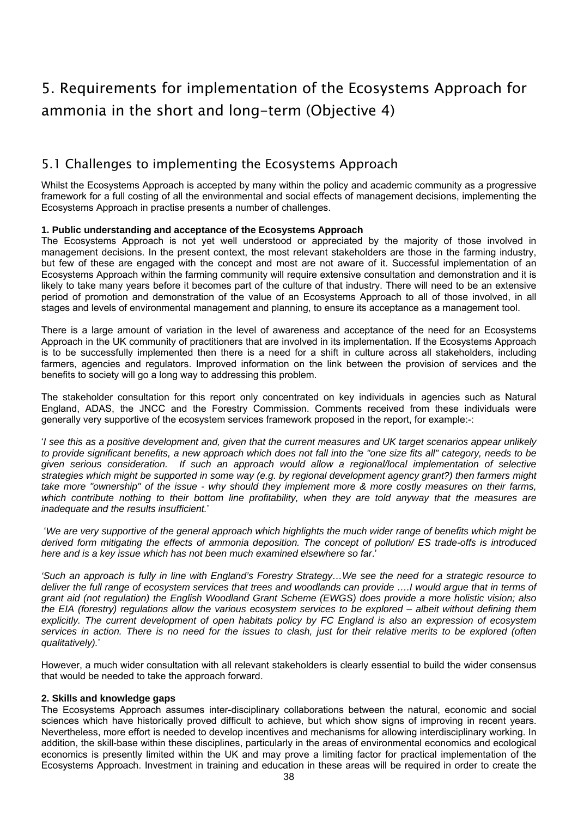# <span id="page-41-0"></span>5. Requirements for implementation of the Ecosystems Approach for ammonia in the short and long-term (Objective 4)

## 5.1 Challenges to implementing the Ecosystems Approach

Whilst the Ecosystems Approach is accepted by many within the policy and academic community as a progressive framework for a full costing of all the environmental and social effects of management decisions, implementing the Ecosystems Approach in practise presents a number of challenges.

## **1. Public understanding and acceptance of the Ecosystems Approach**

The Ecosystems Approach is not yet well understood or appreciated by the majority of those involved in management decisions. In the present context, the most relevant stakeholders are those in the farming industry, but few of these are engaged with the concept and most are not aware of it. Successful implementation of an Ecosystems Approach within the farming community will require extensive consultation and demonstration and it is likely to take many years before it becomes part of the culture of that industry. There will need to be an extensive period of promotion and demonstration of the value of an Ecosystems Approach to all of those involved, in all stages and levels of environmental management and planning, to ensure its acceptance as a management tool.

There is a large amount of variation in the level of awareness and acceptance of the need for an Ecosystems Approach in the UK community of practitioners that are involved in its implementation. If the Ecosystems Approach is to be successfully implemented then there is a need for a shift in culture across all stakeholders, including farmers, agencies and regulators. Improved information on the link between the provision of services and the benefits to society will go a long way to addressing this problem.

The stakeholder consultation for this report only concentrated on key individuals in agencies such as Natural England, ADAS, the JNCC and the Forestry Commission. Comments received from these individuals were generally very supportive of the ecosystem services framework proposed in the report, for example:-:

'*I see this as a positive development and, given that the current measures and UK target scenarios appear unlikely to provide significant benefits, a new approach which does not fall into the "one size fits all" category, needs to be given serious consideration. If such an approach would allow a regional/local implementation of selective strategies which might be supported in some way (e.g. by regional development agency grant?) then farmers might take more "ownership" of the issue - why should they implement more & more costly measures on their farms, which contribute nothing to their bottom line profitability, when they are told anyway that the measures are inadequate and the results insufficient.*'

 '*We are very supportive of the general approach which highlights the much wider range of benefits which might be derived form mitigating the effects of ammonia deposition. The concept of pollution/ ES trade-offs is introduced here and is a key issue which has not been much examined elsewhere so far*.'

*'Such an approach is fully in line with England's Forestry Strategy…We see the need for a strategic resource to deliver the full range of ecosystem services that trees and woodlands can provide .... I would argue that in terms of grant aid (not regulation) the English Woodland Grant Scheme (EWGS) does provide a more holistic vision; also the EIA (forestry) regulations allow the various ecosystem services to be explored – albeit without defining them explicitly. The current development of open habitats policy by FC England is also an expression of ecosystem services in action. There is no need for the issues to clash, just for their relative merits to be explored (often qualitatively).*'

However, a much wider consultation with all relevant stakeholders is clearly essential to build the wider consensus that would be needed to take the approach forward.

## **2. Skills and knowledge gaps**

The Ecosystems Approach assumes inter-disciplinary collaborations between the natural, economic and social sciences which have historically proved difficult to achieve, but which show signs of improving in recent years. Nevertheless, more effort is needed to develop incentives and mechanisms for allowing interdisciplinary working. In addition, the skill-base within these disciplines, particularly in the areas of environmental economics and ecological economics is presently limited within the UK and may prove a limiting factor for practical implementation of the Ecosystems Approach. Investment in training and education in these areas will be required in order to create the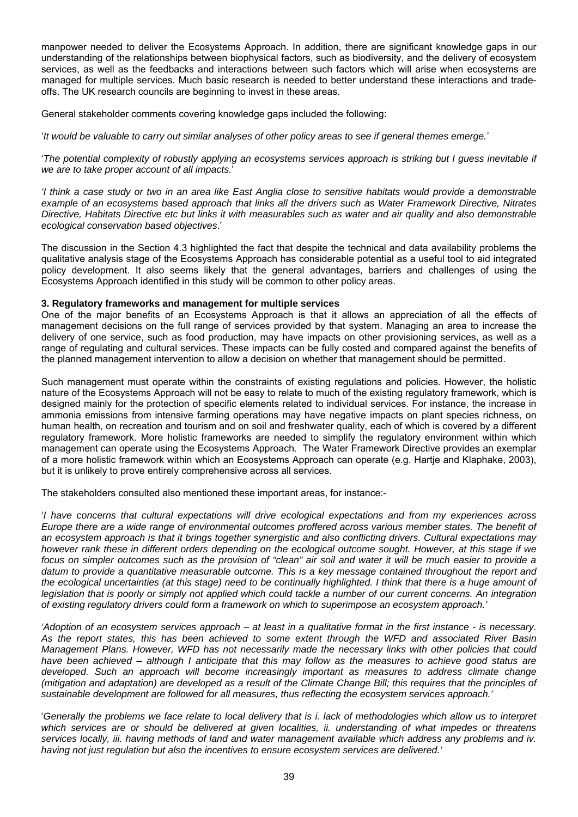manpower needed to deliver the Ecosystems Approach. In addition, there are significant knowledge gaps in our understanding of the relationships between biophysical factors, such as biodiversity, and the delivery of ecosystem services, as well as the feedbacks and interactions between such factors which will arise when ecosystems are managed for multiple services. Much basic research is needed to better understand these interactions and tradeoffs. The UK research councils are beginning to invest in these areas.

General stakeholder comments covering knowledge gaps included the following:

'*It would be valuable to carry out similar analyses of other policy areas to see if general themes emerge.*'

'The potential complexity of robustly applying an ecosystems services approach is striking but I guess inevitable if *we are to take proper account of all impacts.*'

*'I think a case study or two in an area like East Anglia close to sensitive habitats would provide a demonstrable example of an ecosystems based approach that links all the drivers such as Water Framework Directive, Nitrates Directive, Habitats Directive etc but links it with measurables such as water and air quality and also demonstrable ecological conservation based objectives*.'

The discussion in the Section 4.3 highlighted the fact that despite the technical and data availability problems the qualitative analysis stage of the Ecosystems Approach has considerable potential as a useful tool to aid integrated policy development. It also seems likely that the general advantages, barriers and challenges of using the Ecosystems Approach identified in this study will be common to other policy areas.

#### **3. Regulatory frameworks and management for multiple services**

One of the major benefits of an Ecosystems Approach is that it allows an appreciation of all the effects of management decisions on the full range of services provided by that system. Managing an area to increase the delivery of one service, such as food production, may have impacts on other provisioning services, as well as a range of regulating and cultural services. These impacts can be fully costed and compared against the benefits of the planned management intervention to allow a decision on whether that management should be permitted.

Such management must operate within the constraints of existing regulations and policies. However, the holistic nature of the Ecosystems Approach will not be easy to relate to much of the existing regulatory framework, which is designed mainly for the protection of specific elements related to individual services. For instance, the increase in ammonia emissions from intensive farming operations may have negative impacts on plant species richness, on human health, on recreation and tourism and on soil and freshwater quality, each of which is covered by a different regulatory framework. More holistic frameworks are needed to simplify the regulatory environment within which management can operate using the Ecosystems Approach. The Water Framework Directive provides an exemplar of a more holistic framework within which an Ecosystems Approach can operate (e.g. Hartje and Klaphake, 2003), but it is unlikely to prove entirely comprehensive across all services.

The stakeholders consulted also mentioned these important areas, for instance:-

'*I have concerns that cultural expectations will drive ecological expectations and from my experiences across Europe there are a wide range of environmental outcomes proffered across various member states. The benefit of an ecosystem approach is that it brings together synergistic and also conflicting drivers. Cultural expectations may however rank these in different orders depending on the ecological outcome sought. However, at this stage if we focus on simpler outcomes such as the provision of "clean" air soil and water it will be much easier to provide a*  datum to provide a quantitative measurable outcome. This is a key message contained throughout the report and *the ecological uncertainties (at this stage) need to be continually highlighted. I think that there is a huge amount of legislation that is poorly or simply not applied which could tackle a number of our current concerns. An integration of existing regulatory drivers could form a framework on which to superimpose an ecosystem approach.'* 

*'Adoption of an ecosystem services approach – at least in a qualitative format in the first instance - is necessary. As the report states, this has been achieved to some extent through the WFD and associated River Basin Management Plans. However, WFD has not necessarily made the necessary links with other policies that could have been achieved – although I anticipate that this may follow as the measures to achieve good status are developed. Such an approach will become increasingly important as measures to address climate change (mitigation and adaptation) are developed as a result of the Climate Change Bill; this requires that the principles of sustainable development are followed for all measures, thus reflecting the ecosystem services approach.'* 

'*Generally the problems we face relate to local delivery that is i. lack of methodologies which allow us to interpret* which services are or should be delivered at given localities, ii. understanding of what impedes or threatens services locally, iii. having methods of land and water management available which address any problems and iv. *having not just regulation but also the incentives to ensure ecosystem services are delivered.'*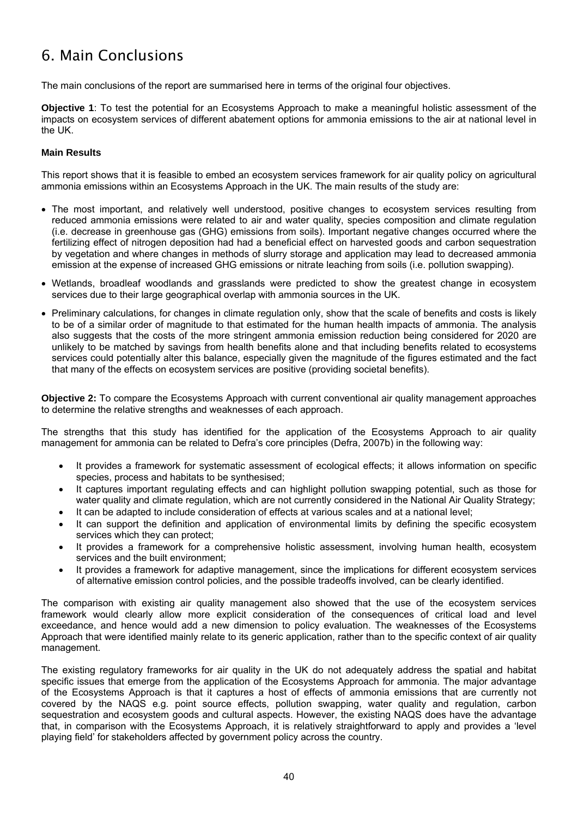# <span id="page-43-0"></span>6. Main Conclusions

The main conclusions of the report are summarised here in terms of the original four objectives.

**Objective 1**: To test the potential for an Ecosystems Approach to make a meaningful holistic assessment of the impacts on ecosystem services of different abatement options for ammonia emissions to the air at national level in the UK.

## **Main Results**

This report shows that it is feasible to embed an ecosystem services framework for air quality policy on agricultural ammonia emissions within an Ecosystems Approach in the UK. The main results of the study are:

- The most important, and relatively well understood, positive changes to ecosystem services resulting from reduced ammonia emissions were related to air and water quality, species composition and climate regulation (i.e. decrease in greenhouse gas (GHG) emissions from soils). Important negative changes occurred where the fertilizing effect of nitrogen deposition had had a beneficial effect on harvested goods and carbon sequestration by vegetation and where changes in methods of slurry storage and application may lead to decreased ammonia emission at the expense of increased GHG emissions or nitrate leaching from soils (i.e. pollution swapping).
- Wetlands, broadleaf woodlands and grasslands were predicted to show the greatest change in ecosystem services due to their large geographical overlap with ammonia sources in the UK.
- Preliminary calculations, for changes in climate regulation only, show that the scale of benefits and costs is likely to be of a similar order of magnitude to that estimated for the human health impacts of ammonia. The analysis also suggests that the costs of the more stringent ammonia emission reduction being considered for 2020 are unlikely to be matched by savings from health benefits alone and that including benefits related to ecosystems services could potentially alter this balance, especially given the magnitude of the figures estimated and the fact that many of the effects on ecosystem services are positive (providing societal benefits).

**Objective 2:** To compare the Ecosystems Approach with current conventional air quality management approaches to determine the relative strengths and weaknesses of each approach.

The strengths that this study has identified for the application of the Ecosystems Approach to air quality management for ammonia can be related to Defra's core principles (Defra, 2007b) in the following way:

- It provides a framework for systematic assessment of ecological effects; it allows information on specific species, process and habitats to be synthesised;
- It captures important regulating effects and can highlight pollution swapping potential, such as those for water quality and climate regulation, which are not currently considered in the National Air Quality Strategy;
- It can be adapted to include consideration of effects at various scales and at a national level;
- It can support the definition and application of environmental limits by defining the specific ecosystem services which they can protect;
- It provides a framework for a comprehensive holistic assessment, involving human health, ecosystem services and the built environment;
- It provides a framework for adaptive management, since the implications for different ecosystem services of alternative emission control policies, and the possible tradeoffs involved, can be clearly identified.

The comparison with existing air quality management also showed that the use of the ecosystem services framework would clearly allow more explicit consideration of the consequences of critical load and level exceedance, and hence would add a new dimension to policy evaluation. The weaknesses of the Ecosystems Approach that were identified mainly relate to its generic application, rather than to the specific context of air quality management.

The existing regulatory frameworks for air quality in the UK do not adequately address the spatial and habitat specific issues that emerge from the application of the Ecosystems Approach for ammonia. The major advantage of the Ecosystems Approach is that it captures a host of effects of ammonia emissions that are currently not covered by the NAQS e.g. point source effects, pollution swapping, water quality and regulation, carbon sequestration and ecosystem goods and cultural aspects. However, the existing NAQS does have the advantage that, in comparison with the Ecosystems Approach, it is relatively straightforward to apply and provides a 'level playing field' for stakeholders affected by government policy across the country.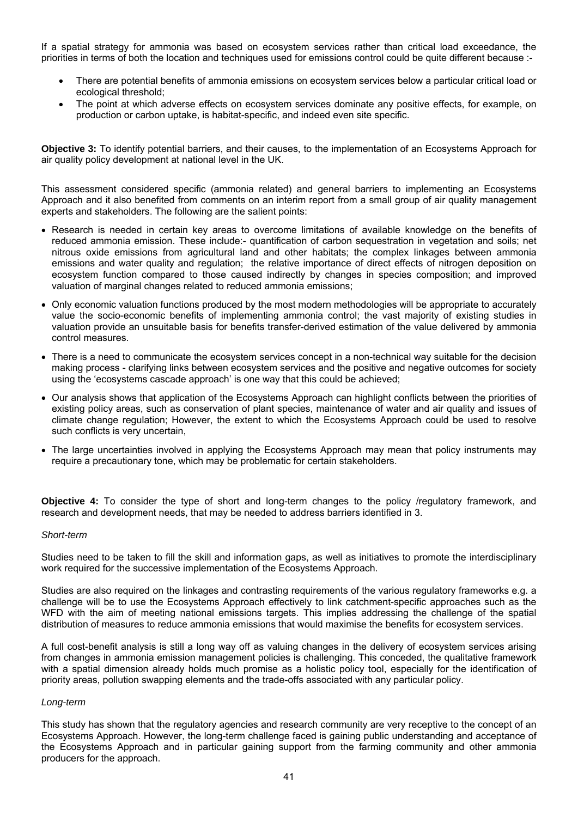If a spatial strategy for ammonia was based on ecosystem services rather than critical load exceedance, the priorities in terms of both the location and techniques used for emissions control could be quite different because :-

- There are potential benefits of ammonia emissions on ecosystem services below a particular critical load or ecological threshold;
- The point at which adverse effects on ecosystem services dominate any positive effects, for example, on production or carbon uptake, is habitat-specific, and indeed even site specific.

**Objective 3:** To identify potential barriers, and their causes, to the implementation of an Ecosystems Approach for air quality policy development at national level in the UK.

This assessment considered specific (ammonia related) and general barriers to implementing an Ecosystems Approach and it also benefited from comments on an interim report from a small group of air quality management experts and stakeholders. The following are the salient points:

- Research is needed in certain key areas to overcome limitations of available knowledge on the benefits of reduced ammonia emission. These include:- quantification of carbon sequestration in vegetation and soils; net nitrous oxide emissions from agricultural land and other habitats; the complex linkages between ammonia emissions and water quality and regulation; the relative importance of direct effects of nitrogen deposition on ecosystem function compared to those caused indirectly by changes in species composition; and improved valuation of marginal changes related to reduced ammonia emissions;
- Only economic valuation functions produced by the most modern methodologies will be appropriate to accurately value the socio-economic benefits of implementing ammonia control; the vast majority of existing studies in valuation provide an unsuitable basis for benefits transfer-derived estimation of the value delivered by ammonia control measures.
- There is a need to communicate the ecosystem services concept in a non-technical way suitable for the decision making process - clarifying links between ecosystem services and the positive and negative outcomes for society using the 'ecosystems cascade approach' is one way that this could be achieved;
- Our analysis shows that application of the Ecosystems Approach can highlight conflicts between the priorities of existing policy areas, such as conservation of plant species, maintenance of water and air quality and issues of climate change regulation; However, the extent to which the Ecosystems Approach could be used to resolve such conflicts is very uncertain.
- The large uncertainties involved in applying the Ecosystems Approach may mean that policy instruments may require a precautionary tone, which may be problematic for certain stakeholders.

**Objective 4:** To consider the type of short and long-term changes to the policy /regulatory framework, and research and development needs, that may be needed to address barriers identified in 3.

#### *Short-term*

Studies need to be taken to fill the skill and information gaps, as well as initiatives to promote the interdisciplinary work required for the successive implementation of the Ecosystems Approach.

Studies are also required on the linkages and contrasting requirements of the various regulatory frameworks e.g. a challenge will be to use the Ecosystems Approach effectively to link catchment-specific approaches such as the WFD with the aim of meeting national emissions targets. This implies addressing the challenge of the spatial distribution of measures to reduce ammonia emissions that would maximise the benefits for ecosystem services.

A full cost-benefit analysis is still a long way off as valuing changes in the delivery of ecosystem services arising from changes in ammonia emission management policies is challenging. This conceded, the qualitative framework with a spatial dimension already holds much promise as a holistic policy tool, especially for the identification of priority areas, pollution swapping elements and the trade-offs associated with any particular policy.

#### *Long-term*

This study has shown that the regulatory agencies and research community are very receptive to the concept of an Ecosystems Approach. However, the long-term challenge faced is gaining public understanding and acceptance of the Ecosystems Approach and in particular gaining support from the farming community and other ammonia producers for the approach.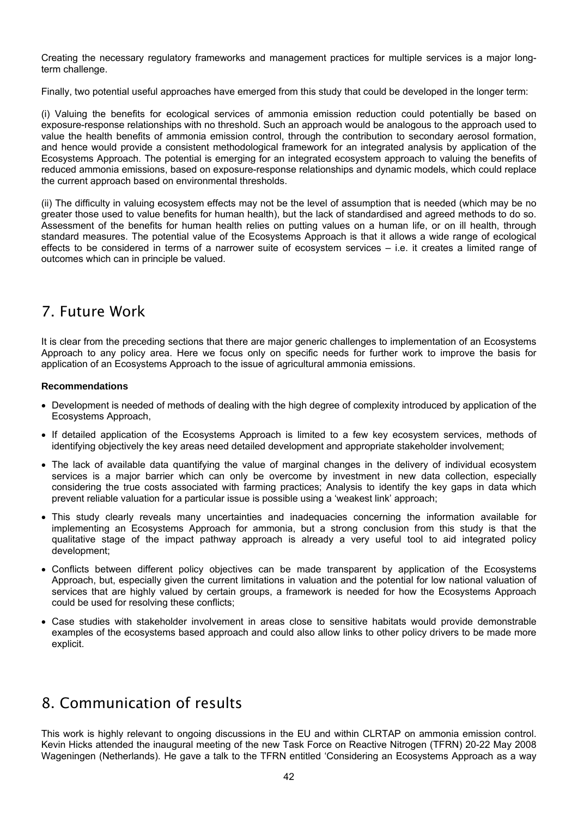<span id="page-45-0"></span>Creating the necessary regulatory frameworks and management practices for multiple services is a major longterm challenge.

Finally, two potential useful approaches have emerged from this study that could be developed in the longer term:

(i) Valuing the benefits for ecological services of ammonia emission reduction could potentially be based on exposure-response relationships with no threshold. Such an approach would be analogous to the approach used to value the health benefits of ammonia emission control, through the contribution to secondary aerosol formation, and hence would provide a consistent methodological framework for an integrated analysis by application of the Ecosystems Approach. The potential is emerging for an integrated ecosystem approach to valuing the benefits of reduced ammonia emissions, based on exposure-response relationships and dynamic models, which could replace the current approach based on environmental thresholds.

(ii) The difficulty in valuing ecosystem effects may not be the level of assumption that is needed (which may be no greater those used to value benefits for human health), but the lack of standardised and agreed methods to do so. Assessment of the benefits for human health relies on putting values on a human life, or on ill health, through standard measures. The potential value of the Ecosystems Approach is that it allows a wide range of ecological effects to be considered in terms of a narrower suite of ecosystem services – i.e. it creates a limited range of outcomes which can in principle be valued.

## 7. Future Work

It is clear from the preceding sections that there are major generic challenges to implementation of an Ecosystems Approach to any policy area. Here we focus only on specific needs for further work to improve the basis for application of an Ecosystems Approach to the issue of agricultural ammonia emissions.

## **Recommendations**

- Development is needed of methods of dealing with the high degree of complexity introduced by application of the Ecosystems Approach,
- If detailed application of the Ecosystems Approach is limited to a few key ecosystem services, methods of identifying objectively the key areas need detailed development and appropriate stakeholder involvement;
- The lack of available data quantifying the value of marginal changes in the delivery of individual ecosystem services is a major barrier which can only be overcome by investment in new data collection, especially considering the true costs associated with farming practices; Analysis to identify the key gaps in data which prevent reliable valuation for a particular issue is possible using a 'weakest link' approach;
- This study clearly reveals many uncertainties and inadequacies concerning the information available for implementing an Ecosystems Approach for ammonia, but a strong conclusion from this study is that the qualitative stage of the impact pathway approach is already a very useful tool to aid integrated policy development;
- Conflicts between different policy objectives can be made transparent by application of the Ecosystems Approach, but, especially given the current limitations in valuation and the potential for low national valuation of services that are highly valued by certain groups, a framework is needed for how the Ecosystems Approach could be used for resolving these conflicts;
- Case studies with stakeholder involvement in areas close to sensitive habitats would provide demonstrable examples of the ecosystems based approach and could also allow links to other policy drivers to be made more explicit.

## 8. Communication of results

This work is highly relevant to ongoing discussions in the EU and within CLRTAP on ammonia emission control. Kevin Hicks attended the inaugural meeting of the new Task Force on Reactive Nitrogen (TFRN) 20-22 May 2008 Wageningen (Netherlands). He gave a talk to the TFRN entitled 'Considering an Ecosystems Approach as a way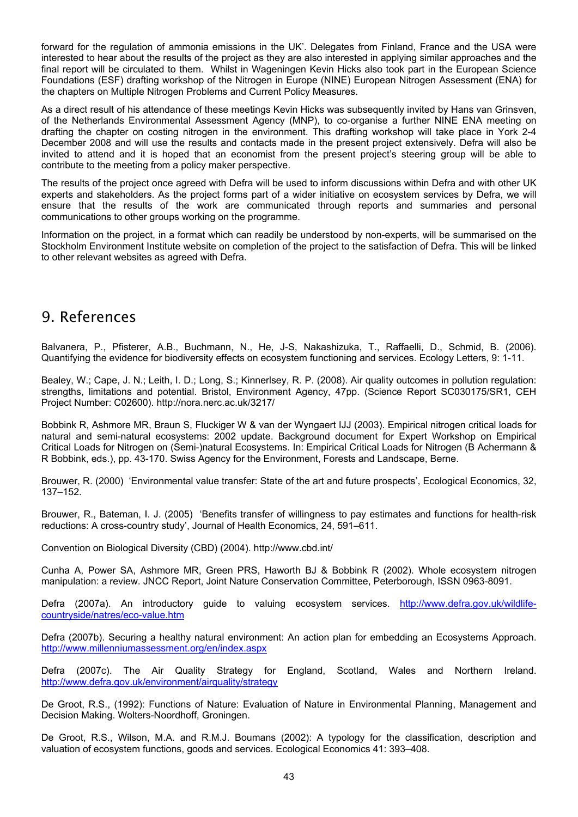<span id="page-46-0"></span>forward for the regulation of ammonia emissions in the UK'. Delegates from Finland, France and the USA were interested to hear about the results of the project as they are also interested in applying similar approaches and the final report will be circulated to them. Whilst in Wageningen Kevin Hicks also took part in the European Science Foundations (ESF) drafting workshop of the Nitrogen in Europe (NINE) European Nitrogen Assessment (ENA) for the chapters on Multiple Nitrogen Problems and Current Policy Measures.

As a direct result of his attendance of these meetings Kevin Hicks was subsequently invited by Hans van Grinsven, of the Netherlands Environmental Assessment Agency (MNP), to co-organise a further NINE ENA meeting on drafting the chapter on costing nitrogen in the environment. This drafting workshop will take place in York 2-4 December 2008 and will use the results and contacts made in the present project extensively. Defra will also be invited to attend and it is hoped that an economist from the present project's steering group will be able to contribute to the meeting from a policy maker perspective.

The results of the project once agreed with Defra will be used to inform discussions within Defra and with other UK experts and stakeholders. As the project forms part of a wider initiative on ecosystem services by Defra, we will ensure that the results of the work are communicated through reports and summaries and personal communications to other groups working on the programme.

Information on the project, in a format which can readily be understood by non-experts, will be summarised on the Stockholm Environment Institute website on completion of the project to the satisfaction of Defra. This will be linked to other relevant websites as agreed with Defra.

## 9. References

Balvanera, P., Pfisterer, A.B., Buchmann, N., He, J-S, Nakashizuka, T., Raffaelli, D., Schmid, B. (2006). Quantifying the evidence for biodiversity effects on ecosystem functioning and services. Ecology Letters, 9: 1-11.

Bealey, W.; Cape, J. N.; Leith, I. D.; Long, S.; Kinnerlsey, R. P. (2008). Air quality outcomes in pollution regulation: strengths, limitations and potential. Bristol, Environment Agency, 47pp. (Science Report SC030175/SR1, CEH Project Number: C02600). http://nora.nerc.ac.uk/3217/

Bobbink R, Ashmore MR, Braun S, Fluckiger W & van der Wyngaert IJJ (2003). Empirical nitrogen critical loads for natural and semi-natural ecosystems: 2002 update. Background document for Expert Workshop on Empirical Critical Loads for Nitrogen on (Semi-)natural Ecosystems. In: Empirical Critical Loads for Nitrogen (B Achermann & R Bobbink, eds.), pp. 43-170. Swiss Agency for the Environment, Forests and Landscape, Berne.

Brouwer, R. (2000) 'Environmental value transfer: State of the art and future prospects', Ecological Economics, 32, 137–152.

Brouwer, R., Bateman, I. J. (2005) 'Benefits transfer of willingness to pay estimates and functions for health-risk reductions: A cross-country study', Journal of Health Economics, 24, 591–611.

Convention on Biological Diversity (CBD) (2004). http://www.cbd.int/

Cunha A, Power SA, Ashmore MR, Green PRS, Haworth BJ & Bobbink R (2002). Whole ecosystem nitrogen manipulation: a review. JNCC Report, Joint Nature Conservation Committee, Peterborough, ISSN 0963-8091.

Defra (2007a). An introductory guide to valuing ecosystem services. [http://www.defra.gov.uk/wildlife](http://www.defra.gov.uk/wildlife-countryside/natres/eco-value.htm)[countryside/natres/eco-value.htm](http://www.defra.gov.uk/wildlife-countryside/natres/eco-value.htm) 

Defra (2007b). Securing a healthy natural environment: An action plan for embedding an Ecosystems Approach. <http://www.millenniumassessment.org/en/index.aspx>

Defra (2007c). The Air Quality Strategy for England, Scotland, Wales and Northern Ireland. <http://www.defra.gov.uk/environment/airquality/strategy>

De Groot, R.S., (1992): Functions of Nature: Evaluation of Nature in Environmental Planning, Management and Decision Making. Wolters-Noordhoff, Groningen.

De Groot, R.S., Wilson, M.A. and R.M.J. Boumans (2002): A typology for the classification, description and valuation of ecosystem functions, goods and services. Ecological Economics 41: 393–408.